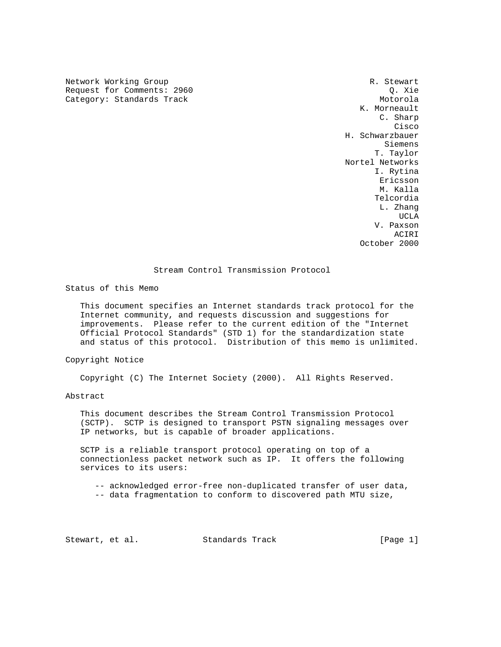Network Working Group and the set of the set of the set of the set of the set of the set of the set of the set of the set of the set of the set of the set of the set of the set of the set of the set of the set of the set o Request for Comments: 2960 Q. Xie Category: Standards Track Motorola Motorola

 K. Morneault C. Sharp na de la constitución de la constitución de la constitución de la constitución de la constitución de la constitución de la constitución de la constitución de la constitución de la constitución de la constitución de la cons H. Schwarzbauer Siemens T. Taylor Nortel Networks I. Rytina eric and the contract of the contract of the contract of the contract of the contract of the contract of the contract of the contract of the contract of the contract of the contract of the contract of the contract of the c M. Kalla Telcordia L. Zhang UCLA AND LOCAL CONTRACT CONTRACT ON A STRUCK OF THE SECOND SECOND SECOND SECOND SECOND SECOND SECOND SECOND SECOND SECOND SECOND SECOND SECOND SECOND SECOND SECOND SECOND SECOND SECOND SECOND SECOND SECOND SECOND SECOND SE V. Paxson ACIRI October 2000

# Stream Control Transmission Protocol

Status of this Memo

 This document specifies an Internet standards track protocol for the Internet community, and requests discussion and suggestions for improvements. Please refer to the current edition of the "Internet Official Protocol Standards" (STD 1) for the standardization state and status of this protocol. Distribution of this memo is unlimited.

#### Copyright Notice

Copyright (C) The Internet Society (2000). All Rights Reserved.

#### Abstract

 This document describes the Stream Control Transmission Protocol (SCTP). SCTP is designed to transport PSTN signaling messages over IP networks, but is capable of broader applications.

 SCTP is a reliable transport protocol operating on top of a connectionless packet network such as IP. It offers the following services to its users:

-- acknowledged error-free non-duplicated transfer of user data,

-- data fragmentation to conform to discovered path MTU size,

Stewart, et al. Standards Track [Page 1]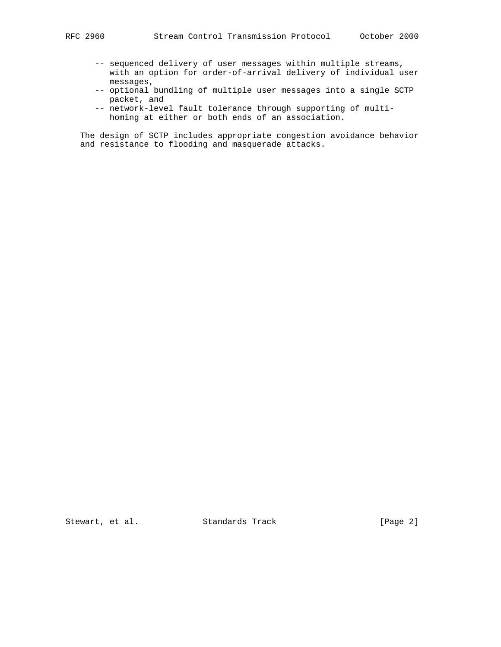- -- sequenced delivery of user messages within multiple streams, with an option for order-of-arrival delivery of individual user messages,
- -- optional bundling of multiple user messages into a single SCTP packet, and
- -- network-level fault tolerance through supporting of multi homing at either or both ends of an association.

 The design of SCTP includes appropriate congestion avoidance behavior and resistance to flooding and masquerade attacks.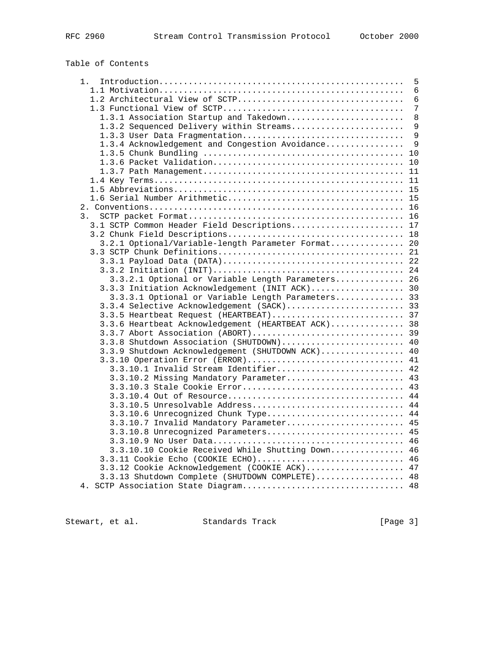# Table of Contents

| 1.                                                 | 5  |
|----------------------------------------------------|----|
|                                                    | 6  |
| 1.2 Architectural View of SCTP                     | 6  |
|                                                    | 7  |
| 1.3.1 Association Startup and Takedown             | 8  |
| 1.3.2 Sequenced Delivery within Streams            | 9  |
| 1.3.3 User Data Fragmentation                      | 9  |
| 1.3.4 Acknowledgement and Congestion Avoidance     | 9  |
|                                                    | 10 |
|                                                    | 10 |
|                                                    | 11 |
|                                                    | 11 |
|                                                    |    |
|                                                    |    |
|                                                    | 15 |
|                                                    |    |
| 3.                                                 | 16 |
| 3.1 SCTP Common Header Field Descriptions 17       |    |
|                                                    |    |
| 3.2.1 Optional/Variable-length Parameter Format    | 20 |
|                                                    | 21 |
|                                                    |    |
|                                                    | 24 |
| 3.3.2.1 Optional or Variable Length Parameters 26  |    |
| 3.3.3 Initiation Acknowledgement (INIT ACK) 30     |    |
| 3.3.3.1 Optional or Variable Length Parameters 33  |    |
| 3.3.4 Selective Acknowledgement (SACK) 33          |    |
| 3.3.5 Heartbeat Request (HEARTBEAT) 37             |    |
| 3.3.6 Heartbeat Acknowledgement (HEARTBEAT ACK) 38 |    |
|                                                    |    |
| 3.3.8 Shutdown Association (SHUTDOWN) 40           |    |
| 3.3.9 Shutdown Acknowledgement (SHUTDOWN ACK) 40   |    |
| 3.3.10 Operation Error (ERROR) 41                  |    |
| 3.3.10.1 Invalid Stream Identifier                 | 42 |
| 3.3.10.2 Missing Mandatory Parameter 43            |    |
|                                                    | 43 |
|                                                    |    |
| 3.3.10.5 Unresolvable Address 44                   |    |
| 3.3.10.6 Unrecognized Chunk Type 44                |    |
| 3.3.10.7 Invalid Mandatory Parameter 45            |    |
| 3.3.10.8 Unrecognized Parameters 45                |    |
|                                                    |    |
| 3.3.10.10 Cookie Received While Shutting Down 46   |    |
|                                                    |    |
| 3.3.11 Cookie Echo (COOKIE ECHO) 46                |    |
| 3.3.12 Cookie Acknowledgement (COOKIE ACK) 47      |    |
| 3.3.13 Shutdown Complete (SHUTDOWN COMPLETE) 48    |    |
|                                                    |    |

Stewart, et al. Standards Track [Page 3]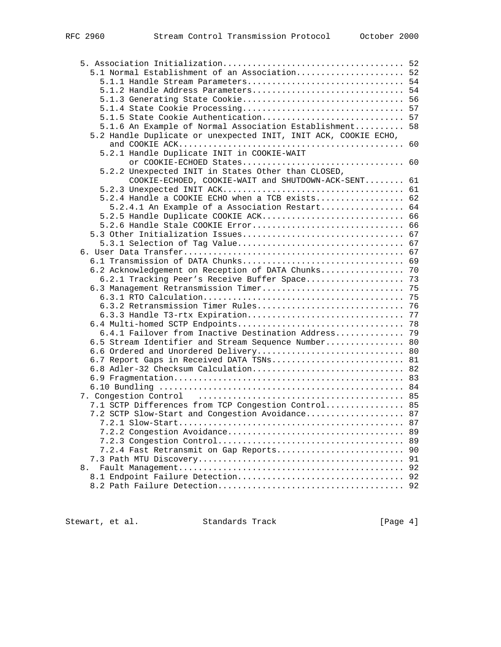|    | 5.1 Normal Establishment of an Association 52                   |    |
|----|-----------------------------------------------------------------|----|
|    |                                                                 |    |
|    | 5.1.2 Handle Address Parameters 54                              |    |
|    |                                                                 |    |
|    |                                                                 |    |
|    | 5.1.5 State Cookie Authentication 57                            |    |
|    | 5.1.6 An Example of Normal Association Establishment 58         |    |
|    | 5.2 Handle Duplicate or unexpected INIT, INIT ACK, COOKIE ECHO, |    |
|    |                                                                 |    |
|    | 5.2.1 Handle Duplicate INIT in COOKIE-WAIT                      |    |
|    | or COOKIE-ECHOED States 60                                      |    |
|    | 5.2.2 Unexpected INIT in States Other than CLOSED,              |    |
|    | COOKIE-ECHOED, COOKIE-WAIT and SHUTDOWN-ACK-SENT 61             |    |
|    |                                                                 |    |
|    | 5.2.4 Handle a COOKIE ECHO when a TCB exists 62                 |    |
|    | 5.2.4.1 An Example of a Association Restart 64                  |    |
|    | 5.2.5 Handle Duplicate COOKIE ACK 66                            |    |
|    |                                                                 |    |
|    |                                                                 |    |
|    |                                                                 |    |
|    |                                                                 |    |
|    |                                                                 |    |
|    | 6.2 Acknowledgement on Reception of DATA Chunks 70              |    |
|    | 6.2.1 Tracking Peer's Receive Buffer Space 73                   |    |
|    |                                                                 |    |
|    |                                                                 |    |
|    | 6.3.2 Retransmission Timer Rules 76                             |    |
|    |                                                                 |    |
|    |                                                                 |    |
|    | 6.4.1 Failover from Inactive Destination Address 79             |    |
|    | 6.5 Stream Identifier and Stream Sequence Number 80             |    |
|    | 6.6 Ordered and Unordered Delivery 80                           |    |
|    | 6.7 Report Gaps in Received DATA TSNs 81                        |    |
|    | 6.8 Adler-32 Checksum Calculation 82                            |    |
|    |                                                                 |    |
|    |                                                                 |    |
|    |                                                                 |    |
|    | 7.1 SCTP Differences from TCP Congestion Control 85             |    |
|    | 7.2 SCTP Slow-Start and Congestion Avoidance 87                 |    |
|    |                                                                 |    |
|    |                                                                 | 89 |
|    |                                                                 | 89 |
|    | 7.2.4 Fast Retransmit on Gap Reports                            | 90 |
|    |                                                                 | 91 |
| 8. |                                                                 | 92 |
|    |                                                                 |    |
|    |                                                                 |    |

Stewart, et al. Standards Track [Page 4]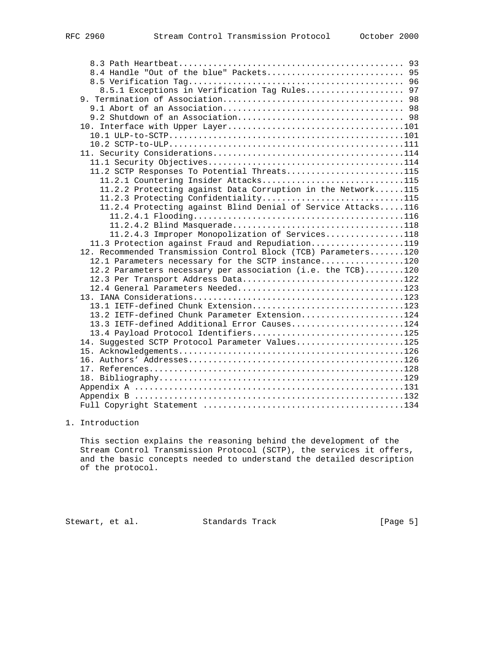| 8.4 Handle "Out of the blue" Packets 95                        |  |
|----------------------------------------------------------------|--|
|                                                                |  |
| 8.5.1 Exceptions in Verification Tag Rules 97                  |  |
|                                                                |  |
|                                                                |  |
|                                                                |  |
|                                                                |  |
|                                                                |  |
|                                                                |  |
|                                                                |  |
|                                                                |  |
| 11.2 SCTP Responses To Potential Threats115                    |  |
| 11.2.1 Countering Insider Attacks115                           |  |
| 11.2.2 Protecting against Data Corruption in the Network115    |  |
| 11.2.3 Protecting Confidentiality115                           |  |
| 11.2.4 Protecting against Blind Denial of Service Attacks116   |  |
|                                                                |  |
|                                                                |  |
| 11.2.4.3 Improper Monopolization of Services118                |  |
| 11.3 Protection against Fraud and Repudiation119               |  |
| 12. Recommended Transmission Control Block (TCB) Parameters120 |  |
| 12.1 Parameters necessary for the SCTP instance120             |  |
| 12.2 Parameters necessary per association (i.e. the TCB)120    |  |
| 12.3 Per Transport Address Data122                             |  |
|                                                                |  |
|                                                                |  |
| 13.1 IETF-defined Chunk Extension123                           |  |
| 13.2 IETF-defined Chunk Parameter Extension124                 |  |
| 13.3 IETF-defined Additional Error Causes124                   |  |
| 13.4 Payload Protocol Identifiers125                           |  |
| 14. Suggested SCTP Protocol Parameter Values125                |  |
|                                                                |  |
|                                                                |  |
|                                                                |  |
|                                                                |  |
|                                                                |  |
|                                                                |  |
|                                                                |  |

# 1. Introduction

 This section explains the reasoning behind the development of the Stream Control Transmission Protocol (SCTP), the services it offers, and the basic concepts needed to understand the detailed description of the protocol.

Stewart, et al. Standards Track [Page 5]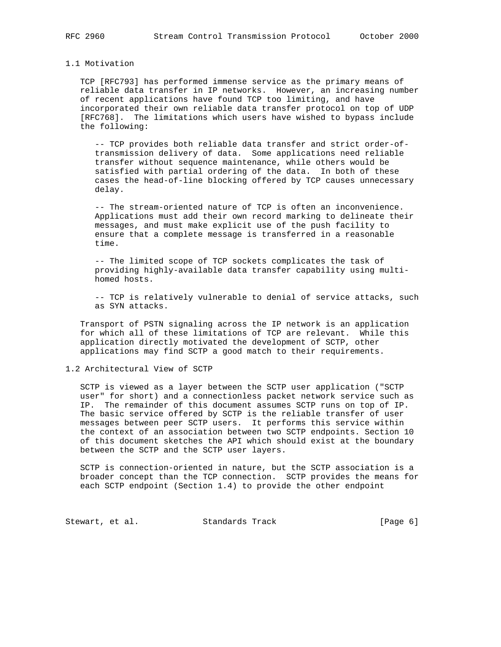#### 1.1 Motivation

 TCP [RFC793] has performed immense service as the primary means of reliable data transfer in IP networks. However, an increasing number of recent applications have found TCP too limiting, and have incorporated their own reliable data transfer protocol on top of UDP [RFC768]. The limitations which users have wished to bypass include the following:

 -- TCP provides both reliable data transfer and strict order-of transmission delivery of data. Some applications need reliable transfer without sequence maintenance, while others would be satisfied with partial ordering of the data. In both of these cases the head-of-line blocking offered by TCP causes unnecessary delay.

 -- The stream-oriented nature of TCP is often an inconvenience. Applications must add their own record marking to delineate their messages, and must make explicit use of the push facility to ensure that a complete message is transferred in a reasonable time.

 -- The limited scope of TCP sockets complicates the task of providing highly-available data transfer capability using multi homed hosts.

 -- TCP is relatively vulnerable to denial of service attacks, such as SYN attacks.

 Transport of PSTN signaling across the IP network is an application for which all of these limitations of TCP are relevant. While this application directly motivated the development of SCTP, other applications may find SCTP a good match to their requirements.

1.2 Architectural View of SCTP

 SCTP is viewed as a layer between the SCTP user application ("SCTP user" for short) and a connectionless packet network service such as IP. The remainder of this document assumes SCTP runs on top of IP. The basic service offered by SCTP is the reliable transfer of user messages between peer SCTP users. It performs this service within the context of an association between two SCTP endpoints. Section 10 of this document sketches the API which should exist at the boundary between the SCTP and the SCTP user layers.

 SCTP is connection-oriented in nature, but the SCTP association is a broader concept than the TCP connection. SCTP provides the means for each SCTP endpoint (Section 1.4) to provide the other endpoint

Stewart, et al. Standards Track [Page 6]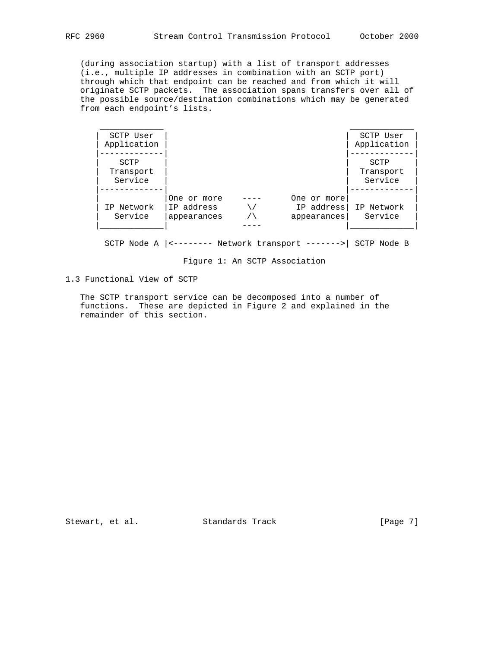(during association startup) with a list of transport addresses (i.e., multiple IP addresses in combination with an SCTP port) through which that endpoint can be reached and from which it will originate SCTP packets. The association spans transfers over all of the possible source/destination combinations which may be generated from each endpoint's lists.

| SCTP User<br>Application     |                                          |                                           | SCTP User<br>Application     |
|------------------------------|------------------------------------------|-------------------------------------------|------------------------------|
| SCTP<br>Transport<br>Service |                                          |                                           | SCTP<br>Transport<br>Service |
| IP Network<br>Service        | One or more<br>IP address<br>appearances | One or more<br>IP address!<br>appearances | IP Network<br>Service        |

SCTP Node A |<-------- Network transport ------->| SCTP Node B

Figure 1: An SCTP Association

1.3 Functional View of SCTP

 The SCTP transport service can be decomposed into a number of functions. These are depicted in Figure 2 and explained in the remainder of this section.

Stewart, et al. Standards Track [Page 7]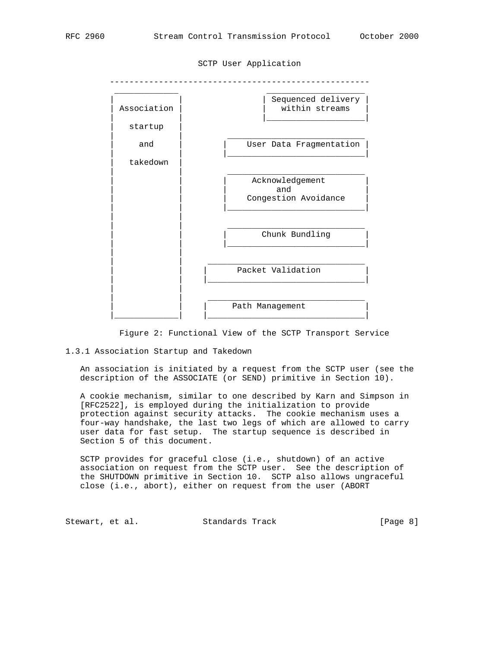

SCTP User Application

Figure 2: Functional View of the SCTP Transport Service

1.3.1 Association Startup and Takedown

 An association is initiated by a request from the SCTP user (see the description of the ASSOCIATE (or SEND) primitive in Section 10).

 A cookie mechanism, similar to one described by Karn and Simpson in [RFC2522], is employed during the initialization to provide protection against security attacks. The cookie mechanism uses a four-way handshake, the last two legs of which are allowed to carry user data for fast setup. The startup sequence is described in Section 5 of this document.

 SCTP provides for graceful close (i.e., shutdown) of an active association on request from the SCTP user. See the description of the SHUTDOWN primitive in Section 10. SCTP also allows ungraceful close (i.e., abort), either on request from the user (ABORT

Stewart, et al. Standards Track [Page 8]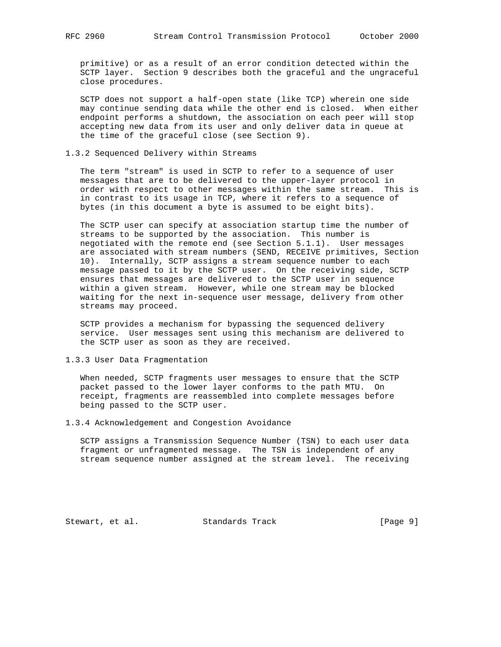primitive) or as a result of an error condition detected within the SCTP layer. Section 9 describes both the graceful and the ungraceful close procedures.

 SCTP does not support a half-open state (like TCP) wherein one side may continue sending data while the other end is closed. When either endpoint performs a shutdown, the association on each peer will stop accepting new data from its user and only deliver data in queue at the time of the graceful close (see Section 9).

#### 1.3.2 Sequenced Delivery within Streams

 The term "stream" is used in SCTP to refer to a sequence of user messages that are to be delivered to the upper-layer protocol in order with respect to other messages within the same stream. This is in contrast to its usage in TCP, where it refers to a sequence of bytes (in this document a byte is assumed to be eight bits).

 The SCTP user can specify at association startup time the number of streams to be supported by the association. This number is negotiated with the remote end (see Section 5.1.1). User messages are associated with stream numbers (SEND, RECEIVE primitives, Section 10). Internally, SCTP assigns a stream sequence number to each message passed to it by the SCTP user. On the receiving side, SCTP ensures that messages are delivered to the SCTP user in sequence within a given stream. However, while one stream may be blocked waiting for the next in-sequence user message, delivery from other streams may proceed.

 SCTP provides a mechanism for bypassing the sequenced delivery service. User messages sent using this mechanism are delivered to the SCTP user as soon as they are received.

1.3.3 User Data Fragmentation

 When needed, SCTP fragments user messages to ensure that the SCTP packet passed to the lower layer conforms to the path MTU. On receipt, fragments are reassembled into complete messages before being passed to the SCTP user.

1.3.4 Acknowledgement and Congestion Avoidance

 SCTP assigns a Transmission Sequence Number (TSN) to each user data fragment or unfragmented message. The TSN is independent of any stream sequence number assigned at the stream level. The receiving

Stewart, et al. Standards Track [Page 9]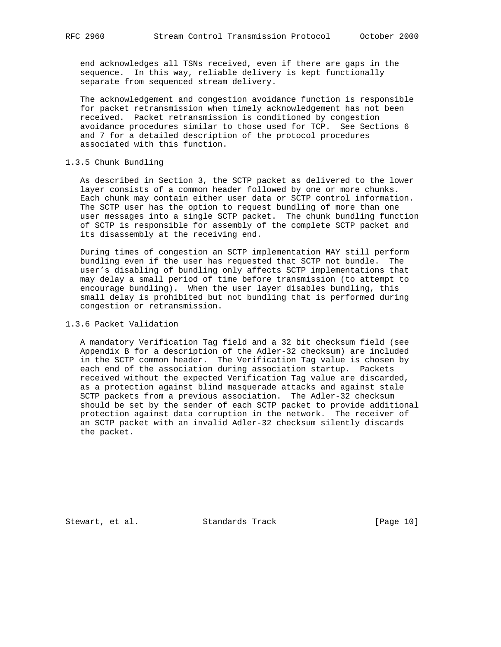end acknowledges all TSNs received, even if there are gaps in the sequence. In this way, reliable delivery is kept functionally separate from sequenced stream delivery.

 The acknowledgement and congestion avoidance function is responsible for packet retransmission when timely acknowledgement has not been received. Packet retransmission is conditioned by congestion avoidance procedures similar to those used for TCP. See Sections 6 and 7 for a detailed description of the protocol procedures associated with this function.

### 1.3.5 Chunk Bundling

 As described in Section 3, the SCTP packet as delivered to the lower layer consists of a common header followed by one or more chunks. Each chunk may contain either user data or SCTP control information. The SCTP user has the option to request bundling of more than one user messages into a single SCTP packet. The chunk bundling function of SCTP is responsible for assembly of the complete SCTP packet and its disassembly at the receiving end.

 During times of congestion an SCTP implementation MAY still perform bundling even if the user has requested that SCTP not bundle. The user's disabling of bundling only affects SCTP implementations that may delay a small period of time before transmission (to attempt to encourage bundling). When the user layer disables bundling, this small delay is prohibited but not bundling that is performed during congestion or retransmission.

### 1.3.6 Packet Validation

 A mandatory Verification Tag field and a 32 bit checksum field (see Appendix B for a description of the Adler-32 checksum) are included in the SCTP common header. The Verification Tag value is chosen by each end of the association during association startup. Packets received without the expected Verification Tag value are discarded, as a protection against blind masquerade attacks and against stale SCTP packets from a previous association. The Adler-32 checksum should be set by the sender of each SCTP packet to provide additional protection against data corruption in the network. The receiver of an SCTP packet with an invalid Adler-32 checksum silently discards the packet.

Stewart, et al. Standards Track [Page 10]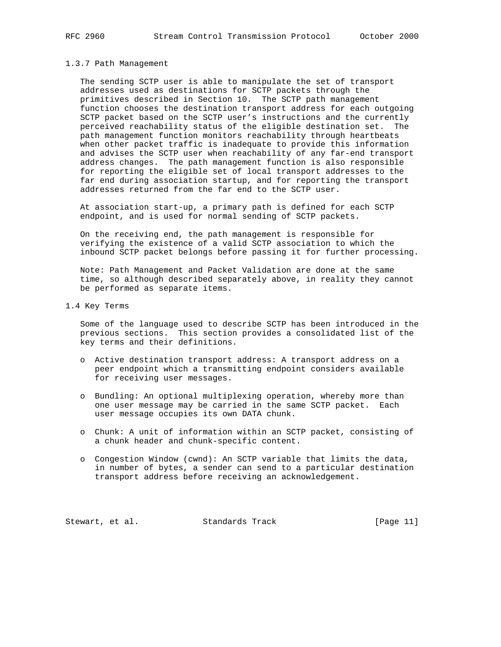#### 1.3.7 Path Management

 The sending SCTP user is able to manipulate the set of transport addresses used as destinations for SCTP packets through the primitives described in Section 10. The SCTP path management function chooses the destination transport address for each outgoing SCTP packet based on the SCTP user's instructions and the currently perceived reachability status of the eligible destination set. The path management function monitors reachability through heartbeats when other packet traffic is inadequate to provide this information and advises the SCTP user when reachability of any far-end transport address changes. The path management function is also responsible for reporting the eligible set of local transport addresses to the far end during association startup, and for reporting the transport addresses returned from the far end to the SCTP user.

 At association start-up, a primary path is defined for each SCTP endpoint, and is used for normal sending of SCTP packets.

 On the receiving end, the path management is responsible for verifying the existence of a valid SCTP association to which the inbound SCTP packet belongs before passing it for further processing.

 Note: Path Management and Packet Validation are done at the same time, so although described separately above, in reality they cannot be performed as separate items.

1.4 Key Terms

 Some of the language used to describe SCTP has been introduced in the previous sections. This section provides a consolidated list of the key terms and their definitions.

- o Active destination transport address: A transport address on a peer endpoint which a transmitting endpoint considers available for receiving user messages.
- o Bundling: An optional multiplexing operation, whereby more than one user message may be carried in the same SCTP packet. Each user message occupies its own DATA chunk.
- o Chunk: A unit of information within an SCTP packet, consisting of a chunk header and chunk-specific content.
- o Congestion Window (cwnd): An SCTP variable that limits the data, in number of bytes, a sender can send to a particular destination transport address before receiving an acknowledgement.

Stewart, et al. Standards Track [Page 11]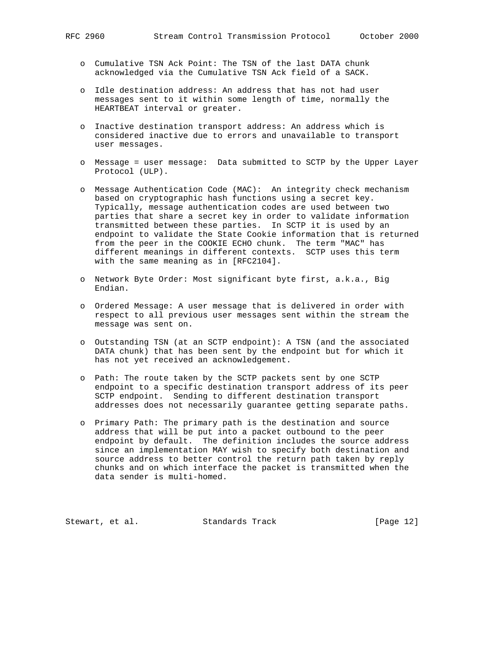- o Cumulative TSN Ack Point: The TSN of the last DATA chunk acknowledged via the Cumulative TSN Ack field of a SACK.
- o Idle destination address: An address that has not had user messages sent to it within some length of time, normally the HEARTBEAT interval or greater.
- o Inactive destination transport address: An address which is considered inactive due to errors and unavailable to transport user messages.
- o Message = user message: Data submitted to SCTP by the Upper Layer Protocol (ULP).
- o Message Authentication Code (MAC): An integrity check mechanism based on cryptographic hash functions using a secret key. Typically, message authentication codes are used between two parties that share a secret key in order to validate information transmitted between these parties. In SCTP it is used by an endpoint to validate the State Cookie information that is returned from the peer in the COOKIE ECHO chunk. The term "MAC" has different meanings in different contexts. SCTP uses this term with the same meaning as in [RFC2104].
- o Network Byte Order: Most significant byte first, a.k.a., Big Endian.
- o Ordered Message: A user message that is delivered in order with respect to all previous user messages sent within the stream the message was sent on.
- o Outstanding TSN (at an SCTP endpoint): A TSN (and the associated DATA chunk) that has been sent by the endpoint but for which it has not yet received an acknowledgement.
- o Path: The route taken by the SCTP packets sent by one SCTP endpoint to a specific destination transport address of its peer SCTP endpoint. Sending to different destination transport addresses does not necessarily guarantee getting separate paths.
- o Primary Path: The primary path is the destination and source address that will be put into a packet outbound to the peer endpoint by default. The definition includes the source address since an implementation MAY wish to specify both destination and source address to better control the return path taken by reply chunks and on which interface the packet is transmitted when the data sender is multi-homed.

Stewart, et al. Standards Track [Page 12]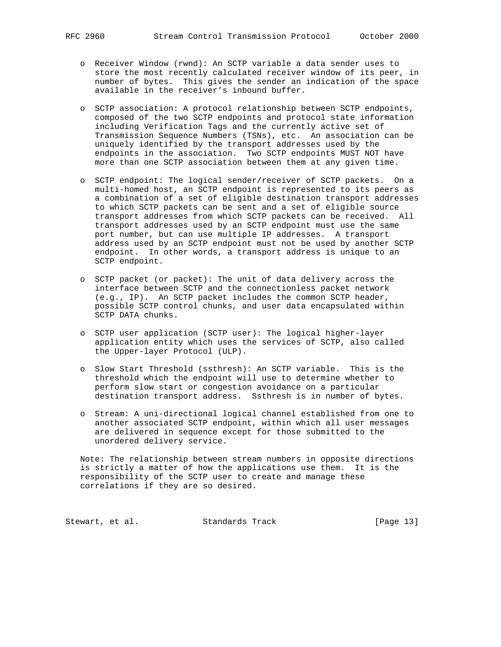- o Receiver Window (rwnd): An SCTP variable a data sender uses to store the most recently calculated receiver window of its peer, in number of bytes. This gives the sender an indication of the space available in the receiver's inbound buffer.
- o SCTP association: A protocol relationship between SCTP endpoints, composed of the two SCTP endpoints and protocol state information including Verification Tags and the currently active set of Transmission Sequence Numbers (TSNs), etc. An association can be uniquely identified by the transport addresses used by the endpoints in the association. Two SCTP endpoints MUST NOT have more than one SCTP association between them at any given time.
- o SCTP endpoint: The logical sender/receiver of SCTP packets. On a multi-homed host, an SCTP endpoint is represented to its peers as a combination of a set of eligible destination transport addresses to which SCTP packets can be sent and a set of eligible source transport addresses from which SCTP packets can be received. All transport addresses used by an SCTP endpoint must use the same port number, but can use multiple IP addresses. A transport address used by an SCTP endpoint must not be used by another SCTP endpoint. In other words, a transport address is unique to an SCTP endpoint.
- o SCTP packet (or packet): The unit of data delivery across the interface between SCTP and the connectionless packet network (e.g., IP). An SCTP packet includes the common SCTP header, possible SCTP control chunks, and user data encapsulated within SCTP DATA chunks.
- o SCTP user application (SCTP user): The logical higher-layer application entity which uses the services of SCTP, also called the Upper-layer Protocol (ULP).
- o Slow Start Threshold (ssthresh): An SCTP variable. This is the threshold which the endpoint will use to determine whether to perform slow start or congestion avoidance on a particular destination transport address. Ssthresh is in number of bytes.
- o Stream: A uni-directional logical channel established from one to another associated SCTP endpoint, within which all user messages are delivered in sequence except for those submitted to the unordered delivery service.

 Note: The relationship between stream numbers in opposite directions is strictly a matter of how the applications use them. It is the responsibility of the SCTP user to create and manage these correlations if they are so desired.

Stewart, et al. Standards Track [Page 13]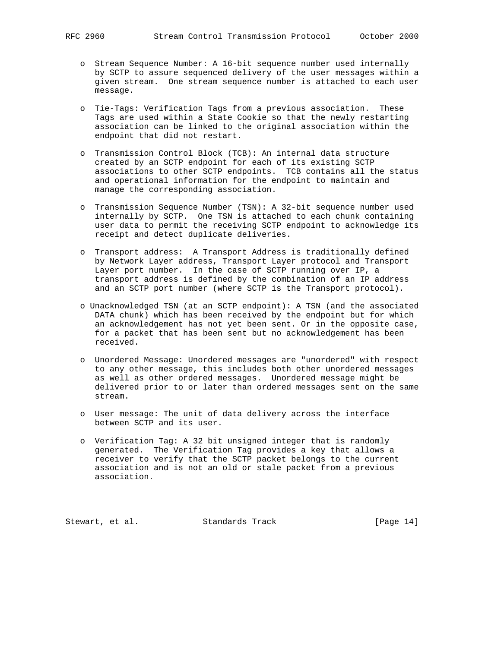- o Stream Sequence Number: A 16-bit sequence number used internally by SCTP to assure sequenced delivery of the user messages within a given stream. One stream sequence number is attached to each user message.
- o Tie-Tags: Verification Tags from a previous association. These Tags are used within a State Cookie so that the newly restarting association can be linked to the original association within the endpoint that did not restart.
- o Transmission Control Block (TCB): An internal data structure created by an SCTP endpoint for each of its existing SCTP associations to other SCTP endpoints. TCB contains all the status and operational information for the endpoint to maintain and manage the corresponding association.
- o Transmission Sequence Number (TSN): A 32-bit sequence number used internally by SCTP. One TSN is attached to each chunk containing user data to permit the receiving SCTP endpoint to acknowledge its receipt and detect duplicate deliveries.
- o Transport address: A Transport Address is traditionally defined by Network Layer address, Transport Layer protocol and Transport Layer port number. In the case of SCTP running over IP, a transport address is defined by the combination of an IP address and an SCTP port number (where SCTP is the Transport protocol).
- o Unacknowledged TSN (at an SCTP endpoint): A TSN (and the associated DATA chunk) which has been received by the endpoint but for which an acknowledgement has not yet been sent. Or in the opposite case, for a packet that has been sent but no acknowledgement has been received.
- o Unordered Message: Unordered messages are "unordered" with respect to any other message, this includes both other unordered messages as well as other ordered messages. Unordered message might be delivered prior to or later than ordered messages sent on the same stream.
- o User message: The unit of data delivery across the interface between SCTP and its user.
- o Verification Tag: A 32 bit unsigned integer that is randomly generated. The Verification Tag provides a key that allows a receiver to verify that the SCTP packet belongs to the current association and is not an old or stale packet from a previous association.

Stewart, et al. Standards Track [Page 14]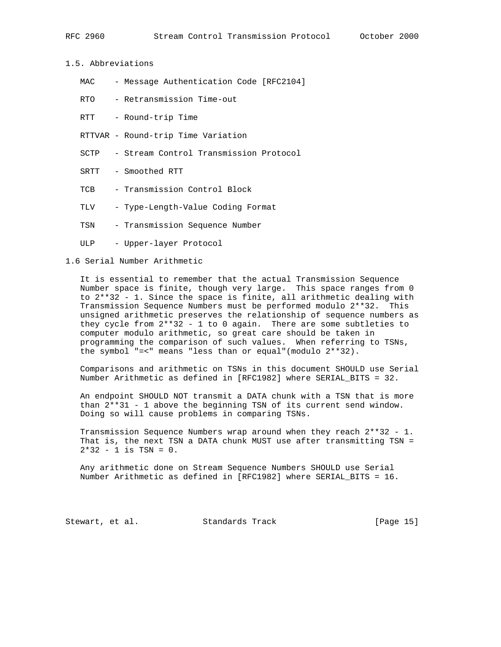```
RFC 2960 Stream Control Transmission Protocol October 2000
```
1.5. Abbreviations

- MAC Message Authentication Code [RFC2104]
- RTO Retransmission Time-out

RTT - Round-trip Time

- RTTVAR Round-trip Time Variation
- SCTP Stream Control Transmission Protocol
- SRTT Smoothed RTT
- TCB Transmission Control Block
- TLV Type-Length-Value Coding Format
- TSN Transmission Sequence Number
- ULP Upper-layer Protocol

1.6 Serial Number Arithmetic

 It is essential to remember that the actual Transmission Sequence Number space is finite, though very large. This space ranges from 0 to 2\*\*32 - 1. Since the space is finite, all arithmetic dealing with Transmission Sequence Numbers must be performed modulo 2\*\*32. This unsigned arithmetic preserves the relationship of sequence numbers as they cycle from 2\*\*32 - 1 to 0 again. There are some subtleties to computer modulo arithmetic, so great care should be taken in programming the comparison of such values. When referring to TSNs, the symbol "=<" means "less than or equal"(modulo 2\*\*32).

 Comparisons and arithmetic on TSNs in this document SHOULD use Serial Number Arithmetic as defined in [RFC1982] where SERIAL\_BITS = 32.

 An endpoint SHOULD NOT transmit a DATA chunk with a TSN that is more than 2\*\*31 - 1 above the beginning TSN of its current send window. Doing so will cause problems in comparing TSNs.

 Transmission Sequence Numbers wrap around when they reach 2\*\*32 - 1. That is, the next TSN a DATA chunk MUST use after transmitting TSN =  $2*32 - 1$  is TSN = 0.

 Any arithmetic done on Stream Sequence Numbers SHOULD use Serial Number Arithmetic as defined in [RFC1982] where SERIAL\_BITS = 16.

Stewart, et al. Standards Track [Page 15]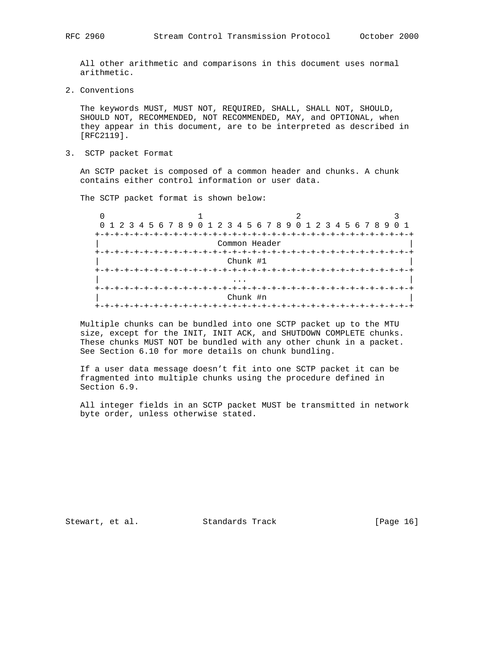All other arithmetic and comparisons in this document uses normal arithmetic.

2. Conventions

 The keywords MUST, MUST NOT, REQUIRED, SHALL, SHALL NOT, SHOULD, SHOULD NOT, RECOMMENDED, NOT RECOMMENDED, MAY, and OPTIONAL, when they appear in this document, are to be interpreted as described in [RFC2119].

3. SCTP packet Format

 An SCTP packet is composed of a common header and chunks. A chunk contains either control information or user data.

The SCTP packet format is shown below:

|                | 0 1 2 3 4 5 6 7 8 9 0 1 2 3 4 5 6 7 8 9 0 1 2 3 4 5 6 7 8 9 0 1 |               |  |
|----------------|-----------------------------------------------------------------|---------------|--|
|                |                                                                 |               |  |
|                |                                                                 | Common Header |  |
| +-+-+-+-+-+-+- |                                                                 |               |  |
|                | Chunk #1                                                        |               |  |
|                |                                                                 |               |  |
|                |                                                                 |               |  |
| $+-$           |                                                                 |               |  |
|                | Chunk #n                                                        |               |  |
| $+ - + - +$    |                                                                 |               |  |

 Multiple chunks can be bundled into one SCTP packet up to the MTU size, except for the INIT, INIT ACK, and SHUTDOWN COMPLETE chunks. These chunks MUST NOT be bundled with any other chunk in a packet. See Section 6.10 for more details on chunk bundling.

 If a user data message doesn't fit into one SCTP packet it can be fragmented into multiple chunks using the procedure defined in Section 6.9.

 All integer fields in an SCTP packet MUST be transmitted in network byte order, unless otherwise stated.

Stewart, et al. Standards Track [Page 16]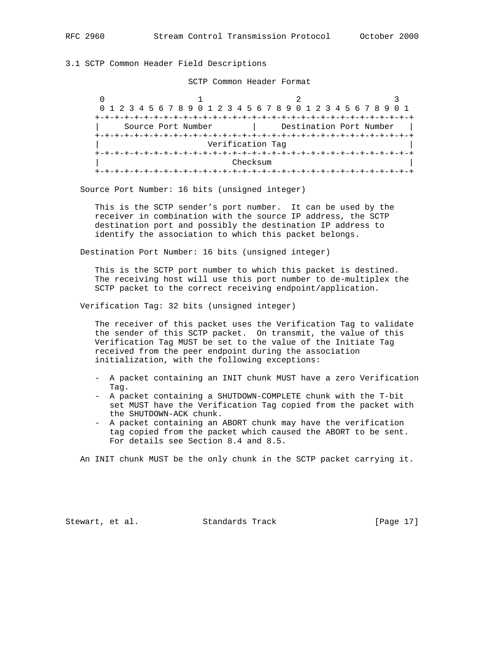3.1 SCTP Common Header Field Descriptions

SCTP Common Header Format

 $0$  1 2 3 0 1 2 3 4 5 6 7 8 9 0 1 2 3 4 5 6 7 8 9 0 1 2 3 4 5 6 7 8 9 0 1 +-+-+-+-+-+-+-+-+-+-+-+-+-+-+-+-+-+-+-+-+-+-+-+-+-+-+-+-+-+-+-+-+ | Source Port Number | Destination Port Number | +-+-+-+-+-+-+-+-+-+-+-+-+-+-+-+-+-+-+-+-+-+-+-+-+-+-+-+-+-+-+-+-+ | Verification Tag | +-+-+-+-+-+-+-+-+-+-+-+-+-+-+-+-+-+-+-+-+-+-+-+-+-+-+-+-+-+-+-+-+ Checksum +-+-+-+-+-+-+-+-+-+-+-+-+-+-+-+-+-+-+-+-+-+-+-+-+-+-+-+-+-+-+-+-+

Source Port Number: 16 bits (unsigned integer)

 This is the SCTP sender's port number. It can be used by the receiver in combination with the source IP address, the SCTP destination port and possibly the destination IP address to identify the association to which this packet belongs.

Destination Port Number: 16 bits (unsigned integer)

 This is the SCTP port number to which this packet is destined. The receiving host will use this port number to de-multiplex the SCTP packet to the correct receiving endpoint/application.

Verification Tag: 32 bits (unsigned integer)

 The receiver of this packet uses the Verification Tag to validate the sender of this SCTP packet. On transmit, the value of this Verification Tag MUST be set to the value of the Initiate Tag received from the peer endpoint during the association initialization, with the following exceptions:

- A packet containing an INIT chunk MUST have a zero Verification Tag.
- A packet containing a SHUTDOWN-COMPLETE chunk with the T-bit set MUST have the Verification Tag copied from the packet with the SHUTDOWN-ACK chunk.
- A packet containing an ABORT chunk may have the verification tag copied from the packet which caused the ABORT to be sent. For details see Section 8.4 and 8.5.

An INIT chunk MUST be the only chunk in the SCTP packet carrying it.

Stewart, et al. Standards Track [Page 17]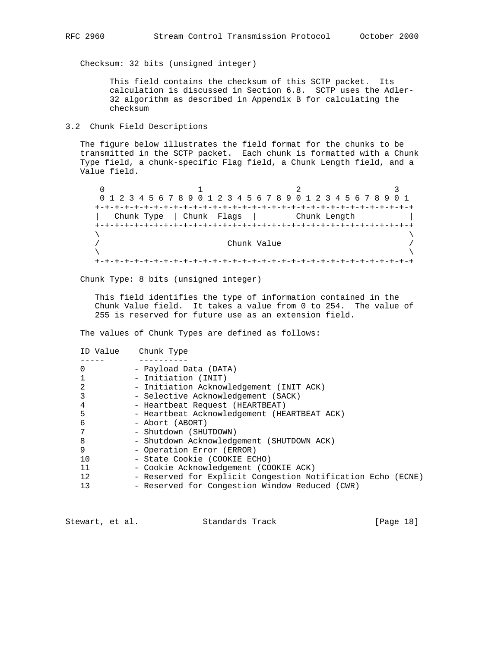Checksum: 32 bits (unsigned integer)

 This field contains the checksum of this SCTP packet. Its calculation is discussed in Section 6.8. SCTP uses the Adler- 32 algorithm as described in Appendix B for calculating the checksum

## 3.2 Chunk Field Descriptions

 The figure below illustrates the field format for the chunks to be transmitted in the SCTP packet. Each chunk is formatted with a Chunk Type field, a chunk-specific Flag field, a Chunk Length field, and a Value field.

0  $1$  2 3 0 1 2 3 4 5 6 7 8 9 0 1 2 3 4 5 6 7 8 9 0 1 2 3 4 5 6 7 8 9 0 1 +-+-+-+-+-+-+-+-+-+-+-+-+-+-+-+-+-+-+-+-+-+-+-+-+-+-+-+-+-+-+-+-+ | Chunk Type | Chunk Flags | Chunk Length | +-+-+-+-+-+-+-+-+-+-+-+-+-+-+-+-+-+-+-+-+-+-+-+-+-+-+-+-+-+-+-+-+  $\lambda$  and  $\lambda$  and  $\lambda$  and  $\lambda$  and  $\lambda$  and  $\lambda$  and  $\lambda$  and  $\lambda$  and  $\lambda$  and  $\lambda$  and  $\lambda$  and  $\lambda$  and  $\lambda$  and  $\lambda$  and  $\lambda$  and  $\lambda$  and  $\lambda$  and  $\lambda$  and  $\lambda$  and  $\lambda$  and  $\lambda$  and  $\lambda$  and  $\lambda$  and  $\lambda$  and  $\lambda$  / Chunk Value /  $\lambda$  and  $\lambda$  and  $\lambda$  and  $\lambda$  and  $\lambda$  and  $\lambda$  and  $\lambda$  and  $\lambda$  and  $\lambda$  and  $\lambda$  and  $\lambda$  and  $\lambda$  and  $\lambda$  and  $\lambda$  and  $\lambda$  and  $\lambda$  and  $\lambda$  and  $\lambda$  and  $\lambda$  and  $\lambda$  and  $\lambda$  and  $\lambda$  and  $\lambda$  and  $\lambda$  and  $\lambda$  +-+-+-+-+-+-+-+-+-+-+-+-+-+-+-+-+-+-+-+-+-+-+-+-+-+-+-+-+-+-+-+-+

Chunk Type: 8 bits (unsigned integer)

 This field identifies the type of information contained in the Chunk Value field. It takes a value from 0 to 254. The value of 255 is reserved for future use as an extension field.

The values of Chunk Types are defined as follows:

| ID Value | Chunk Type                                                  |
|----------|-------------------------------------------------------------|
|          |                                                             |
| 0        | - Payload Data (DATA)                                       |
|          | - Initiation (INIT)                                         |
| 2        | - Initiation Acknowledgement (INIT ACK)                     |
| 3        | - Selective Acknowledgement (SACK)                          |
| 4        | - Heartbeat Request (HEARTBEAT)                             |
| 5        | - Heartbeat Acknowledgement (HEARTBEAT ACK)                 |
| 6        | - Abort (ABORT)                                             |
| 7        | - Shutdown (SHUTDOWN)                                       |
| 8        | - Shutdown Acknowledgement (SHUTDOWN ACK)                   |
| 9        | - Operation Error (ERROR)                                   |
| 10       | - State Cookie (COOKIE ECHO)                                |
| 11       | - Cookie Acknowledgement (COOKIE ACK)                       |
| 12       | - Reserved for Explicit Congestion Notification Echo (ECNE) |
| 13       | - Reserved for Congestion Window Reduced (CWR)              |

Stewart, et al. Standards Track [Page 18]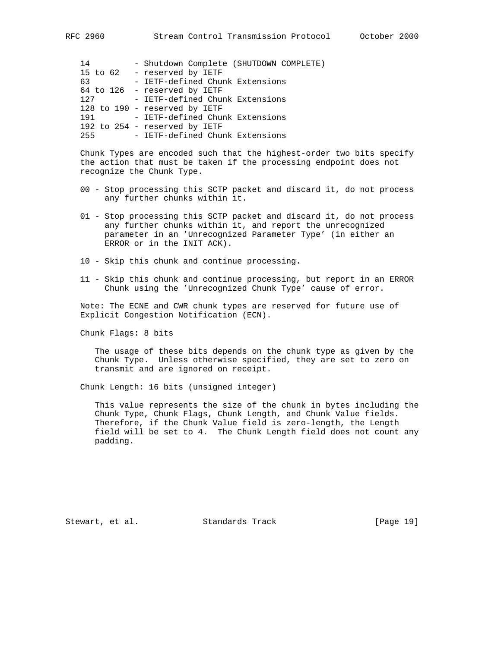| 14  | - Shutdown Complete (SHUTDOWN COMPLETE) |
|-----|-----------------------------------------|
|     | 15 to 62 - reserved by IETF             |
| 63  | - IETF-defined Chunk Extensions         |
|     | 64 to 126 - reserved by IETF            |
| 127 | - IETF-defined Chunk Extensions         |
|     | 128 to 190 - reserved by IETF           |
| 191 | - IETF-defined Chunk Extensions         |
|     | 192 to 254 - reserved by IETF           |
| 255 | - IETF-defined Chunk Extensions         |

 Chunk Types are encoded such that the highest-order two bits specify the action that must be taken if the processing endpoint does not recognize the Chunk Type.

- 00 Stop processing this SCTP packet and discard it, do not process any further chunks within it.
- 01 Stop processing this SCTP packet and discard it, do not process any further chunks within it, and report the unrecognized parameter in an 'Unrecognized Parameter Type' (in either an ERROR or in the INIT ACK).
- 10 Skip this chunk and continue processing.
- 11 Skip this chunk and continue processing, but report in an ERROR Chunk using the 'Unrecognized Chunk Type' cause of error.

 Note: The ECNE and CWR chunk types are reserved for future use of Explicit Congestion Notification (ECN).

Chunk Flags: 8 bits

 The usage of these bits depends on the chunk type as given by the Chunk Type. Unless otherwise specified, they are set to zero on transmit and are ignored on receipt.

Chunk Length: 16 bits (unsigned integer)

 This value represents the size of the chunk in bytes including the Chunk Type, Chunk Flags, Chunk Length, and Chunk Value fields. Therefore, if the Chunk Value field is zero-length, the Length field will be set to 4. The Chunk Length field does not count any padding.

Stewart, et al. Standards Track [Page 19]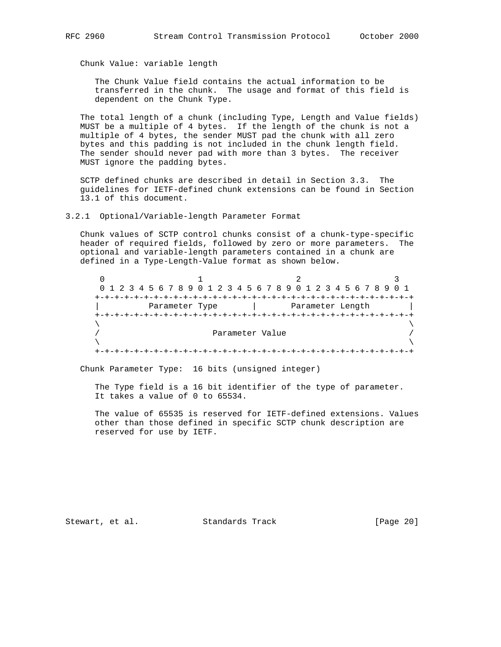Chunk Value: variable length

 The Chunk Value field contains the actual information to be transferred in the chunk. The usage and format of this field is dependent on the Chunk Type.

 The total length of a chunk (including Type, Length and Value fields) MUST be a multiple of 4 bytes. If the length of the chunk is not a multiple of 4 bytes, the sender MUST pad the chunk with all zero bytes and this padding is not included in the chunk length field. The sender should never pad with more than 3 bytes. The receiver MUST ignore the padding bytes.

 SCTP defined chunks are described in detail in Section 3.3. The guidelines for IETF-defined chunk extensions can be found in Section 13.1 of this document.

3.2.1 Optional/Variable-length Parameter Format

 Chunk values of SCTP control chunks consist of a chunk-type-specific header of required fields, followed by zero or more parameters. The optional and variable-length parameters contained in a chunk are defined in a Type-Length-Value format as shown below.

 $0$  1 2 3 0 1 2 3 4 5 6 7 8 9 0 1 2 3 4 5 6 7 8 9 0 1 2 3 4 5 6 7 8 9 0 1 +-+-+-+-+-+-+-+-+-+-+-+-+-+-+-+-+-+-+-+-+-+-+-+-+-+-+-+-+-+-+-+-+ Parameter Type  $|$  Parameter Length +-+-+-+-+-+-+-+-+-+-+-+-+-+-+-+-+-+-+-+-+-+-+-+-+-+-+-+-+-+-+-+-+  $\lambda$  and  $\lambda$  and  $\lambda$  and  $\lambda$  and  $\lambda$  and  $\lambda$  and  $\lambda$  and  $\lambda$  and  $\lambda$  and  $\lambda$  and  $\lambda$  and  $\lambda$  and  $\lambda$  and  $\lambda$  and  $\lambda$  and  $\lambda$  and  $\lambda$  and  $\lambda$  and  $\lambda$  and  $\lambda$  and  $\lambda$  and  $\lambda$  and  $\lambda$  and  $\lambda$  and  $\lambda$  Parameter Value /  $\lambda$  and  $\lambda$  and  $\lambda$  and  $\lambda$  and  $\lambda$  and  $\lambda$  and  $\lambda$  and  $\lambda$  and  $\lambda$  and  $\lambda$  and  $\lambda$  and  $\lambda$  and  $\lambda$  and  $\lambda$  and  $\lambda$  and  $\lambda$  and  $\lambda$  and  $\lambda$  and  $\lambda$  and  $\lambda$  and  $\lambda$  and  $\lambda$  and  $\lambda$  and  $\lambda$  and  $\lambda$  +-+-+-+-+-+-+-+-+-+-+-+-+-+-+-+-+-+-+-+-+-+-+-+-+-+-+-+-+-+-+-+-+

Chunk Parameter Type: 16 bits (unsigned integer)

 The Type field is a 16 bit identifier of the type of parameter. It takes a value of 0 to 65534.

 The value of 65535 is reserved for IETF-defined extensions. Values other than those defined in specific SCTP chunk description are reserved for use by IETF.

Stewart, et al. Standards Track [Page 20]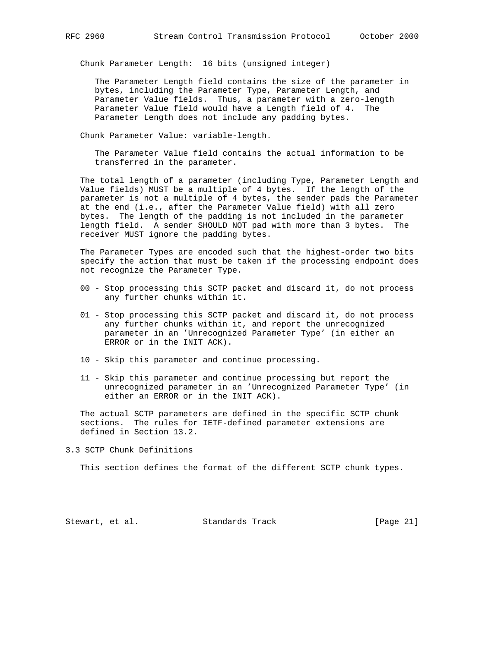Chunk Parameter Length: 16 bits (unsigned integer)

 The Parameter Length field contains the size of the parameter in bytes, including the Parameter Type, Parameter Length, and Parameter Value fields. Thus, a parameter with a zero-length Parameter Value field would have a Length field of 4. The Parameter Length does not include any padding bytes.

Chunk Parameter Value: variable-length.

 The Parameter Value field contains the actual information to be transferred in the parameter.

 The total length of a parameter (including Type, Parameter Length and Value fields) MUST be a multiple of 4 bytes. If the length of the parameter is not a multiple of 4 bytes, the sender pads the Parameter at the end (i.e., after the Parameter Value field) with all zero bytes. The length of the padding is not included in the parameter length field. A sender SHOULD NOT pad with more than 3 bytes. The receiver MUST ignore the padding bytes.

 The Parameter Types are encoded such that the highest-order two bits specify the action that must be taken if the processing endpoint does not recognize the Parameter Type.

- 00 Stop processing this SCTP packet and discard it, do not process any further chunks within it.
- 01 Stop processing this SCTP packet and discard it, do not process any further chunks within it, and report the unrecognized parameter in an 'Unrecognized Parameter Type' (in either an ERROR or in the INIT ACK).
- 10 Skip this parameter and continue processing.
- 11 Skip this parameter and continue processing but report the unrecognized parameter in an 'Unrecognized Parameter Type' (in either an ERROR or in the INIT ACK).

 The actual SCTP parameters are defined in the specific SCTP chunk sections. The rules for IETF-defined parameter extensions are defined in Section 13.2.

3.3 SCTP Chunk Definitions

This section defines the format of the different SCTP chunk types.

Stewart, et al. Standards Track [Page 21]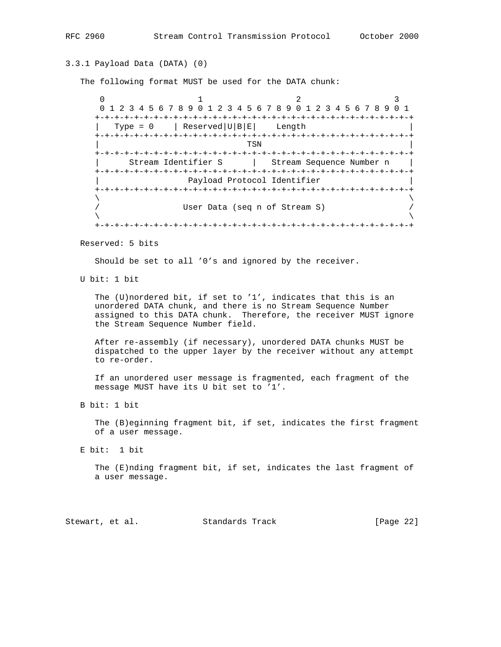# 3.3.1 Payload Data (DATA) (0)

The following format MUST be used for the DATA chunk:

 $0$  1 2 3 0 1 2 3 4 5 6 7 8 9 0 1 2 3 4 5 6 7 8 9 0 1 2 3 4 5 6 7 8 9 0 1 +-+-+-+-+-+-+-+-+-+-+-+-+-+-+-+-+-+-+-+-+-+-+-+-+-+-+-+-+-+-+-+-+ | Type =  $0$  | Reserved | U | B | E | Length +-+-+-+-+-+-+-+-+-+-+-+-+-+-+-+-+-+-+-+-+-+-+-+-+-+-+-+-+-+-+-+-+ | TSN | TSN | TSN | TSN | TSN | TSN | TSN | TSN | TSN | TSN | TSN | TSN | TSN | TSN | TSN | TSN | TSN | TSN | TSN | TSN | TSN | TSN | TSN | TSN | TSN | TSN | TSN | TSN | TSN | TSN | TSN | TSN | TSN | TSN | TSN | TSN | TSN +-+-+-+-+-+-+-+-+-+-+-+-+-+-+-+-+-+-+-+-+-+-+-+-+-+-+-+-+-+-+-+-+ | Stream Identifier S | Stream Sequence Number n | +-+-+-+-+-+-+-+-+-+-+-+-+-+-+-+-+-+-+-+-+-+-+-+-+-+-+-+-+-+-+-+-+ Payload Protocol Identifier +-+-+-+-+-+-+-+-+-+-+-+-+-+-+-+-+-+-+-+-+-+-+-+-+-+-+-+-+-+-+-+-+  $\lambda$  and  $\lambda$  and  $\lambda$  and  $\lambda$  and  $\lambda$  and  $\lambda$  and  $\lambda$  and  $\lambda$  and  $\lambda$  and  $\lambda$  and  $\lambda$  and  $\lambda$  and  $\lambda$  and  $\lambda$  and  $\lambda$  and  $\lambda$  and  $\lambda$  and  $\lambda$  and  $\lambda$  and  $\lambda$  and  $\lambda$  and  $\lambda$  and  $\lambda$  and  $\lambda$  and  $\lambda$  User Data (seq n of Stream S)  $/$  $\lambda$  and  $\lambda$  and  $\lambda$  and  $\lambda$  and  $\lambda$  and  $\lambda$  and  $\lambda$  and  $\lambda$  and  $\lambda$  and  $\lambda$  and  $\lambda$  and  $\lambda$  and  $\lambda$  and  $\lambda$  and  $\lambda$  and  $\lambda$  and  $\lambda$  and  $\lambda$  and  $\lambda$  and  $\lambda$  and  $\lambda$  and  $\lambda$  and  $\lambda$  and  $\lambda$  and  $\lambda$  +-+-+-+-+-+-+-+-+-+-+-+-+-+-+-+-+-+-+-+-+-+-+-+-+-+-+-+-+-+-+-+-+

Reserved: 5 bits

Should be set to all '0's and ignored by the receiver.

U bit: 1 bit

 The (U)nordered bit, if set to '1', indicates that this is an unordered DATA chunk, and there is no Stream Sequence Number assigned to this DATA chunk. Therefore, the receiver MUST ignore the Stream Sequence Number field.

 After re-assembly (if necessary), unordered DATA chunks MUST be dispatched to the upper layer by the receiver without any attempt to re-order.

 If an unordered user message is fragmented, each fragment of the message MUST have its U bit set to '1'.

B bit: 1 bit

 The (B)eginning fragment bit, if set, indicates the first fragment of a user message.

E bit: 1 bit

 The (E)nding fragment bit, if set, indicates the last fragment of a user message.

Stewart, et al. Standards Track [Page 22]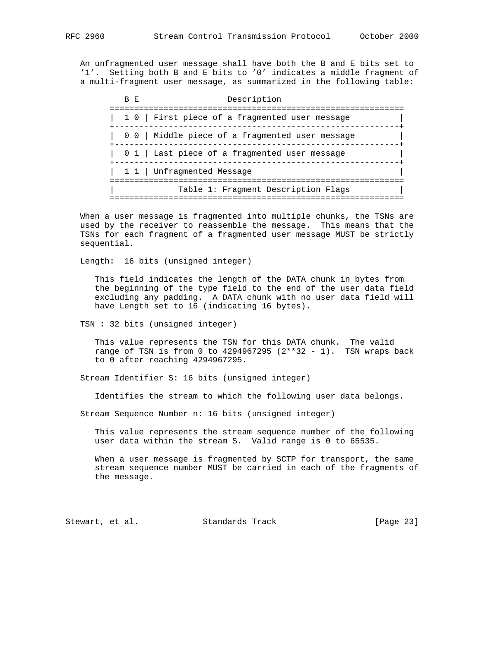An unfragmented user message shall have both the B and E bits set to '1'. Setting both B and E bits to '0' indicates a middle fragment of a multi-fragment user message, as summarized in the following table:

B E Description ============================================================ | 1 0 | First piece of a fragmented user message +----------------------------------------------------------+ | 0 0 | Middle piece of a fragmented user message +----------------------------------------------------------+ | 0 1 | Last piece of a fragmented user message | +----------------------------------------------------------+ | 1 1 | Unfragmented Message ============================================================ | Table 1: Fragment Description Flags | ============================================================

 When a user message is fragmented into multiple chunks, the TSNs are used by the receiver to reassemble the message. This means that the TSNs for each fragment of a fragmented user message MUST be strictly sequential.

Length: 16 bits (unsigned integer)

 This field indicates the length of the DATA chunk in bytes from the beginning of the type field to the end of the user data field excluding any padding. A DATA chunk with no user data field will have Length set to 16 (indicating 16 bytes).

TSN : 32 bits (unsigned integer)

 This value represents the TSN for this DATA chunk. The valid range of TSN is from 0 to  $4294967295$   $(2**32 - 1)$ . TSN wraps back to 0 after reaching 4294967295.

Stream Identifier S: 16 bits (unsigned integer)

Identifies the stream to which the following user data belongs.

Stream Sequence Number n: 16 bits (unsigned integer)

 This value represents the stream sequence number of the following user data within the stream S. Valid range is 0 to 65535.

 When a user message is fragmented by SCTP for transport, the same stream sequence number MUST be carried in each of the fragments of the message.

Stewart, et al. Standards Track [Page 23]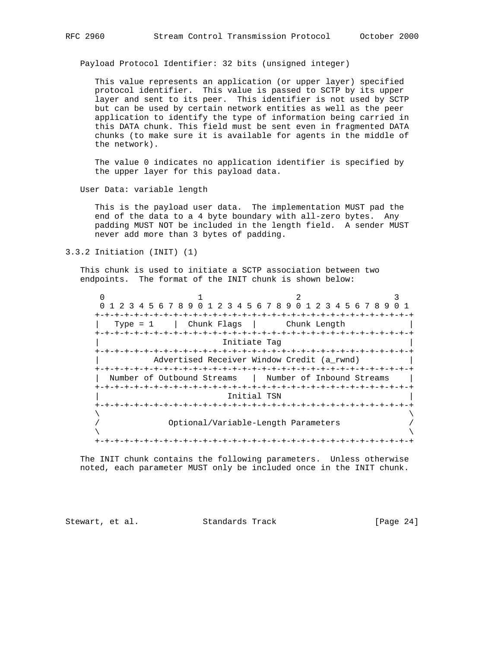Payload Protocol Identifier: 32 bits (unsigned integer)

 This value represents an application (or upper layer) specified protocol identifier. This value is passed to SCTP by its upper layer and sent to its peer. This identifier is not used by SCTP but can be used by certain network entities as well as the peer application to identify the type of information being carried in this DATA chunk. This field must be sent even in fragmented DATA chunks (to make sure it is available for agents in the middle of the network).

 The value 0 indicates no application identifier is specified by the upper layer for this payload data.

User Data: variable length

 This is the payload user data. The implementation MUST pad the end of the data to a 4 byte boundary with all-zero bytes. Any padding MUST NOT be included in the length field. A sender MUST never add more than 3 bytes of padding.

3.3.2 Initiation (INIT) (1)

 This chunk is used to initiate a SCTP association between two endpoints. The format of the INIT chunk is shown below:

0  $1$  2 3 0 1 2 3 4 5 6 7 8 9 0 1 2 3 4 5 6 7 8 9 0 1 2 3 4 5 6 7 8 9 0 1 +-+-+-+-+-+-+-+-+-+-+-+-+-+-+-+-+-+-+-+-+-+-+-+-+-+-+-+-+-+-+-+-+ | Type = 1 | Chunk Flags | Chunk Length | +-+-+-+-+-+-+-+-+-+-+-+-+-+-+-+-+-+-+-+-+-+-+-+-+-+-+-+-+-+-+-+-+ Initiate Tag +-+-+-+-+-+-+-+-+-+-+-+-+-+-+-+-+-+-+-+-+-+-+-+-+-+-+-+-+-+-+-+-+ Advertised Receiver Window Credit (a rwnd) +-+-+-+-+-+-+-+-+-+-+-+-+-+-+-+-+-+-+-+-+-+-+-+-+-+-+-+-+-+-+-+-+ Number of Outbound Streams | Number of Inbound Streams +-+-+-+-+-+-+-+-+-+-+-+-+-+-+-+-+-+-+-+-+-+-+-+-+-+-+-+-+-+-+-+-+ | Initial TSN | +-+-+-+-+-+-+-+-+-+-+-+-+-+-+-+-+-+-+-+-+-+-+-+-+-+-+-+-+-+-+-+-+  $\lambda$  and  $\lambda$  and  $\lambda$  and  $\lambda$  and  $\lambda$  and  $\lambda$  and  $\lambda$  and  $\lambda$  and  $\lambda$  and  $\lambda$  and  $\lambda$  and  $\lambda$  and  $\lambda$  and  $\lambda$  and  $\lambda$  and  $\lambda$  and  $\lambda$  and  $\lambda$  and  $\lambda$  and  $\lambda$  and  $\lambda$  and  $\lambda$  and  $\lambda$  and  $\lambda$  and  $\lambda$  / Optional/Variable-Length Parameters /  $\lambda$  and  $\lambda$  and  $\lambda$  and  $\lambda$  and  $\lambda$  and  $\lambda$  and  $\lambda$  and  $\lambda$  and  $\lambda$  and  $\lambda$  and  $\lambda$  and  $\lambda$  and  $\lambda$  and  $\lambda$  and  $\lambda$  and  $\lambda$  and  $\lambda$  and  $\lambda$  and  $\lambda$  and  $\lambda$  and  $\lambda$  and  $\lambda$  and  $\lambda$  and  $\lambda$  and  $\lambda$  +-+-+-+-+-+-+-+-+-+-+-+-+-+-+-+-+-+-+-+-+-+-+-+-+-+-+-+-+-+-+-+-+

 The INIT chunk contains the following parameters. Unless otherwise noted, each parameter MUST only be included once in the INIT chunk.

Stewart, et al. Standards Track [Page 24]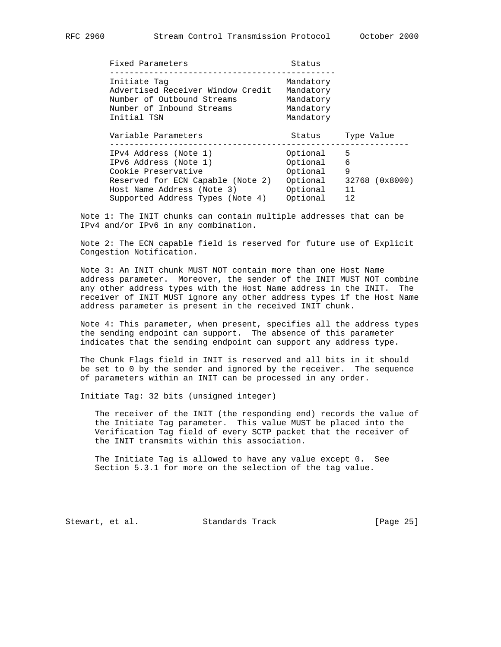| Fixed Parameters                                                                                                                                                             | Status                                                               |                                           |
|------------------------------------------------------------------------------------------------------------------------------------------------------------------------------|----------------------------------------------------------------------|-------------------------------------------|
| Initiate Tag<br>Advertised Receiver Window Credit<br>Number of Outbound Streams<br>Number of Inbound Streams<br>Initial TSN                                                  | Mandatory<br>Mandatory<br>Mandatory<br>Mandatory<br>Mandatory        |                                           |
| Variable Parameters                                                                                                                                                          | Status                                                               | Type Value                                |
| IPv4 Address (Note 1)<br>IPv6 Address (Note 1)<br>Cookie Preservative<br>Reserved for ECN Capable (Note 2)<br>Host Name Address (Note 3)<br>Supported Address Types (Note 4) | Optional<br>Optional<br>Optional<br>Optional<br>Optional<br>Optional | 5<br>6<br>9<br>32768 (0x8000)<br>11<br>12 |

 Note 1: The INIT chunks can contain multiple addresses that can be IPv4 and/or IPv6 in any combination.

 Note 2: The ECN capable field is reserved for future use of Explicit Congestion Notification.

 Note 3: An INIT chunk MUST NOT contain more than one Host Name address parameter. Moreover, the sender of the INIT MUST NOT combine any other address types with the Host Name address in the INIT. The receiver of INIT MUST ignore any other address types if the Host Name address parameter is present in the received INIT chunk.

 Note 4: This parameter, when present, specifies all the address types the sending endpoint can support. The absence of this parameter indicates that the sending endpoint can support any address type.

 The Chunk Flags field in INIT is reserved and all bits in it should be set to 0 by the sender and ignored by the receiver. The sequence of parameters within an INIT can be processed in any order.

Initiate Tag: 32 bits (unsigned integer)

 The receiver of the INIT (the responding end) records the value of the Initiate Tag parameter. This value MUST be placed into the Verification Tag field of every SCTP packet that the receiver of the INIT transmits within this association.

 The Initiate Tag is allowed to have any value except 0. See Section 5.3.1 for more on the selection of the tag value.

Stewart, et al. Standards Track [Page 25]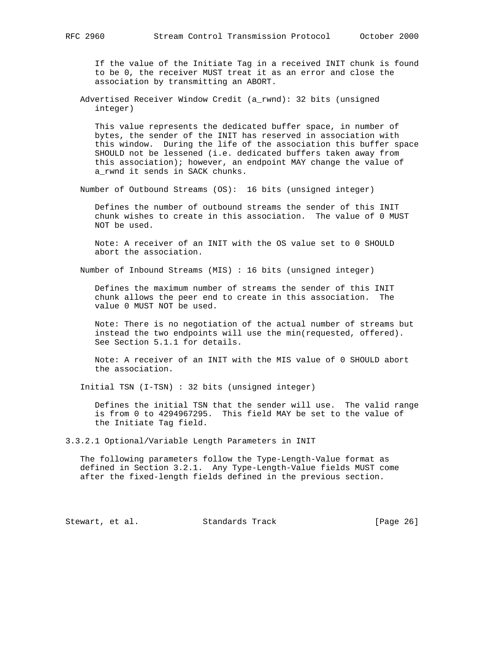If the value of the Initiate Tag in a received INIT chunk is found to be 0, the receiver MUST treat it as an error and close the association by transmitting an ABORT.

 Advertised Receiver Window Credit (a\_rwnd): 32 bits (unsigned integer)

 This value represents the dedicated buffer space, in number of bytes, the sender of the INIT has reserved in association with this window. During the life of the association this buffer space SHOULD not be lessened (i.e. dedicated buffers taken away from this association); however, an endpoint MAY change the value of a\_rwnd it sends in SACK chunks.

Number of Outbound Streams (OS): 16 bits (unsigned integer)

 Defines the number of outbound streams the sender of this INIT chunk wishes to create in this association. The value of 0 MUST NOT be used.

 Note: A receiver of an INIT with the OS value set to 0 SHOULD abort the association.

Number of Inbound Streams (MIS) : 16 bits (unsigned integer)

 Defines the maximum number of streams the sender of this INIT chunk allows the peer end to create in this association. The value 0 MUST NOT be used.

 Note: There is no negotiation of the actual number of streams but instead the two endpoints will use the min(requested, offered). See Section 5.1.1 for details.

 Note: A receiver of an INIT with the MIS value of 0 SHOULD abort the association.

Initial TSN (I-TSN) : 32 bits (unsigned integer)

 Defines the initial TSN that the sender will use. The valid range is from 0 to 4294967295. This field MAY be set to the value of the Initiate Tag field.

3.3.2.1 Optional/Variable Length Parameters in INIT

 The following parameters follow the Type-Length-Value format as defined in Section 3.2.1. Any Type-Length-Value fields MUST come after the fixed-length fields defined in the previous section.

Stewart, et al. Standards Track [Page 26]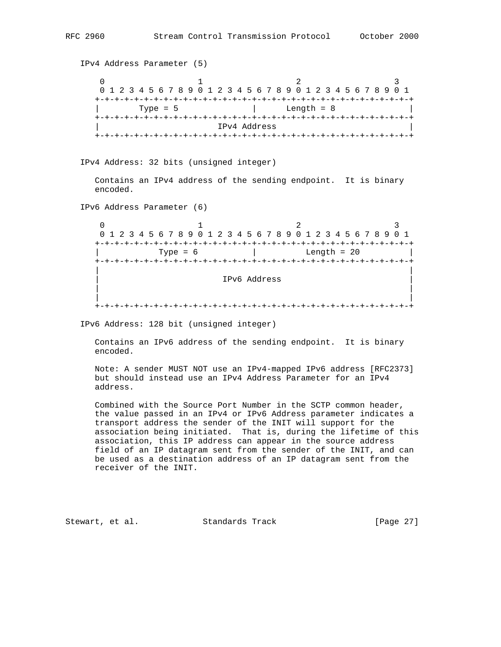```
 IPv4 Address Parameter (5)
0 1 2 3
      0 1 2 3 4 5 6 7 8 9 0 1 2 3 4 5 6 7 8 9 0 1 2 3 4 5 6 7 8 9 0 1
      +-+-+-+-+-+-+-+-+-+-+-+-+-+-+-+-+-+-+-+-+-+-+-+-+-+-+-+-+-+-+-+-+
     | Type = 5 | Length = 8 |
     +-+-+-+-+-+-+-+-+-+-+-+-+-+-+-+-+-+-+-+-+-+-+-+-+-+-+-+-+-+-+-+-+
                          | IPv4 Address |
     +-+-+-+-+-+-+-+-+-+-+-+-+-+-+-+-+-+-+-+-+-+-+-+-+-+-+-+-+-+-+-+-+
   IPv4 Address: 32 bits (unsigned integer)
```
 Contains an IPv4 address of the sending endpoint. It is binary encoded.

IPv6 Address Parameter (6)

 $0$  1 2 3 0 1 2 3 4 5 6 7 8 9 0 1 2 3 4 5 6 7 8 9 0 1 2 3 4 5 6 7 8 9 0 1 +-+-+-+-+-+-+-+-+-+-+-+-+-+-+-+-+-+-+-+-+-+-+-+-+-+-+-+-+-+-+-+-+ | Type = 6 | Length = 20 | +-+-+-+-+-+-+-+-+-+-+-+-+-+-+-+-+-+-+-+-+-+-+-+-+-+-+-+-+-+-+-+-+ | | | IPv6 Address | | | | | +-+-+-+-+-+-+-+-+-+-+-+-+-+-+-+-+-+-+-+-+-+-+-+-+-+-+-+-+-+-+-+-+

IPv6 Address: 128 bit (unsigned integer)

 Contains an IPv6 address of the sending endpoint. It is binary encoded.

 Note: A sender MUST NOT use an IPv4-mapped IPv6 address [RFC2373] but should instead use an IPv4 Address Parameter for an IPv4 address.

 Combined with the Source Port Number in the SCTP common header, the value passed in an IPv4 or IPv6 Address parameter indicates a transport address the sender of the INIT will support for the association being initiated. That is, during the lifetime of this association, this IP address can appear in the source address field of an IP datagram sent from the sender of the INIT, and can be used as a destination address of an IP datagram sent from the receiver of the INIT.

Stewart, et al. Standards Track [Page 27]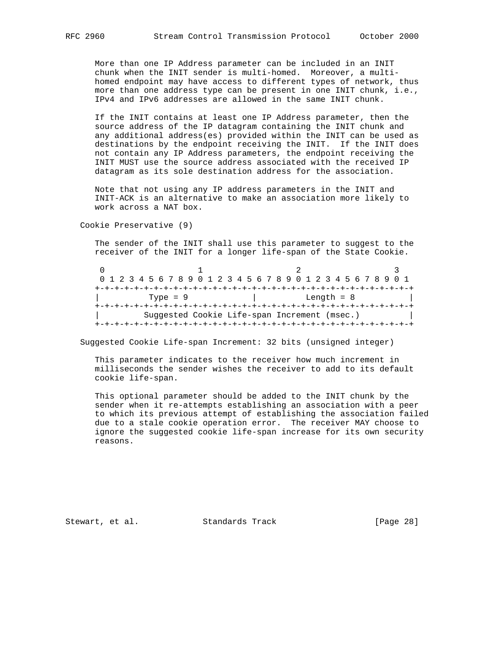More than one IP Address parameter can be included in an INIT chunk when the INIT sender is multi-homed. Moreover, a multi homed endpoint may have access to different types of network, thus more than one address type can be present in one INIT chunk, i.e., IPv4 and IPv6 addresses are allowed in the same INIT chunk.

 If the INIT contains at least one IP Address parameter, then the source address of the IP datagram containing the INIT chunk and any additional address(es) provided within the INIT can be used as destinations by the endpoint receiving the INIT. If the INIT does not contain any IP Address parameters, the endpoint receiving the INIT MUST use the source address associated with the received IP datagram as its sole destination address for the association.

 Note that not using any IP address parameters in the INIT and INIT-ACK is an alternative to make an association more likely to work across a NAT box.

Cookie Preservative (9)

 The sender of the INIT shall use this parameter to suggest to the receiver of the INIT for a longer life-span of the State Cookie.

0  $1$  2 3 0 1 2 3 4 5 6 7 8 9 0 1 2 3 4 5 6 7 8 9 0 1 2 3 4 5 6 7 8 9 0 1 +-+-+-+-+-+-+-+-+-+-+-+-+-+-+-+-+-+-+-+-+-+-+-+-+-+-+-+-+-+-+-+-+ | Type = 9 | Length = 8 | +-+-+-+-+-+-+-+-+-+-+-+-+-+-+-+-+-+-+-+-+-+-+-+-+-+-+-+-+-+-+-+-+ Suggested Cookie Life-span Increment (msec.) +-+-+-+-+-+-+-+-+-+-+-+-+-+-+-+-+-+-+-+-+-+-+-+-+-+-+-+-+-+-+-+-+

Suggested Cookie Life-span Increment: 32 bits (unsigned integer)

 This parameter indicates to the receiver how much increment in milliseconds the sender wishes the receiver to add to its default cookie life-span.

 This optional parameter should be added to the INIT chunk by the sender when it re-attempts establishing an association with a peer to which its previous attempt of establishing the association failed due to a stale cookie operation error. The receiver MAY choose to ignore the suggested cookie life-span increase for its own security reasons.

Stewart, et al. Standards Track [Page 28]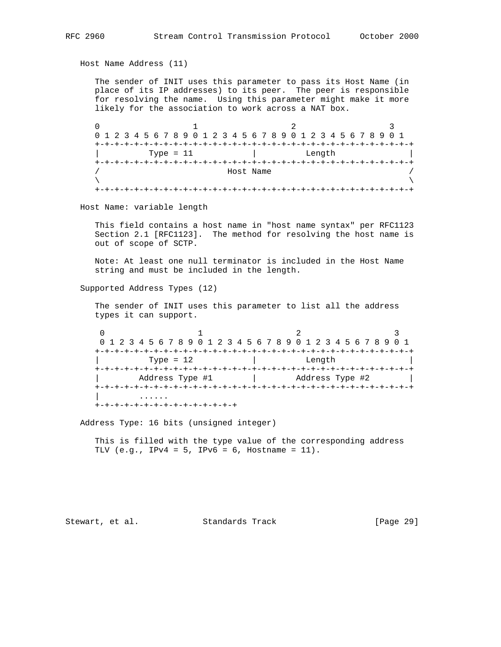```
 Host Name Address (11)
```
 The sender of INIT uses this parameter to pass its Host Name (in place of its IP addresses) to its peer. The peer is responsible for resolving the name. Using this parameter might make it more likely for the association to work across a NAT box.

 $0$  and  $1$  and  $2$  3 0 1 2 3 4 5 6 7 8 9 0 1 2 3 4 5 6 7 8 9 0 1 2 3 4 5 6 7 8 9 0 1 +-+-+-+-+-+-+-+-+-+-+-+-+-+-+-+-+-+-+-+-+-+-+-+-+-+-+-+-+-+-+-+-+ Type = 11 | Length +-+-+-+-+-+-+-+-+-+-+-+-+-+-+-+-+-+-+-+-+-+-+-+-+-+-+-+-+-+-+-+-+ Host Name  $\lambda$  and  $\lambda$  and  $\lambda$  and  $\lambda$  and  $\lambda$  and  $\lambda$  and  $\lambda$  and  $\lambda$  and  $\lambda$  and  $\lambda$  and  $\lambda$  and  $\lambda$  and  $\lambda$  and  $\lambda$  and  $\lambda$  and  $\lambda$  and  $\lambda$  and  $\lambda$  and  $\lambda$  and  $\lambda$  and  $\lambda$  and  $\lambda$  and  $\lambda$  and  $\lambda$  and  $\lambda$  +-+-+-+-+-+-+-+-+-+-+-+-+-+-+-+-+-+-+-+-+-+-+-+-+-+-+-+-+-+-+-+-+

Host Name: variable length

 This field contains a host name in "host name syntax" per RFC1123 Section 2.1 [RFC1123]. The method for resolving the host name is out of scope of SCTP.

 Note: At least one null terminator is included in the Host Name string and must be included in the length.

Supported Address Types (12)

 The sender of INIT uses this parameter to list all the address types it can support.

 $0$  1 2 3 0 1 2 3 4 5 6 7 8 9 0 1 2 3 4 5 6 7 8 9 0 1 2 3 4 5 6 7 8 9 0 1 +-+-+-+-+-+-+-+-+-+-+-+-+-+-+-+-+-+-+-+-+-+-+-+-+-+-+-+-+-+-+-+-+ Type = 12 | Length +-+-+-+-+-+-+-+-+-+-+-+-+-+-+-+-+-+-+-+-+-+-+-+-+-+-+-+-+-+-+-+-+ Address Type #1 | Address Type #2 +-+-+-+-+-+-+-+-+-+-+-+-+-+-+-+-+-+-+-+-+-+-+-+-+-+-+-+-+-+-+-+-+ | ...... +-+-+-+-+-+-+-+-+-+-+-+-+-+-+

Address Type: 16 bits (unsigned integer)

 This is filled with the type value of the corresponding address TLV  $(e.g., IPv4 = 5, IPv6 = 6, Hostname = 11)$ .

Stewart, et al. Standards Track [Page 29]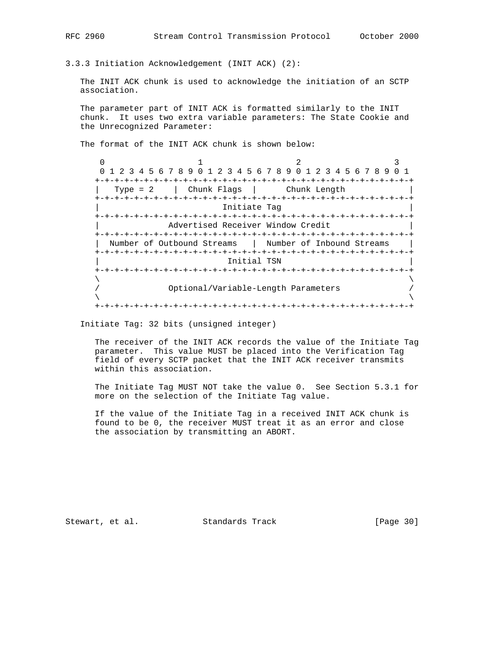3.3.3 Initiation Acknowledgement (INIT ACK) (2):

 The INIT ACK chunk is used to acknowledge the initiation of an SCTP association.

 The parameter part of INIT ACK is formatted similarly to the INIT chunk. It uses two extra variable parameters: The State Cookie and the Unrecognized Parameter:

The format of the INIT ACK chunk is shown below:

0  $1$  2 3 0 1 2 3 4 5 6 7 8 9 0 1 2 3 4 5 6 7 8 9 0 1 2 3 4 5 6 7 8 9 0 1 +-+-+-+-+-+-+-+-+-+-+-+-+-+-+-+-+-+-+-+-+-+-+-+-+-+-+-+-+-+-+-+-+ | Type = 2 | Chunk Flags | Chunk Length | +-+-+-+-+-+-+-+-+-+-+-+-+-+-+-+-+-+-+-+-+-+-+-+-+-+-+-+-+-+-+-+-+ Initiate Tag +-+-+-+-+-+-+-+-+-+-+-+-+-+-+-+-+-+-+-+-+-+-+-+-+-+-+-+-+-+-+-+-+ Advertised Receiver Window Credit +-+-+-+-+-+-+-+-+-+-+-+-+-+-+-+-+-+-+-+-+-+-+-+-+-+-+-+-+-+-+-+-+ | Number of Outbound Streams | Number of Inbound Streams | +-+-+-+-+-+-+-+-+-+-+-+-+-+-+-+-+-+-+-+-+-+-+-+-+-+-+-+-+-+-+-+-+ | Initial TSN | +-+-+-+-+-+-+-+-+-+-+-+-+-+-+-+-+-+-+-+-+-+-+-+-+-+-+-+-+-+-+-+-+  $\lambda$  and  $\lambda$  and  $\lambda$  and  $\lambda$  and  $\lambda$  and  $\lambda$  and  $\lambda$  and  $\lambda$  and  $\lambda$  and  $\lambda$  and  $\lambda$  and  $\lambda$  and  $\lambda$  and  $\lambda$  and  $\lambda$  and  $\lambda$  and  $\lambda$  and  $\lambda$  and  $\lambda$  and  $\lambda$  and  $\lambda$  and  $\lambda$  and  $\lambda$  and  $\lambda$  and  $\lambda$  / Optional/Variable-Length Parameters /  $\lambda$  and  $\lambda$  and  $\lambda$  and  $\lambda$  and  $\lambda$  and  $\lambda$  and  $\lambda$  and  $\lambda$  and  $\lambda$  and  $\lambda$  and  $\lambda$  and  $\lambda$  and  $\lambda$  and  $\lambda$  and  $\lambda$  and  $\lambda$  and  $\lambda$  and  $\lambda$  and  $\lambda$  and  $\lambda$  and  $\lambda$  and  $\lambda$  and  $\lambda$  and  $\lambda$  and  $\lambda$  +-+-+-+-+-+-+-+-+-+-+-+-+-+-+-+-+-+-+-+-+-+-+-+-+-+-+-+-+-+-+-+-+

Initiate Tag: 32 bits (unsigned integer)

 The receiver of the INIT ACK records the value of the Initiate Tag parameter. This value MUST be placed into the Verification Tag field of every SCTP packet that the INIT ACK receiver transmits within this association.

 The Initiate Tag MUST NOT take the value 0. See Section 5.3.1 for more on the selection of the Initiate Tag value.

 If the value of the Initiate Tag in a received INIT ACK chunk is found to be 0, the receiver MUST treat it as an error and close the association by transmitting an ABORT.

Stewart, et al. Standards Track [Page 30]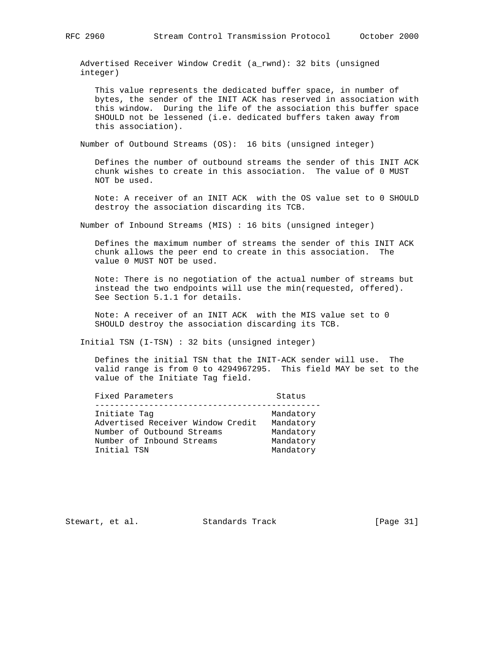Advertised Receiver Window Credit (a\_rwnd): 32 bits (unsigned integer)

 This value represents the dedicated buffer space, in number of bytes, the sender of the INIT ACK has reserved in association with this window. During the life of the association this buffer space SHOULD not be lessened (i.e. dedicated buffers taken away from this association).

Number of Outbound Streams (OS): 16 bits (unsigned integer)

 Defines the number of outbound streams the sender of this INIT ACK chunk wishes to create in this association. The value of 0 MUST NOT be used.

 Note: A receiver of an INIT ACK with the OS value set to 0 SHOULD destroy the association discarding its TCB.

Number of Inbound Streams (MIS) : 16 bits (unsigned integer)

 Defines the maximum number of streams the sender of this INIT ACK chunk allows the peer end to create in this association. The value 0 MUST NOT be used.

 Note: There is no negotiation of the actual number of streams but instead the two endpoints will use the min(requested, offered). See Section 5.1.1 for details.

 Note: A receiver of an INIT ACK with the MIS value set to 0 SHOULD destroy the association discarding its TCB.

Initial TSN (I-TSN) : 32 bits (unsigned integer)

 Defines the initial TSN that the INIT-ACK sender will use. The valid range is from 0 to 4294967295. This field MAY be set to the value of the Initiate Tag field.

| Fixed Parameters                  | Status    |
|-----------------------------------|-----------|
| Initiate Tag                      | Mandatory |
| Advertised Receiver Window Credit | Mandatory |
| Number of Outbound Streams        | Mandatory |
| Number of Inbound Streams         | Mandatory |
| Initial TSN                       | Mandatory |

Stewart, et al. Standards Track [Page 31]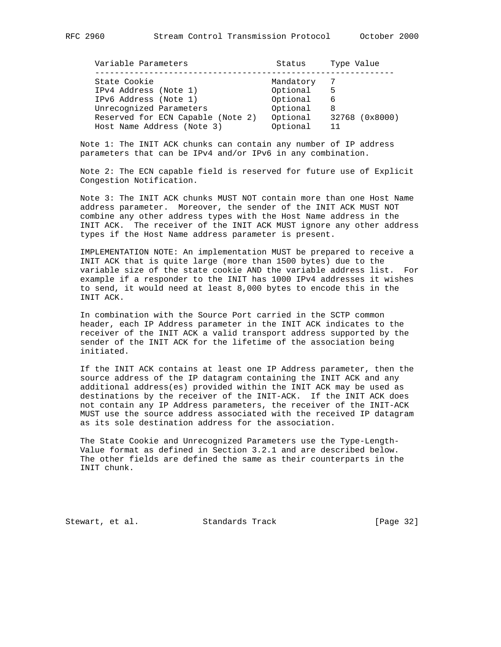| Variable Parameters               | Status    | Type Value     |
|-----------------------------------|-----------|----------------|
|                                   |           |                |
| State Cookie                      | Mandatory | -7             |
| IPv4 Address (Note 1)             | Optional  | 5              |
| IPv6 Address (Note 1)             | Optional  | 6              |
| Unrecognized Parameters           | Optional  | 8              |
| Reserved for ECN Capable (Note 2) | Optional  | 32768 (0x8000) |
| Host Name Address (Note 3)        | Optional  | 11             |

 Note 1: The INIT ACK chunks can contain any number of IP address parameters that can be IPv4 and/or IPv6 in any combination.

 Note 2: The ECN capable field is reserved for future use of Explicit Congestion Notification.

 Note 3: The INIT ACK chunks MUST NOT contain more than one Host Name address parameter. Moreover, the sender of the INIT ACK MUST NOT combine any other address types with the Host Name address in the INIT ACK. The receiver of the INIT ACK MUST ignore any other address types if the Host Name address parameter is present.

 IMPLEMENTATION NOTE: An implementation MUST be prepared to receive a INIT ACK that is quite large (more than 1500 bytes) due to the variable size of the state cookie AND the variable address list. For example if a responder to the INIT has 1000 IPv4 addresses it wishes to send, it would need at least 8,000 bytes to encode this in the INIT ACK.

 In combination with the Source Port carried in the SCTP common header, each IP Address parameter in the INIT ACK indicates to the receiver of the INIT ACK a valid transport address supported by the sender of the INIT ACK for the lifetime of the association being initiated.

 If the INIT ACK contains at least one IP Address parameter, then the source address of the IP datagram containing the INIT ACK and any additional address(es) provided within the INIT ACK may be used as destinations by the receiver of the INIT-ACK. If the INIT ACK does not contain any IP Address parameters, the receiver of the INIT-ACK MUST use the source address associated with the received IP datagram as its sole destination address for the association.

 The State Cookie and Unrecognized Parameters use the Type-Length- Value format as defined in Section 3.2.1 and are described below. The other fields are defined the same as their counterparts in the INIT chunk.

Stewart, et al. Standards Track [Page 32]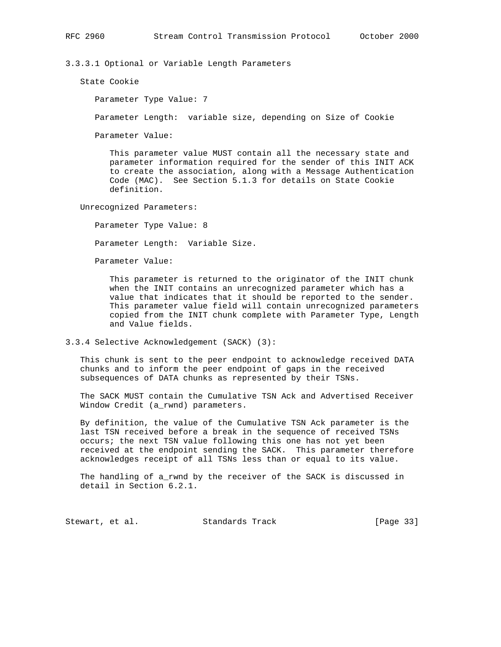3.3.3.1 Optional or Variable Length Parameters

State Cookie

Parameter Type Value: 7

Parameter Length: variable size, depending on Size of Cookie

Parameter Value:

 This parameter value MUST contain all the necessary state and parameter information required for the sender of this INIT ACK to create the association, along with a Message Authentication Code (MAC). See Section 5.1.3 for details on State Cookie definition.

Unrecognized Parameters:

Parameter Type Value: 8

Parameter Length: Variable Size.

Parameter Value:

 This parameter is returned to the originator of the INIT chunk when the INIT contains an unrecognized parameter which has a value that indicates that it should be reported to the sender. This parameter value field will contain unrecognized parameters copied from the INIT chunk complete with Parameter Type, Length and Value fields.

3.3.4 Selective Acknowledgement (SACK) (3):

 This chunk is sent to the peer endpoint to acknowledge received DATA chunks and to inform the peer endpoint of gaps in the received subsequences of DATA chunks as represented by their TSNs.

 The SACK MUST contain the Cumulative TSN Ack and Advertised Receiver Window Credit (a\_rwnd) parameters.

 By definition, the value of the Cumulative TSN Ack parameter is the last TSN received before a break in the sequence of received TSNs occurs; the next TSN value following this one has not yet been received at the endpoint sending the SACK. This parameter therefore acknowledges receipt of all TSNs less than or equal to its value.

 The handling of a\_rwnd by the receiver of the SACK is discussed in detail in Section 6.2.1.

Stewart, et al. Standards Track [Page 33]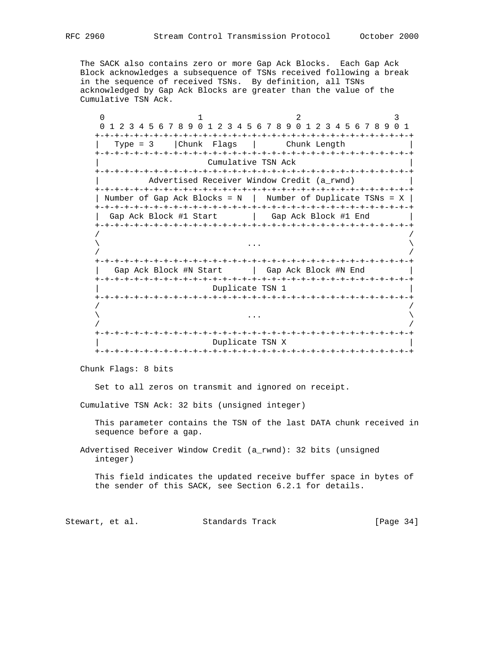The SACK also contains zero or more Gap Ack Blocks. Each Gap Ack Block acknowledges a subsequence of TSNs received following a break in the sequence of received TSNs. By definition, all TSNs acknowledged by Gap Ack Blocks are greater than the value of the

 $0$  1 2 3 0 1 2 3 4 5 6 7 8 9 0 1 2 3 4 5 6 7 8 9 0 1 2 3 4 5 6 7 8 9 0 1 +-+-+-+-+-+-+-+-+-+-+-+-+-+-+-+-+-+-+-+-+-+-+-+-+-+-+-+-+-+-+-+-+ | Type = 3 |Chunk Flags | Chunk Length | +-+-+-+-+-+-+-+-+-+-+-+-+-+-+-+-+-+-+-+-+-+-+-+-+-+-+-+-+-+-+-+-+ Cumulative TSN Ack +-+-+-+-+-+-+-+-+-+-+-+-+-+-+-+-+-+-+-+-+-+-+-+-+-+-+-+-+-+-+-+-+ Advertised Receiver Window Credit (a\_rwnd) +-+-+-+-+-+-+-+-+-+-+-+-+-+-+-+-+-+-+-+-+-+-+-+-+-+-+-+-+-+-+-+-+ | Number of Gap Ack Blocks = N | Number of Duplicate TSNs = X | +-+-+-+-+-+-+-+-+-+-+-+-+-+-+-+-+-+-+-+-+-+-+-+-+-+-+-+-+-+-+-+-+ | Gap Ack Block #1 Start | Gap Ack Block #1 End | +-+-+-+-+-+-+-+-+-+-+-+-+-+-+-+-+-+-+-+-+-+-+-+-+-+-+-+-+-+-+-+-+ / /  $\lambda$  ...  $\lambda$  / / +-+-+-+-+-+-+-+-+-+-+-+-+-+-+-+-+-+-+-+-+-+-+-+-+-+-+-+-+-+-+-+-+ | Gap Ack Block #N Start | Gap Ack Block #N End +-+-+-+-+-+-+-+-+-+-+-+-+-+-+-+-+-+-+-+-+-+-+-+-+-+-+-+-+-+-+-+-+ Duplicate TSN 1 +-+-+-+-+-+-+-+-+-+-+-+-+-+-+-+-+-+-+-+-+-+-+-+-+-+-+-+-+-+-+-+-+ / /  $\lambda$  ...  $\lambda$  / / +-+-+-+-+-+-+-+-+-+-+-+-+-+-+-+-+-+-+-+-+-+-+-+-+-+-+-+-+-+-+-+-+ Duplicate TSN X +-+-+-+-+-+-+-+-+-+-+-+-+-+-+-+-+-+-+-+-+-+-+-+-+-+-+-+-+-+-+-+-+

Chunk Flags: 8 bits

Set to all zeros on transmit and ignored on receipt.

Cumulative TSN Ack: 32 bits (unsigned integer)

 This parameter contains the TSN of the last DATA chunk received in sequence before a gap.

 Advertised Receiver Window Credit (a\_rwnd): 32 bits (unsigned integer)

 This field indicates the updated receive buffer space in bytes of the sender of this SACK, see Section 6.2.1 for details.

Stewart, et al. Standards Track [Page 34]

Cumulative TSN Ack.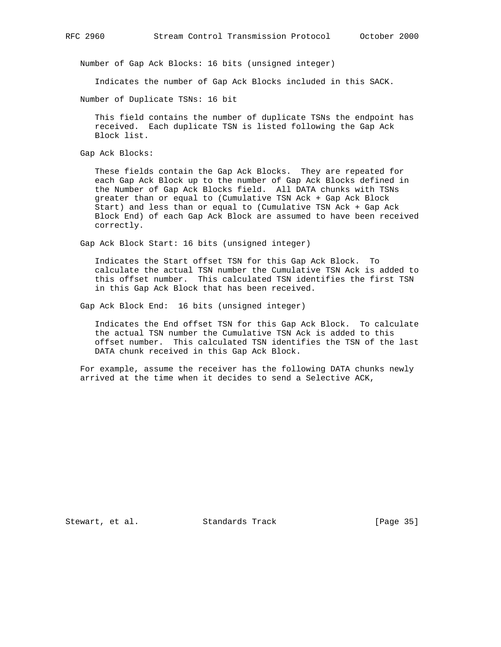Number of Gap Ack Blocks: 16 bits (unsigned integer)

Indicates the number of Gap Ack Blocks included in this SACK.

Number of Duplicate TSNs: 16 bit

 This field contains the number of duplicate TSNs the endpoint has received. Each duplicate TSN is listed following the Gap Ack Block list.

Gap Ack Blocks:

 These fields contain the Gap Ack Blocks. They are repeated for each Gap Ack Block up to the number of Gap Ack Blocks defined in the Number of Gap Ack Blocks field. All DATA chunks with TSNs greater than or equal to (Cumulative TSN Ack + Gap Ack Block Start) and less than or equal to (Cumulative TSN Ack + Gap Ack Block End) of each Gap Ack Block are assumed to have been received correctly.

Gap Ack Block Start: 16 bits (unsigned integer)

 Indicates the Start offset TSN for this Gap Ack Block. To calculate the actual TSN number the Cumulative TSN Ack is added to this offset number. This calculated TSN identifies the first TSN in this Gap Ack Block that has been received.

Gap Ack Block End: 16 bits (unsigned integer)

 Indicates the End offset TSN for this Gap Ack Block. To calculate the actual TSN number the Cumulative TSN Ack is added to this offset number. This calculated TSN identifies the TSN of the last DATA chunk received in this Gap Ack Block.

 For example, assume the receiver has the following DATA chunks newly arrived at the time when it decides to send a Selective ACK,

Stewart, et al. Standards Track [Page 35]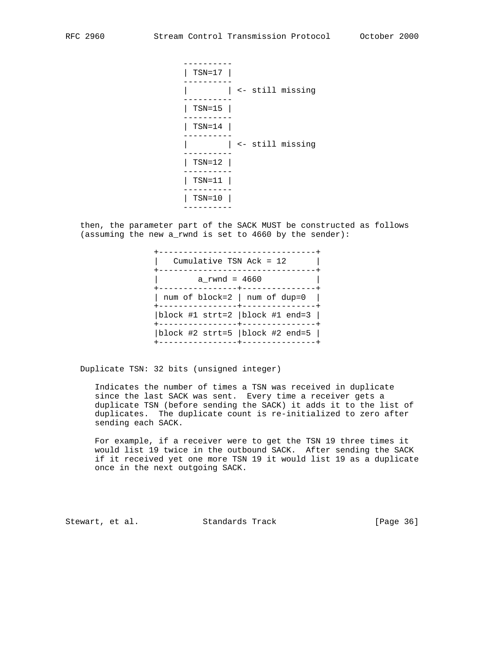---------- | TSN=17 | ---------- | | <- still missing ---------- | TSN=15 | ---------- | TSN=14 | ---------- | | <- still missing ---------- | TSN=12 | ---------- | TSN=11 | ---------- | TSN=10 | ----------

 then, the parameter part of the SACK MUST be constructed as follows (assuming the new a\_rwnd is set to 4660 by the sender):



Duplicate TSN: 32 bits (unsigned integer)

 Indicates the number of times a TSN was received in duplicate since the last SACK was sent. Every time a receiver gets a duplicate TSN (before sending the SACK) it adds it to the list of duplicates. The duplicate count is re-initialized to zero after sending each SACK.

 For example, if a receiver were to get the TSN 19 three times it would list 19 twice in the outbound SACK. After sending the SACK if it received yet one more TSN 19 it would list 19 as a duplicate once in the next outgoing SACK.

Stewart, et al. Standards Track [Page 36]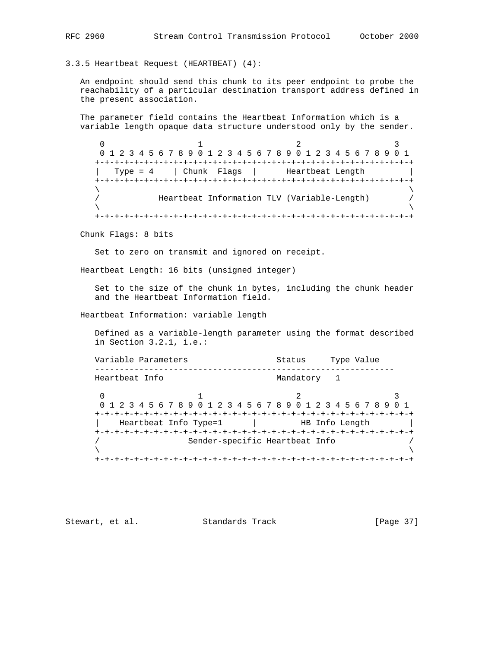3.3.5 Heartbeat Request (HEARTBEAT) (4):

 An endpoint should send this chunk to its peer endpoint to probe the reachability of a particular destination transport address defined in the present association.

 The parameter field contains the Heartbeat Information which is a variable length opaque data structure understood only by the sender.

 $0$  1 2 3 0 1 2 3 4 5 6 7 8 9 0 1 2 3 4 5 6 7 8 9 0 1 2 3 4 5 6 7 8 9 0 1 +-+-+-+-+-+-+-+-+-+-+-+-+-+-+-+-+-+-+-+-+-+-+-+-+-+-+-+-+-+-+-+-+ | Type = 4 | Chunk Flags | Heartbeat Length +-+-+-+-+-+-+-+-+-+-+-+-+-+-+-+-+-+-+-+-+-+-+-+-+-+-+-+-+-+-+-+-+  $\lambda$  and  $\lambda$  and  $\lambda$  and  $\lambda$  and  $\lambda$  and  $\lambda$  and  $\lambda$  and  $\lambda$  and  $\lambda$  and  $\lambda$  and  $\lambda$  and  $\lambda$  and  $\lambda$  and  $\lambda$  and  $\lambda$  and  $\lambda$  and  $\lambda$  and  $\lambda$  and  $\lambda$  and  $\lambda$  and  $\lambda$  and  $\lambda$  and  $\lambda$  and  $\lambda$  and  $\lambda$  / Heartbeat Information TLV (Variable-Length) /  $\lambda$  and  $\lambda$  and  $\lambda$  and  $\lambda$  and  $\lambda$  and  $\lambda$  and  $\lambda$  and  $\lambda$  and  $\lambda$  and  $\lambda$  and  $\lambda$  and  $\lambda$  and  $\lambda$  and  $\lambda$  and  $\lambda$  and  $\lambda$  and  $\lambda$  and  $\lambda$  and  $\lambda$  and  $\lambda$  and  $\lambda$  and  $\lambda$  and  $\lambda$  and  $\lambda$  and  $\lambda$  +-+-+-+-+-+-+-+-+-+-+-+-+-+-+-+-+-+-+-+-+-+-+-+-+-+-+-+-+-+-+-+-+

Chunk Flags: 8 bits

Set to zero on transmit and ignored on receipt.

Heartbeat Length: 16 bits (unsigned integer)

 Set to the size of the chunk in bytes, including the chunk header and the Heartbeat Information field.

Heartbeat Information: variable length

 Defined as a variable-length parameter using the format described in Section 3.2.1, i.e.:

Variable Parameters Type Value ------------------------------------------------------------- Heartbeat Info **Mandatory** 1  $0$  1 2 3 0 1 2 3 4 5 6 7 8 9 0 1 2 3 4 5 6 7 8 9 0 1 2 3 4 5 6 7 8 9 0 1 +-+-+-+-+-+-+-+-+-+-+-+-+-+-+-+-+-+-+-+-+-+-+-+-+-+-+-+-+-+-+-+-+  $\vert$  Heartbeat Info Type=1  $\vert$  +-+-+-+-+-+-+-+-+-+-+-+-+-+-+-+-+-+-+-+-+-+-+-+-+-+-+-+-+-+-+-+-+ Sender-specific Heartbeat Info  $\lambda$  and  $\lambda$  and  $\lambda$  and  $\lambda$  and  $\lambda$  and  $\lambda$  and  $\lambda$  and  $\lambda$  and  $\lambda$  and  $\lambda$  and  $\lambda$  and  $\lambda$  and  $\lambda$  and  $\lambda$  and  $\lambda$  and  $\lambda$  and  $\lambda$  and  $\lambda$  and  $\lambda$  and  $\lambda$  and  $\lambda$  and  $\lambda$  and  $\lambda$  and  $\lambda$  and  $\lambda$  +-+-+-+-+-+-+-+-+-+-+-+-+-+-+-+-+-+-+-+-+-+-+-+-+-+-+-+-+-+-+-+-+

Stewart, et al. Standards Track [Page 37]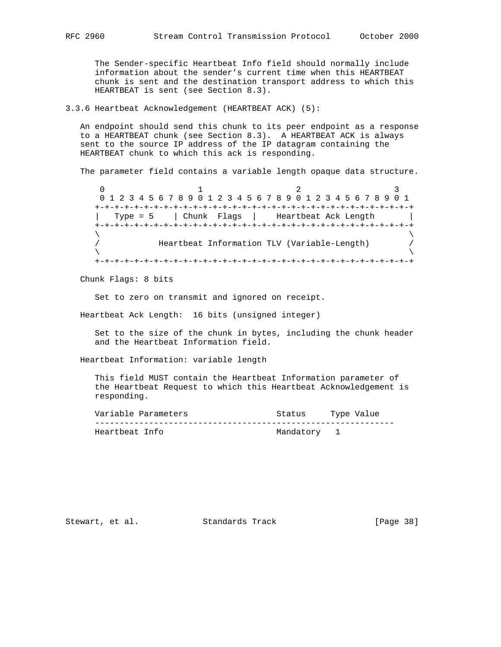The Sender-specific Heartbeat Info field should normally include information about the sender's current time when this HEARTBEAT chunk is sent and the destination transport address to which this HEARTBEAT is sent (see Section 8.3).

#### 3.3.6 Heartbeat Acknowledgement (HEARTBEAT ACK) (5):

 An endpoint should send this chunk to its peer endpoint as a response to a HEARTBEAT chunk (see Section 8.3). A HEARTBEAT ACK is always sent to the source IP address of the IP datagram containing the HEARTBEAT chunk to which this ack is responding.

The parameter field contains a variable length opaque data structure.

0  $1$  2 3 0 1 2 3 4 5 6 7 8 9 0 1 2 3 4 5 6 7 8 9 0 1 2 3 4 5 6 7 8 9 0 1 +-+-+-+-+-+-+-+-+-+-+-+-+-+-+-+-+-+-+-+-+-+-+-+-+-+-+-+-+-+-+-+-+ | Type = 5 | Chunk Flags | Heartbeat Ack Length | +-+-+-+-+-+-+-+-+-+-+-+-+-+-+-+-+-+-+-+-+-+-+-+-+-+-+-+-+-+-+-+-+  $\lambda$  and  $\lambda$  and  $\lambda$  and  $\lambda$  and  $\lambda$  and  $\lambda$  and  $\lambda$  and  $\lambda$  and  $\lambda$  and  $\lambda$  and  $\lambda$  and  $\lambda$  and  $\lambda$  and  $\lambda$  and  $\lambda$  and  $\lambda$  and  $\lambda$  and  $\lambda$  and  $\lambda$  and  $\lambda$  and  $\lambda$  and  $\lambda$  and  $\lambda$  and  $\lambda$  and  $\lambda$  / Heartbeat Information TLV (Variable-Length) /  $\lambda$  and  $\lambda$  and  $\lambda$  and  $\lambda$  and  $\lambda$  and  $\lambda$  and  $\lambda$  and  $\lambda$  and  $\lambda$  and  $\lambda$  and  $\lambda$  and  $\lambda$  and  $\lambda$  and  $\lambda$  and  $\lambda$  and  $\lambda$  and  $\lambda$  and  $\lambda$  and  $\lambda$  and  $\lambda$  and  $\lambda$  and  $\lambda$  and  $\lambda$  and  $\lambda$  and  $\lambda$  +-+-+-+-+-+-+-+-+-+-+-+-+-+-+-+-+-+-+-+-+-+-+-+-+-+-+-+-+-+-+-+-+

Chunk Flags: 8 bits

Set to zero on transmit and ignored on receipt.

Heartbeat Ack Length: 16 bits (unsigned integer)

 Set to the size of the chunk in bytes, including the chunk header and the Heartbeat Information field.

Heartbeat Information: variable length

 This field MUST contain the Heartbeat Information parameter of the Heartbeat Request to which this Heartbeat Acknowledgement is responding.

| Variable Parameters | Type Value<br>Status |
|---------------------|----------------------|
|                     |                      |
| Heartbeat Info      | Mandatory 1          |

Stewart, et al. Standards Track [Page 38]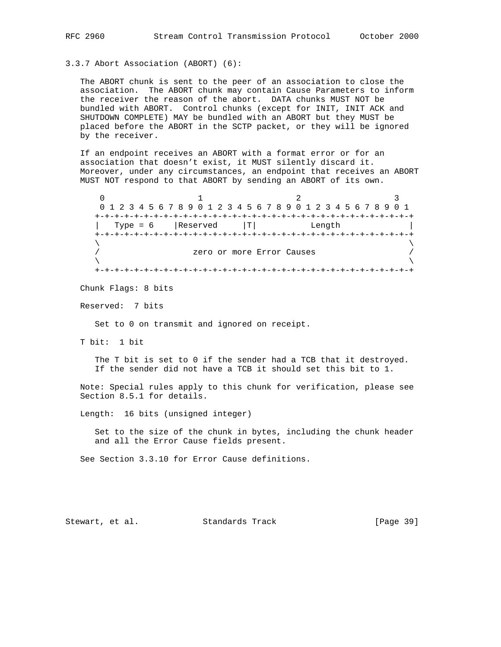3.3.7 Abort Association (ABORT) (6):

 The ABORT chunk is sent to the peer of an association to close the association. The ABORT chunk may contain Cause Parameters to inform the receiver the reason of the abort. DATA chunks MUST NOT be bundled with ABORT. Control chunks (except for INIT, INIT ACK and SHUTDOWN COMPLETE) MAY be bundled with an ABORT but they MUST be placed before the ABORT in the SCTP packet, or they will be ignored by the receiver.

 If an endpoint receives an ABORT with a format error or for an association that doesn't exist, it MUST silently discard it. Moreover, under any circumstances, an endpoint that receives an ABORT MUST NOT respond to that ABORT by sending an ABORT of its own.

 $0$  1 2 3 0 1 2 3 4 5 6 7 8 9 0 1 2 3 4 5 6 7 8 9 0 1 2 3 4 5 6 7 8 9 0 1 +-+-+-+-+-+-+-+-+-+-+-+-+-+-+-+-+-+-+-+-+-+-+-+-+-+-+-+-+-+-+-+-+ | Type =  $6$  | Reserved  $|T|$  Length +-+-+-+-+-+-+-+-+-+-+-+-+-+-+-+-+-+-+-+-+-+-+-+-+-+-+-+-+-+-+-+-+  $\lambda$  and  $\lambda$  and  $\lambda$  and  $\lambda$  and  $\lambda$  and  $\lambda$  and  $\lambda$  and  $\lambda$  and  $\lambda$  and  $\lambda$  and  $\lambda$  and  $\lambda$  and  $\lambda$  and  $\lambda$  and  $\lambda$  and  $\lambda$  and  $\lambda$  and  $\lambda$  and  $\lambda$  and  $\lambda$  and  $\lambda$  and  $\lambda$  and  $\lambda$  and  $\lambda$  and  $\lambda$  zero or more Error Causes /  $\lambda$  and  $\lambda$  and  $\lambda$  and  $\lambda$  and  $\lambda$  and  $\lambda$  and  $\lambda$  and  $\lambda$  and  $\lambda$  and  $\lambda$  and  $\lambda$  and  $\lambda$  and  $\lambda$  and  $\lambda$  and  $\lambda$  and  $\lambda$  and  $\lambda$  and  $\lambda$  and  $\lambda$  and  $\lambda$  and  $\lambda$  and  $\lambda$  and  $\lambda$  and  $\lambda$  and  $\lambda$  +-+-+-+-+-+-+-+-+-+-+-+-+-+-+-+-+-+-+-+-+-+-+-+-+-+-+-+-+-+-+-+-+

Chunk Flags: 8 bits

Reserved: 7 bits

Set to 0 on transmit and ignored on receipt.

T bit: 1 bit

The T bit is set to 0 if the sender had a TCB that it destroyed. If the sender did not have a TCB it should set this bit to 1.

 Note: Special rules apply to this chunk for verification, please see Section 8.5.1 for details.

Length: 16 bits (unsigned integer)

 Set to the size of the chunk in bytes, including the chunk header and all the Error Cause fields present.

See Section 3.3.10 for Error Cause definitions.

Stewart, et al. Standards Track [Page 39]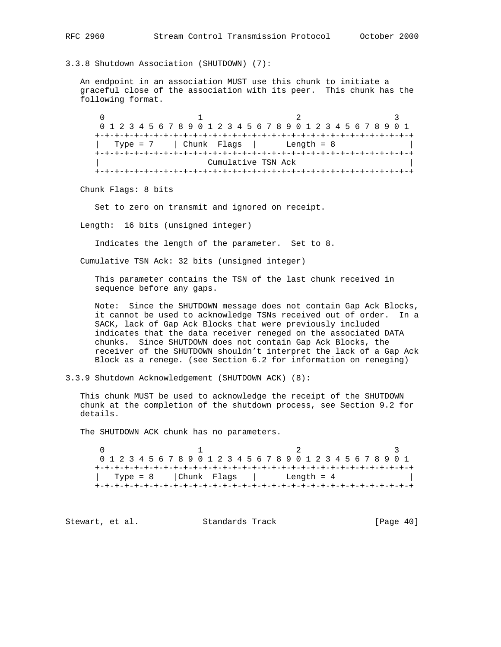3.3.8 Shutdown Association (SHUTDOWN) (7):

 An endpoint in an association MUST use this chunk to initiate a graceful close of the association with its peer. This chunk has the following format.

 $0$  1 2 3 0 1 2 3 4 5 6 7 8 9 0 1 2 3 4 5 6 7 8 9 0 1 2 3 4 5 6 7 8 9 0 1 +-+-+-+-+-+-+-+-+-+-+-+-+-+-+-+-+-+-+-+-+-+-+-+-+-+-+-+-+-+-+-+-+ | Type =  $7$  | Chunk Flags | Length =  $8$  +-+-+-+-+-+-+-+-+-+-+-+-+-+-+-+-+-+-+-+-+-+-+-+-+-+-+-+-+-+-+-+-+ Cumulative TSN Ack +-+-+-+-+-+-+-+-+-+-+-+-+-+-+-+-+-+-+-+-+-+-+-+-+-+-+-+-+-+-+-+-+

Chunk Flags: 8 bits

Set to zero on transmit and ignored on receipt.

Length: 16 bits (unsigned integer)

Indicates the length of the parameter. Set to 8.

Cumulative TSN Ack: 32 bits (unsigned integer)

 This parameter contains the TSN of the last chunk received in sequence before any gaps.

 Note: Since the SHUTDOWN message does not contain Gap Ack Blocks, it cannot be used to acknowledge TSNs received out of order. In a SACK, lack of Gap Ack Blocks that were previously included indicates that the data receiver reneged on the associated DATA chunks. Since SHUTDOWN does not contain Gap Ack Blocks, the receiver of the SHUTDOWN shouldn't interpret the lack of a Gap Ack Block as a renege. (see Section 6.2 for information on reneging)

3.3.9 Shutdown Acknowledgement (SHUTDOWN ACK) (8):

 This chunk MUST be used to acknowledge the receipt of the SHUTDOWN chunk at the completion of the shutdown process, see Section 9.2 for details.

The SHUTDOWN ACK chunk has no parameters.

 $0$  1 2 3 0 1 2 3 4 5 6 7 8 9 0 1 2 3 4 5 6 7 8 9 0 1 2 3 4 5 6 7 8 9 0 1 +-+-+-+-+-+-+-+-+-+-+-+-+-+-+-+-+-+-+-+-+-+-+-+-+-+-+-+-+-+-+-+-+ | Type = 8 | Chunk Flags | Length =  $4$ +-+-+-+-+-+-+-+-+-+-+-+-+-+-+-+-+-+-+-+-+-+-+-+-+-+-+-+-+-+-+-+-+

Stewart, et al. Standards Track [Page 40]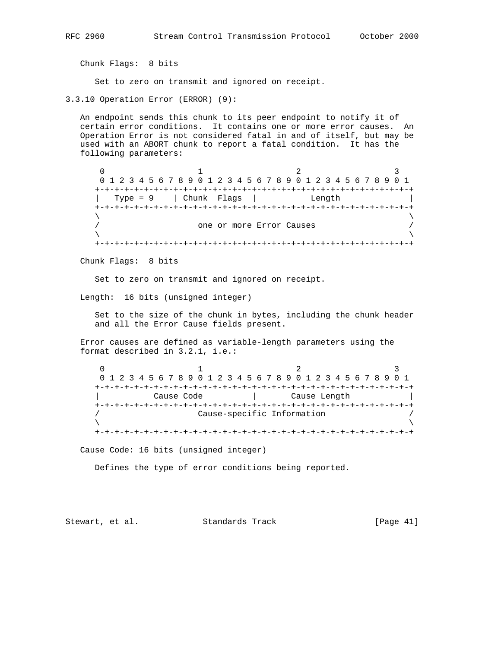Chunk Flags: 8 bits

Set to zero on transmit and ignored on receipt.

3.3.10 Operation Error (ERROR) (9):

 An endpoint sends this chunk to its peer endpoint to notify it of certain error conditions. It contains one or more error causes. An Operation Error is not considered fatal in and of itself, but may be used with an ABORT chunk to report a fatal condition. It has the following parameters:

 $0$  1 2 3 0 1 2 3 4 5 6 7 8 9 0 1 2 3 4 5 6 7 8 9 0 1 2 3 4 5 6 7 8 9 0 1 +-+-+-+-+-+-+-+-+-+-+-+-+-+-+-+-+-+-+-+-+-+-+-+-+-+-+-+-+-+-+-+-+ | Type = 9 | Chunk Flags | Length | +-+-+-+-+-+-+-+-+-+-+-+-+-+-+-+-+-+-+-+-+-+-+-+-+-+-+-+-+-+-+-+-+  $\lambda$  and  $\lambda$  and  $\lambda$  and  $\lambda$  and  $\lambda$  and  $\lambda$  and  $\lambda$  and  $\lambda$  and  $\lambda$  and  $\lambda$  and  $\lambda$  and  $\lambda$  and  $\lambda$  and  $\lambda$  and  $\lambda$  and  $\lambda$  and  $\lambda$  and  $\lambda$  and  $\lambda$  and  $\lambda$  and  $\lambda$  and  $\lambda$  and  $\lambda$  and  $\lambda$  and  $\lambda$  one or more Error Causes /  $\lambda$  and  $\lambda$  and  $\lambda$  and  $\lambda$  and  $\lambda$  and  $\lambda$  and  $\lambda$  and  $\lambda$  and  $\lambda$  and  $\lambda$  and  $\lambda$  and  $\lambda$  and  $\lambda$  and  $\lambda$  and  $\lambda$  and  $\lambda$  and  $\lambda$  and  $\lambda$  and  $\lambda$  and  $\lambda$  and  $\lambda$  and  $\lambda$  and  $\lambda$  and  $\lambda$  and  $\lambda$  +-+-+-+-+-+-+-+-+-+-+-+-+-+-+-+-+-+-+-+-+-+-+-+-+-+-+-+-+-+-+-+-+

Chunk Flags: 8 bits

Set to zero on transmit and ignored on receipt.

Length: 16 bits (unsigned integer)

 Set to the size of the chunk in bytes, including the chunk header and all the Error Cause fields present.

 Error causes are defined as variable-length parameters using the format described in 3.2.1, i.e.:

 $0$  1 2 3 0 1 2 3 4 5 6 7 8 9 0 1 2 3 4 5 6 7 8 9 0 1 2 3 4 5 6 7 8 9 0 1 +-+-+-+-+-+-+-+-+-+-+-+-+-+-+-+-+-+-+-+-+-+-+-+-+-+-+-+-+-+-+-+-+ | Cause Code | Cause Length | +-+-+-+-+-+-+-+-+-+-+-+-+-+-+-+-+-+-+-+-+-+-+-+-+-+-+-+-+-+-+-+-+ / Cause-specific Information /  $\lambda$  and  $\lambda$  and  $\lambda$  and  $\lambda$  and  $\lambda$  and  $\lambda$  and  $\lambda$  and  $\lambda$  and  $\lambda$  and  $\lambda$  and  $\lambda$  and  $\lambda$  and  $\lambda$  and  $\lambda$  and  $\lambda$  and  $\lambda$  and  $\lambda$  and  $\lambda$  and  $\lambda$  and  $\lambda$  and  $\lambda$  and  $\lambda$  and  $\lambda$  and  $\lambda$  and  $\lambda$  +-+-+-+-+-+-+-+-+-+-+-+-+-+-+-+-+-+-+-+-+-+-+-+-+-+-+-+-+-+-+-+-+

Cause Code: 16 bits (unsigned integer)

Defines the type of error conditions being reported.

Stewart, et al. Standards Track [Page 41]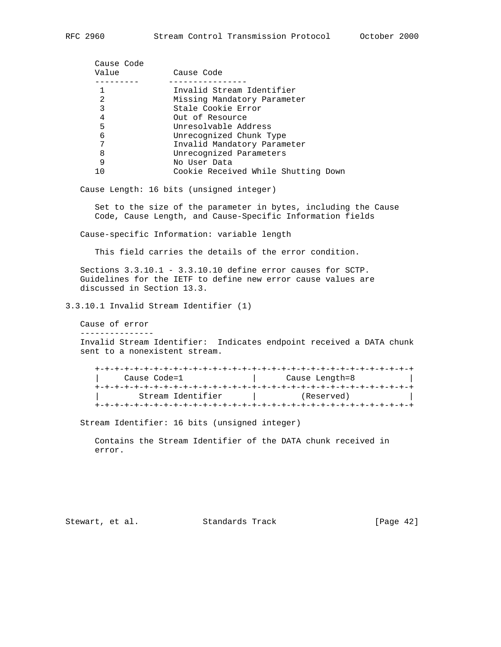| Cause Code                          |
|-------------------------------------|
| Invalid Stream Identifier           |
| Missing Mandatory Parameter         |
| Stale Cookie Error                  |
| Out of Resource                     |
| Unresolvable Address                |
| Unrecognized Chunk Type             |
| Invalid Mandatory Parameter         |
| Unrecognized Parameters             |
| No User Data                        |
| Cookie Received While Shutting Down |
|                                     |

Cause Length: 16 bits (unsigned integer)

 Set to the size of the parameter in bytes, including the Cause Code, Cause Length, and Cause-Specific Information fields

Cause-specific Information: variable length

This field carries the details of the error condition.

 Sections 3.3.10.1 - 3.3.10.10 define error causes for SCTP. Guidelines for the IETF to define new error cause values are discussed in Section 13.3.

3.3.10.1 Invalid Stream Identifier (1)

Cause of error

---------------

 Invalid Stream Identifier: Indicates endpoint received a DATA chunk sent to a nonexistent stream.

 +-+-+-+-+-+-+-+-+-+-+-+-+-+-+-+-+-+-+-+-+-+-+-+-+-+-+-+-+-+-+-+-+ Cause Code=1 | Cause Length=8 +-+-+-+-+-+-+-+-+-+-+-+-+-+-+-+-+-+-+-+-+-+-+-+-+-+-+-+-+-+-+-+-+ | Stream Identifier | (Reserved) | +-+-+-+-+-+-+-+-+-+-+-+-+-+-+-+-+-+-+-+-+-+-+-+-+-+-+-+-+-+-+-+-+

Stream Identifier: 16 bits (unsigned integer)

 Contains the Stream Identifier of the DATA chunk received in error.

Stewart, et al. Standards Track [Page 42]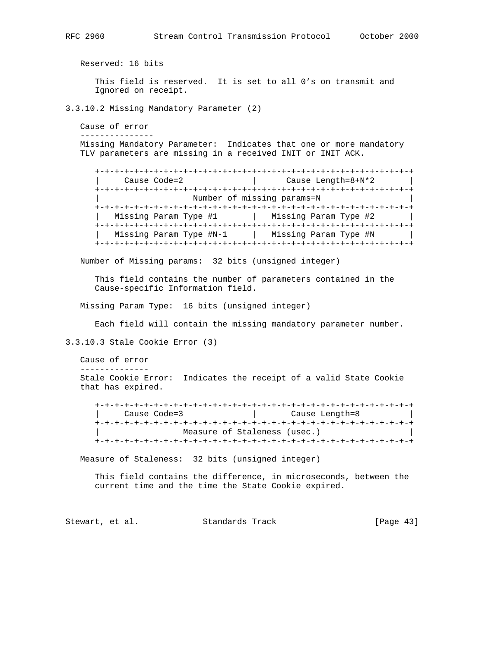Reserved: 16 bits This field is reserved. It is set to all 0's on transmit and Ignored on receipt. 3.3.10.2 Missing Mandatory Parameter (2) Cause of error --------------- Missing Mandatory Parameter: Indicates that one or more mandatory TLV parameters are missing in a received INIT or INIT ACK. +-+-+-+-+-+-+-+-+-+-+-+-+-+-+-+-+-+-+-+-+-+-+-+-+-+-+-+-+-+-+-+-+ Cause Code=2 | Cause Length=8+N\*2 +-+-+-+-+-+-+-+-+-+-+-+-+-+-+-+-+-+-+-+-+-+-+-+-+-+-+-+-+-+-+-+-+ Number of missing params=N +-+-+-+-+-+-+-+-+-+-+-+-+-+-+-+-+-+-+-+-+-+-+-+-+-+-+-+-+-+-+-+-+ | Missing Param Type #1 | Missing Param Type #2 | +-+-+-+-+-+-+-+-+-+-+-+-+-+-+-+-+-+-+-+-+-+-+-+-+-+-+-+-+-+-+-+-+ | Missing Param Type #N-1 | Missing Param Type #N | +-+-+-+-+-+-+-+-+-+-+-+-+-+-+-+-+-+-+-+-+-+-+-+-+-+-+-+-+-+-+-+-+ Number of Missing params: 32 bits (unsigned integer) This field contains the number of parameters contained in the Cause-specific Information field. Missing Param Type: 16 bits (unsigned integer) Each field will contain the missing mandatory parameter number. 3.3.10.3 Stale Cookie Error (3) Cause of error -------------- Stale Cookie Error: Indicates the receipt of a valid State Cookie that has expired. +-+-+-+-+-+-+-+-+-+-+-+-+-+-+-+-+-+-+-+-+-+-+-+-+-+-+-+-+-+-+-+-+ | Cause Code=3 | Cause Length=8 | +-+-+-+-+-+-+-+-+-+-+-+-+-+-+-+-+-+-+-+-+-+-+-+-+-+-+-+-+-+-+-+-+ Measure of Staleness (usec.) +-+-+-+-+-+-+-+-+-+-+-+-+-+-+-+-+-+-+-+-+-+-+-+-+-+-+-+-+-+-+-+-+ Measure of Staleness: 32 bits (unsigned integer) This field contains the difference, in microseconds, between the current time and the time the State Cookie expired.

Stewart, et al. Standards Track [Page 43]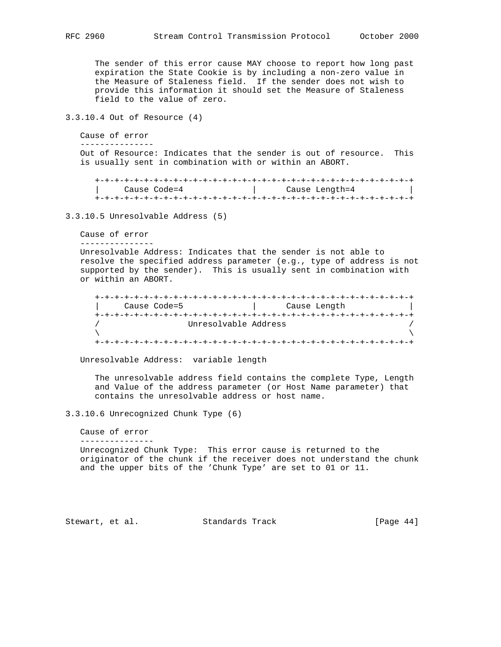The sender of this error cause MAY choose to report how long past expiration the State Cookie is by including a non-zero value in the Measure of Staleness field. If the sender does not wish to provide this information it should set the Measure of Staleness field to the value of zero.

3.3.10.4 Out of Resource (4)

 Cause of error ---------------

 Out of Resource: Indicates that the sender is out of resource. This is usually sent in combination with or within an ABORT.

| Cause Code=4 | Cause Length=4 |
|--------------|----------------|
|              |                |

3.3.10.5 Unresolvable Address (5)

```
 Cause of error
```
---------------

 Unresolvable Address: Indicates that the sender is not able to resolve the specified address parameter (e.g., type of address is not supported by the sender). This is usually sent in combination with or within an ABORT.

```
 +-+-+-+-+-+-+-+-+-+-+-+-+-+-+-+-+-+-+-+-+-+-+-+-+-+-+-+-+-+-+-+-+
               | Cause Code=5 | Cause Length |
         +-+-+-+-+-+-+-+-+-+-+-+-+-+-+-+-+-+-+-+-+-+-+-+-+-+-+-+-+-+-+-+-+
         / Unresolvable Address /
\lambda and \lambda and \lambda and \lambda and \lambda and \lambda and \lambda and \lambda and \lambda and \lambda and \lambda and \lambda and \lambda and \lambda and \lambda and \lambda and \lambda and \lambda and \lambda and \lambda and \lambda and \lambda and \lambda and \lambda and \lambda 
         +-+-+-+-+-+-+-+-+-+-+-+-+-+-+-+-+-+-+-+-+-+-+-+-+-+-+-+-+-+-+-+-+
```
Unresolvable Address: variable length

 The unresolvable address field contains the complete Type, Length and Value of the address parameter (or Host Name parameter) that contains the unresolvable address or host name.

3.3.10.6 Unrecognized Chunk Type (6)

Cause of error

---------------

 Unrecognized Chunk Type: This error cause is returned to the originator of the chunk if the receiver does not understand the chunk and the upper bits of the 'Chunk Type' are set to 01 or 11.

Stewart, et al. Standards Track [Page 44]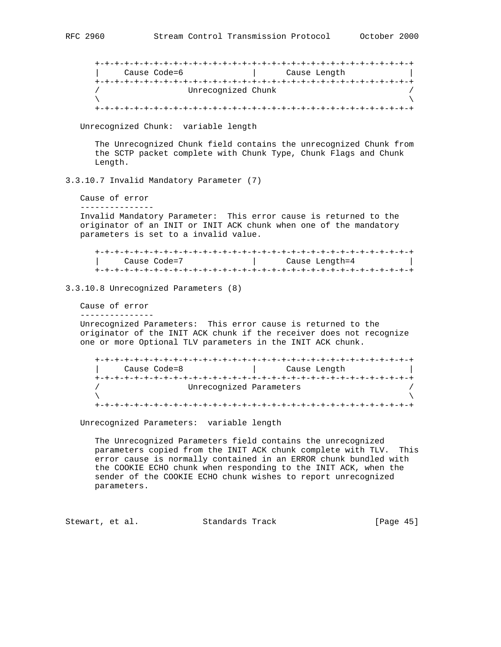+-+-+-+-+-+-+-+-+-+-+-+-+-+-+-+-+-+-+-+-+-+-+-+-+-+-+-+-+-+-+-+-+ | Cause Code=6 | Cause Length | +-+-+-+-+-+-+-+-+-+-+-+-+-+-+-+-+-+-+-+-+-+-+-+-+-+-+-+-+-+-+-+-+ Unrecognized Chunk  $\lambda$  and  $\lambda$  and  $\lambda$  and  $\lambda$  and  $\lambda$  and  $\lambda$  and  $\lambda$  and  $\lambda$  and  $\lambda$  and  $\lambda$  and  $\lambda$  and  $\lambda$  and  $\lambda$  and  $\lambda$  and  $\lambda$  and  $\lambda$  and  $\lambda$  and  $\lambda$  and  $\lambda$  and  $\lambda$  and  $\lambda$  and  $\lambda$  and  $\lambda$  and  $\lambda$  and  $\lambda$  +-+-+-+-+-+-+-+-+-+-+-+-+-+-+-+-+-+-+-+-+-+-+-+-+-+-+-+-+-+-+-+-+ Unrecognized Chunk: variable length The Unrecognized Chunk field contains the unrecognized Chunk from the SCTP packet complete with Chunk Type, Chunk Flags and Chunk Length. 3.3.10.7 Invalid Mandatory Parameter (7) Cause of error --------------- Invalid Mandatory Parameter: This error cause is returned to the originator of an INIT or INIT ACK chunk when one of the mandatory parameters is set to a invalid value. +-+-+-+-+-+-+-+-+-+-+-+-+-+-+-+-+-+-+-+-+-+-+-+-+-+-+-+-+-+-+-+-+ | Cause Code=7 | Cause Length=4 | +-+-+-+-+-+-+-+-+-+-+-+-+-+-+-+-+-+-+-+-+-+-+-+-+-+-+-+-+-+-+-+-+ 3.3.10.8 Unrecognized Parameters (8) Cause of error --------------- Unrecognized Parameters: This error cause is returned to the originator of the INIT ACK chunk if the receiver does not recognize one or more Optional TLV parameters in the INIT ACK chunk. +-+-+-+-+-+-+-+-+-+-+-+-+-+-+-+-+-+-+-+-+-+-+-+-+-+-+-+-+-+-+-+-+ | Cause Code=8 | Cause Length | +-+-+-+-+-+-+-+-+-+-+-+-+-+-+-+-+-+-+-+-+-+-+-+-+-+-+-+-+-+-+-+-+ Unrecognized Parameters  $\lambda$  and  $\lambda$  and  $\lambda$  and  $\lambda$  and  $\lambda$  and  $\lambda$  and  $\lambda$  and  $\lambda$  and  $\lambda$  and  $\lambda$  and  $\lambda$  and  $\lambda$  and  $\lambda$  and  $\lambda$  and  $\lambda$  and  $\lambda$  and  $\lambda$  and  $\lambda$  and  $\lambda$  and  $\lambda$  and  $\lambda$  and  $\lambda$  and  $\lambda$  and  $\lambda$  and  $\lambda$  +-+-+-+-+-+-+-+-+-+-+-+-+-+-+-+-+-+-+-+-+-+-+-+-+-+-+-+-+-+-+-+-+ Unrecognized Parameters: variable length The Unrecognized Parameters field contains the unrecognized parameters copied from the INIT ACK chunk complete with TLV. This error cause is normally contained in an ERROR chunk bundled with the COOKIE ECHO chunk when responding to the INIT ACK, when the sender of the COOKIE ECHO chunk wishes to report unrecognized parameters. Stewart, et al. Standards Track [Page 45]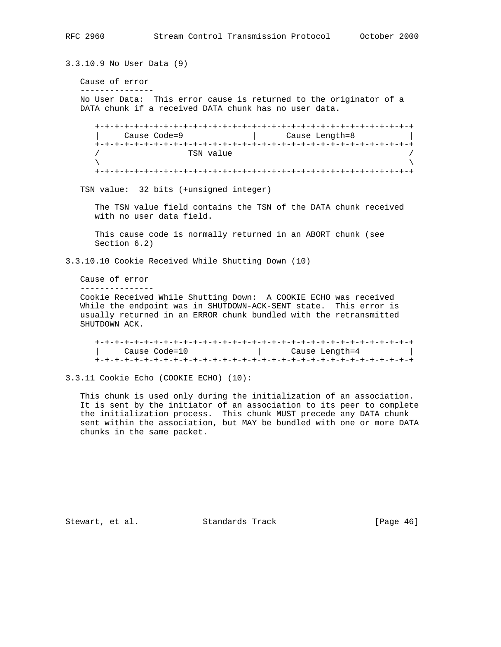3.3.10.9 No User Data (9) Cause of error --------------- No User Data: This error cause is returned to the originator of a DATA chunk if a received DATA chunk has no user data. +-+-+-+-+-+-+-+-+-+-+-+-+-+-+-+-+-+-+-+-+-+-+-+-+-+-+-+-+-+-+-+-+ | Cause Code=9 | Cause Length=8 | +-+-+-+-+-+-+-+-+-+-+-+-+-+-+-+-+-+-+-+-+-+-+-+-+-+-+-+-+-+-+-+-+  $\begin{array}{c}\n\text{TSN value} \\
\left\langle \right. \\
\left. \right. \\
\left. \right. \\
\left. \right. \\
\left. \right. \\
\left. \right. \\
\left. \right. \\
\left. \right. \\
\left. \right. \\
\left. \right. \\
\left. \right. \\
\left. \right. \\
\left. \right. \\
\left. \right. \\
\left. \right. \\
\left. \right. \\
\left. \right. \\
\left. \right. \\
\left. \right. \\
\left. \right. \\
\left. \right. \\
\left. \right. \\
\left. \right. \\
\left. \right. \\
\left. \right. \\
\left. \right. \\
\left. \right. \\
\left. \right. \\
\left. \right. \\$  $\lambda$  and  $\lambda$  and  $\lambda$  and  $\lambda$  and  $\lambda$  and  $\lambda$  and  $\lambda$  and  $\lambda$  and  $\lambda$  and  $\lambda$  and  $\lambda$  and  $\lambda$  and  $\lambda$  and  $\lambda$  and  $\lambda$  and  $\lambda$  and  $\lambda$  and  $\lambda$  and  $\lambda$  and  $\lambda$  and  $\lambda$  and  $\lambda$  and  $\lambda$  and  $\lambda$  and  $\lambda$  +-+-+-+-+-+-+-+-+-+-+-+-+-+-+-+-+-+-+-+-+-+-+-+-+-+-+-+-+-+-+-+-+ TSN value: 32 bits (+unsigned integer) The TSN value field contains the TSN of the DATA chunk received with no user data field. This cause code is normally returned in an ABORT chunk (see Section 6.2) 3.3.10.10 Cookie Received While Shutting Down (10) Cause of error --------------- Cookie Received While Shutting Down: A COOKIE ECHO was received While the endpoint was in SHUTDOWN-ACK-SENT state. This error is usually returned in an ERROR chunk bundled with the retransmitted SHUTDOWN ACK. +-+-+-+-+-+-+-+-+-+-+-+-+-+-+-+-+-+-+-+-+-+-+-+-+-+-+-+-+-+-+-+-+ |<br>| Cause Code=10 | Cause Length=4 | +-+-+-+-+-+-+-+-+-+-+-+-+-+-+-+-+-+-+-+-+-+-+-+-+-+-+-+-+-+-+-+-+ 3.3.11 Cookie Echo (COOKIE ECHO) (10): This chunk is used only during the initialization of an association.

chunks in the same packet.

Stewart, et al. Standards Track [Page 46]

 It is sent by the initiator of an association to its peer to complete the initialization process. This chunk MUST precede any DATA chunk sent within the association, but MAY be bundled with one or more DATA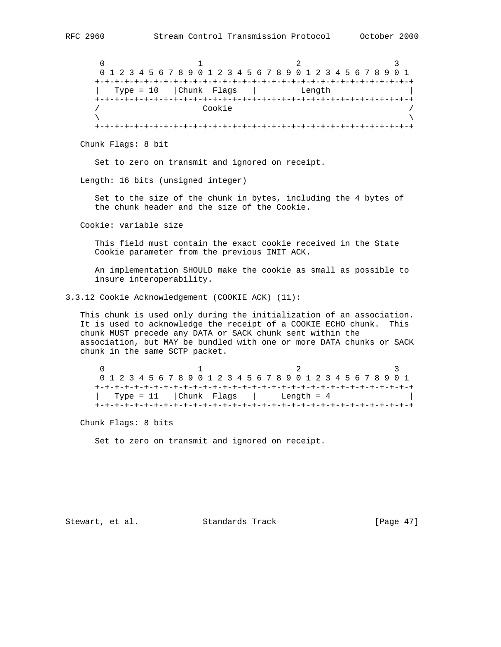$0$  1 2 3 0 1 2 3 4 5 6 7 8 9 0 1 2 3 4 5 6 7 8 9 0 1 2 3 4 5 6 7 8 9 0 1 +-+-+-+-+-+-+-+-+-+-+-+-+-+-+-+-+-+-+-+-+-+-+-+-+-+-+-+-+-+-+-+-+ | Type = 10 |Chunk Flags | Length | +-+-+-+-+-+-+-+-+-+-+-+-+-+-+-+-+-+-+-+-+-+-+-+-+-+-+-+-+-+-+-+-+ / Cookie /  $\lambda$  and  $\lambda$  and  $\lambda$  and  $\lambda$  and  $\lambda$  and  $\lambda$  and  $\lambda$  and  $\lambda$  and  $\lambda$  and  $\lambda$  and  $\lambda$  and  $\lambda$  and  $\lambda$  and  $\lambda$  and  $\lambda$  and  $\lambda$  and  $\lambda$  and  $\lambda$  and  $\lambda$  and  $\lambda$  and  $\lambda$  and  $\lambda$  and  $\lambda$  and  $\lambda$  and  $\lambda$  +-+-+-+-+-+-+-+-+-+-+-+-+-+-+-+-+-+-+-+-+-+-+-+-+-+-+-+-+-+-+-+-+

Chunk Flags: 8 bit

Set to zero on transmit and ignored on receipt.

Length: 16 bits (unsigned integer)

 Set to the size of the chunk in bytes, including the 4 bytes of the chunk header and the size of the Cookie.

Cookie: variable size

 This field must contain the exact cookie received in the State Cookie parameter from the previous INIT ACK.

 An implementation SHOULD make the cookie as small as possible to insure interoperability.

3.3.12 Cookie Acknowledgement (COOKIE ACK) (11):

 This chunk is used only during the initialization of an association. It is used to acknowledge the receipt of a COOKIE ECHO chunk. This chunk MUST precede any DATA or SACK chunk sent within the association, but MAY be bundled with one or more DATA chunks or SACK chunk in the same SCTP packet.

 $0$  1 2 3 0 1 2 3 4 5 6 7 8 9 0 1 2 3 4 5 6 7 8 9 0 1 2 3 4 5 6 7 8 9 0 1 +-+-+-+-+-+-+-+-+-+-+-+-+-+-+-+-+-+-+-+-+-+-+-+-+-+-+-+-+-+-+-+-+ | Type = 11 | Chunk Flags | Length =  $4$ +-+-+-+-+-+-+-+-+-+-+-+-+-+-+-+-+-+-+-+-+-+-+-+-+-+-+-+-+-+-+-+-+

Chunk Flags: 8 bits

Set to zero on transmit and ignored on receipt.

Stewart, et al. Standards Track [Page 47]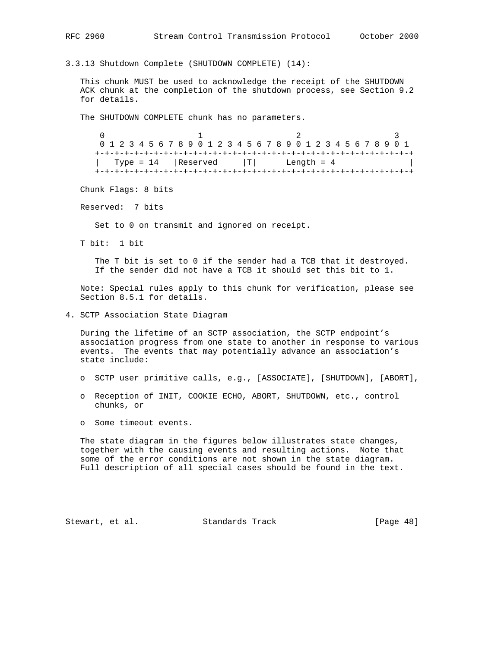3.3.13 Shutdown Complete (SHUTDOWN COMPLETE) (14):

 This chunk MUST be used to acknowledge the receipt of the SHUTDOWN ACK chunk at the completion of the shutdown process, see Section 9.2 for details.

The SHUTDOWN COMPLETE chunk has no parameters.

0  $1$  2 3 0 1 2 3 4 5 6 7 8 9 0 1 2 3 4 5 6 7 8 9 0 1 2 3 4 5 6 7 8 9 0 1 +-+-+-+-+-+-+-+-+-+-+-+-+-+-+-+-+-+-+-+-+-+-+-+-+-+-+-+-+-+-+-+-+  $\text{Type} = 14$  |Reserved |T| Length = 4 +-+-+-+-+-+-+-+-+-+-+-+-+-+-+-+-+-+-+-+-+-+-+-+-+-+-+-+-+-+-+-+-+

Chunk Flags: 8 bits

Reserved: 7 bits

Set to 0 on transmit and ignored on receipt.

T bit: 1 bit

The T bit is set to 0 if the sender had a TCB that it destroyed. If the sender did not have a TCB it should set this bit to 1.

 Note: Special rules apply to this chunk for verification, please see Section 8.5.1 for details.

4. SCTP Association State Diagram

 During the lifetime of an SCTP association, the SCTP endpoint's association progress from one state to another in response to various events. The events that may potentially advance an association's state include:

- o SCTP user primitive calls, e.g., [ASSOCIATE], [SHUTDOWN], [ABORT],
- o Reception of INIT, COOKIE ECHO, ABORT, SHUTDOWN, etc., control chunks, or
- o Some timeout events.

 The state diagram in the figures below illustrates state changes, together with the causing events and resulting actions. Note that some of the error conditions are not shown in the state diagram. Full description of all special cases should be found in the text.

Stewart, et al. Standards Track [Page 48]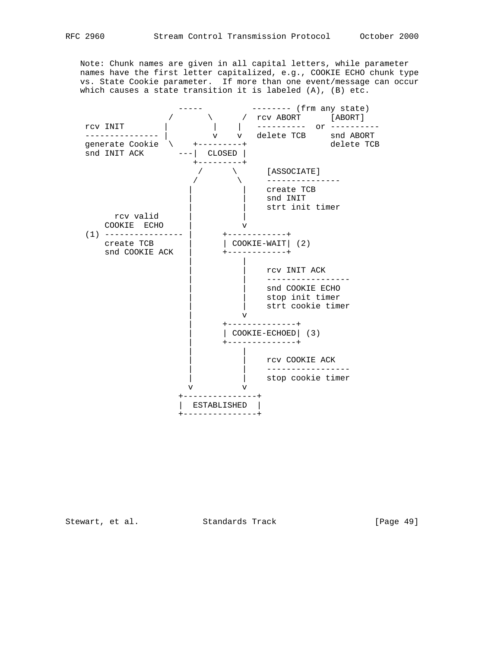Note: Chunk names are given in all capital letters, while parameter names have the first letter capitalized, e.g., COOKIE ECHO chunk type vs. State Cookie parameter. If more than one event/message can occur which causes a state transition it is labeled (A), (B) etc.



Stewart, et al. Standards Track [Page 49]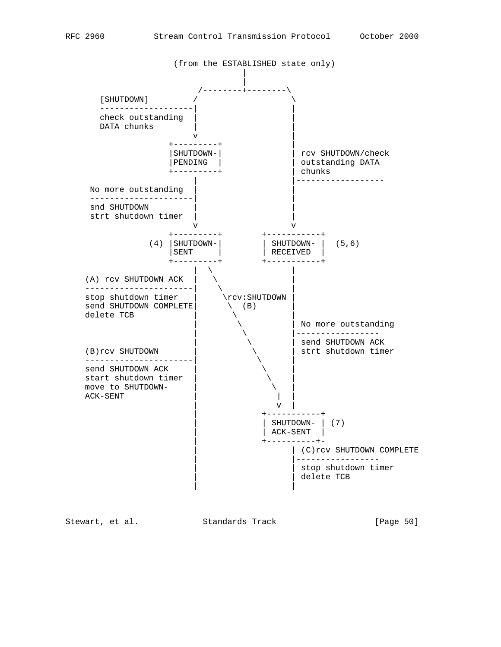

Stewart, et al. Standards Track [Page 50]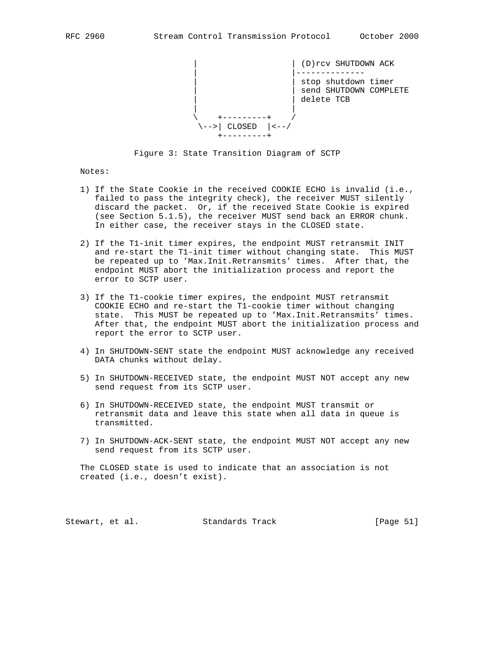

Figure 3: State Transition Diagram of SCTP

Notes:

- 1) If the State Cookie in the received COOKIE ECHO is invalid (i.e., failed to pass the integrity check), the receiver MUST silently discard the packet. Or, if the received State Cookie is expired (see Section 5.1.5), the receiver MUST send back an ERROR chunk. In either case, the receiver stays in the CLOSED state.
- 2) If the T1-init timer expires, the endpoint MUST retransmit INIT and re-start the T1-init timer without changing state. This MUST be repeated up to 'Max.Init.Retransmits' times. After that, the endpoint MUST abort the initialization process and report the error to SCTP user.
- 3) If the T1-cookie timer expires, the endpoint MUST retransmit COOKIE ECHO and re-start the T1-cookie timer without changing state. This MUST be repeated up to 'Max.Init.Retransmits' times. After that, the endpoint MUST abort the initialization process and report the error to SCTP user.
- 4) In SHUTDOWN-SENT state the endpoint MUST acknowledge any received DATA chunks without delay.
- 5) In SHUTDOWN-RECEIVED state, the endpoint MUST NOT accept any new send request from its SCTP user.
- 6) In SHUTDOWN-RECEIVED state, the endpoint MUST transmit or retransmit data and leave this state when all data in queue is transmitted.
- 7) In SHUTDOWN-ACK-SENT state, the endpoint MUST NOT accept any new send request from its SCTP user.

 The CLOSED state is used to indicate that an association is not created (i.e., doesn't exist).

Stewart, et al. Standards Track [Page 51]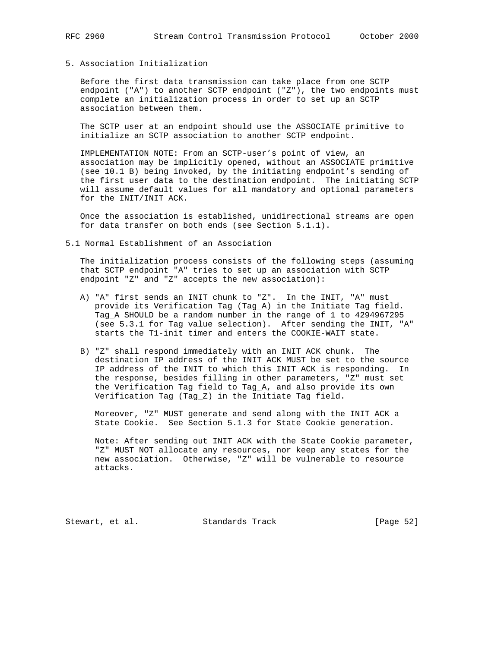# 5. Association Initialization

 Before the first data transmission can take place from one SCTP endpoint ("A") to another SCTP endpoint ("Z"), the two endpoints must complete an initialization process in order to set up an SCTP association between them.

 The SCTP user at an endpoint should use the ASSOCIATE primitive to initialize an SCTP association to another SCTP endpoint.

 IMPLEMENTATION NOTE: From an SCTP-user's point of view, an association may be implicitly opened, without an ASSOCIATE primitive (see 10.1 B) being invoked, by the initiating endpoint's sending of the first user data to the destination endpoint. The initiating SCTP will assume default values for all mandatory and optional parameters for the INIT/INIT ACK.

 Once the association is established, unidirectional streams are open for data transfer on both ends (see Section 5.1.1).

5.1 Normal Establishment of an Association

 The initialization process consists of the following steps (assuming that SCTP endpoint "A" tries to set up an association with SCTP endpoint "Z" and "Z" accepts the new association):

- A) "A" first sends an INIT chunk to "Z". In the INIT, "A" must provide its Verification Tag (Tag\_A) in the Initiate Tag field. Tag\_A SHOULD be a random number in the range of 1 to 4294967295 (see 5.3.1 for Tag value selection). After sending the INIT, "A" starts the T1-init timer and enters the COOKIE-WAIT state.
- B) "Z" shall respond immediately with an INIT ACK chunk. The destination IP address of the INIT ACK MUST be set to the source IP address of the INIT to which this INIT ACK is responding. In the response, besides filling in other parameters, "Z" must set the Verification Tag field to Tag\_A, and also provide its own Verification Tag (Tag\_Z) in the Initiate Tag field.

 Moreover, "Z" MUST generate and send along with the INIT ACK a State Cookie. See Section 5.1.3 for State Cookie generation.

 Note: After sending out INIT ACK with the State Cookie parameter, "Z" MUST NOT allocate any resources, nor keep any states for the new association. Otherwise, "Z" will be vulnerable to resource attacks.

Stewart, et al. Standards Track [Page 52]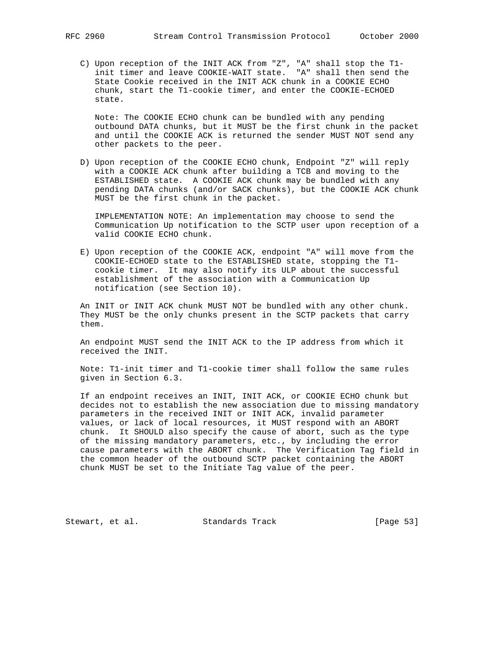C) Upon reception of the INIT ACK from "Z", "A" shall stop the T1 init timer and leave COOKIE-WAIT state. "A" shall then send the State Cookie received in the INIT ACK chunk in a COOKIE ECHO chunk, start the T1-cookie timer, and enter the COOKIE-ECHOED state.

 Note: The COOKIE ECHO chunk can be bundled with any pending outbound DATA chunks, but it MUST be the first chunk in the packet and until the COOKIE ACK is returned the sender MUST NOT send any other packets to the peer.

 D) Upon reception of the COOKIE ECHO chunk, Endpoint "Z" will reply with a COOKIE ACK chunk after building a TCB and moving to the ESTABLISHED state. A COOKIE ACK chunk may be bundled with any pending DATA chunks (and/or SACK chunks), but the COOKIE ACK chunk MUST be the first chunk in the packet.

 IMPLEMENTATION NOTE: An implementation may choose to send the Communication Up notification to the SCTP user upon reception of a valid COOKIE ECHO chunk.

 E) Upon reception of the COOKIE ACK, endpoint "A" will move from the COOKIE-ECHOED state to the ESTABLISHED state, stopping the T1 cookie timer. It may also notify its ULP about the successful establishment of the association with a Communication Up notification (see Section 10).

 An INIT or INIT ACK chunk MUST NOT be bundled with any other chunk. They MUST be the only chunks present in the SCTP packets that carry them.

 An endpoint MUST send the INIT ACK to the IP address from which it received the INIT.

 Note: T1-init timer and T1-cookie timer shall follow the same rules given in Section 6.3.

 If an endpoint receives an INIT, INIT ACK, or COOKIE ECHO chunk but decides not to establish the new association due to missing mandatory parameters in the received INIT or INIT ACK, invalid parameter values, or lack of local resources, it MUST respond with an ABORT chunk. It SHOULD also specify the cause of abort, such as the type of the missing mandatory parameters, etc., by including the error cause parameters with the ABORT chunk. The Verification Tag field in the common header of the outbound SCTP packet containing the ABORT chunk MUST be set to the Initiate Tag value of the peer.

Stewart, et al. Standards Track [Page 53]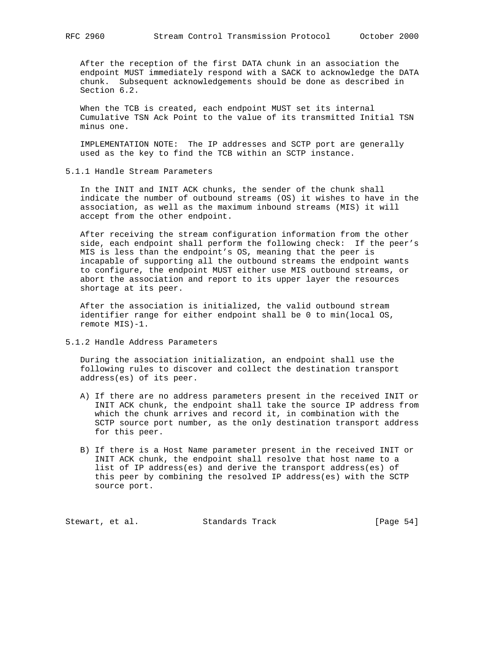After the reception of the first DATA chunk in an association the endpoint MUST immediately respond with a SACK to acknowledge the DATA chunk. Subsequent acknowledgements should be done as described in Section 6.2.

When the TCB is created, each endpoint MUST set its internal Cumulative TSN Ack Point to the value of its transmitted Initial TSN minus one.

 IMPLEMENTATION NOTE: The IP addresses and SCTP port are generally used as the key to find the TCB within an SCTP instance.

5.1.1 Handle Stream Parameters

 In the INIT and INIT ACK chunks, the sender of the chunk shall indicate the number of outbound streams (OS) it wishes to have in the association, as well as the maximum inbound streams (MIS) it will accept from the other endpoint.

 After receiving the stream configuration information from the other side, each endpoint shall perform the following check: If the peer's MIS is less than the endpoint's OS, meaning that the peer is incapable of supporting all the outbound streams the endpoint wants to configure, the endpoint MUST either use MIS outbound streams, or abort the association and report to its upper layer the resources shortage at its peer.

 After the association is initialized, the valid outbound stream identifier range for either endpoint shall be 0 to min(local OS, remote MIS)-1.

5.1.2 Handle Address Parameters

 During the association initialization, an endpoint shall use the following rules to discover and collect the destination transport address(es) of its peer.

- A) If there are no address parameters present in the received INIT or INIT ACK chunk, the endpoint shall take the source IP address from which the chunk arrives and record it, in combination with the SCTP source port number, as the only destination transport address for this peer.
- B) If there is a Host Name parameter present in the received INIT or INIT ACK chunk, the endpoint shall resolve that host name to a list of IP address(es) and derive the transport address(es) of this peer by combining the resolved IP address(es) with the SCTP source port.

Stewart, et al. Standards Track [Page 54]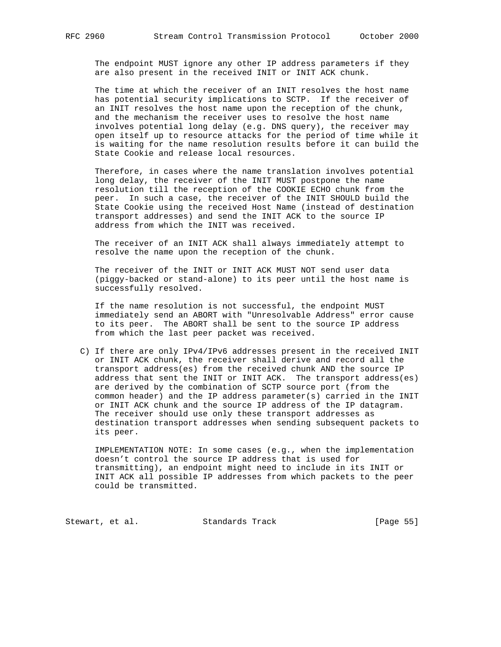The endpoint MUST ignore any other IP address parameters if they are also present in the received INIT or INIT ACK chunk.

 The time at which the receiver of an INIT resolves the host name has potential security implications to SCTP. If the receiver of an INIT resolves the host name upon the reception of the chunk, and the mechanism the receiver uses to resolve the host name involves potential long delay (e.g. DNS query), the receiver may open itself up to resource attacks for the period of time while it is waiting for the name resolution results before it can build the State Cookie and release local resources.

 Therefore, in cases where the name translation involves potential long delay, the receiver of the INIT MUST postpone the name resolution till the reception of the COOKIE ECHO chunk from the peer. In such a case, the receiver of the INIT SHOULD build the State Cookie using the received Host Name (instead of destination transport addresses) and send the INIT ACK to the source IP address from which the INIT was received.

 The receiver of an INIT ACK shall always immediately attempt to resolve the name upon the reception of the chunk.

 The receiver of the INIT or INIT ACK MUST NOT send user data (piggy-backed or stand-alone) to its peer until the host name is successfully resolved.

 If the name resolution is not successful, the endpoint MUST immediately send an ABORT with "Unresolvable Address" error cause to its peer. The ABORT shall be sent to the source IP address from which the last peer packet was received.

 C) If there are only IPv4/IPv6 addresses present in the received INIT or INIT ACK chunk, the receiver shall derive and record all the transport address(es) from the received chunk AND the source IP address that sent the INIT or INIT ACK. The transport address(es) are derived by the combination of SCTP source port (from the common header) and the IP address parameter(s) carried in the INIT or INIT ACK chunk and the source IP address of the IP datagram. The receiver should use only these transport addresses as destination transport addresses when sending subsequent packets to its peer.

 IMPLEMENTATION NOTE: In some cases (e.g., when the implementation doesn't control the source IP address that is used for transmitting), an endpoint might need to include in its INIT or INIT ACK all possible IP addresses from which packets to the peer could be transmitted.

Stewart, et al. Standards Track [Page 55]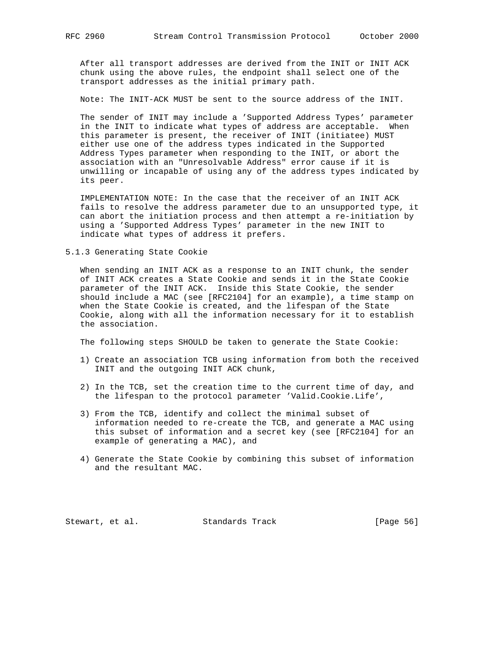After all transport addresses are derived from the INIT or INIT ACK chunk using the above rules, the endpoint shall select one of the transport addresses as the initial primary path.

Note: The INIT-ACK MUST be sent to the source address of the INIT.

 The sender of INIT may include a 'Supported Address Types' parameter in the INIT to indicate what types of address are acceptable. When this parameter is present, the receiver of INIT (initiatee) MUST either use one of the address types indicated in the Supported Address Types parameter when responding to the INIT, or abort the association with an "Unresolvable Address" error cause if it is unwilling or incapable of using any of the address types indicated by its peer.

 IMPLEMENTATION NOTE: In the case that the receiver of an INIT ACK fails to resolve the address parameter due to an unsupported type, it can abort the initiation process and then attempt a re-initiation by using a 'Supported Address Types' parameter in the new INIT to indicate what types of address it prefers.

5.1.3 Generating State Cookie

 When sending an INIT ACK as a response to an INIT chunk, the sender of INIT ACK creates a State Cookie and sends it in the State Cookie parameter of the INIT ACK. Inside this State Cookie, the sender should include a MAC (see [RFC2104] for an example), a time stamp on when the State Cookie is created, and the lifespan of the State Cookie, along with all the information necessary for it to establish the association.

The following steps SHOULD be taken to generate the State Cookie:

- 1) Create an association TCB using information from both the received INIT and the outgoing INIT ACK chunk,
- 2) In the TCB, set the creation time to the current time of day, and the lifespan to the protocol parameter 'Valid.Cookie.Life',
- 3) From the TCB, identify and collect the minimal subset of information needed to re-create the TCB, and generate a MAC using this subset of information and a secret key (see [RFC2104] for an example of generating a MAC), and
- 4) Generate the State Cookie by combining this subset of information and the resultant MAC.

Stewart, et al. Standards Track [Page 56]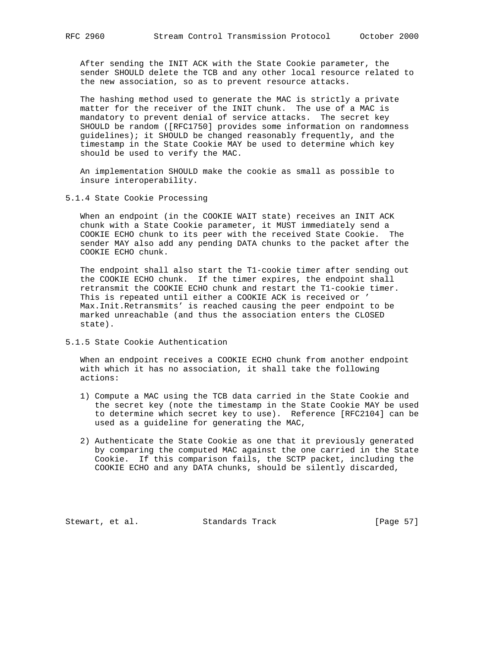After sending the INIT ACK with the State Cookie parameter, the sender SHOULD delete the TCB and any other local resource related to the new association, so as to prevent resource attacks.

 The hashing method used to generate the MAC is strictly a private matter for the receiver of the INIT chunk. The use of a MAC is mandatory to prevent denial of service attacks. The secret key SHOULD be random ([RFC1750] provides some information on randomness guidelines); it SHOULD be changed reasonably frequently, and the timestamp in the State Cookie MAY be used to determine which key should be used to verify the MAC.

 An implementation SHOULD make the cookie as small as possible to insure interoperability.

5.1.4 State Cookie Processing

 When an endpoint (in the COOKIE WAIT state) receives an INIT ACK chunk with a State Cookie parameter, it MUST immediately send a COOKIE ECHO chunk to its peer with the received State Cookie. The sender MAY also add any pending DATA chunks to the packet after the COOKIE ECHO chunk.

 The endpoint shall also start the T1-cookie timer after sending out the COOKIE ECHO chunk. If the timer expires, the endpoint shall retransmit the COOKIE ECHO chunk and restart the T1-cookie timer. This is repeated until either a COOKIE ACK is received or ' Max.Init.Retransmits' is reached causing the peer endpoint to be marked unreachable (and thus the association enters the CLOSED state).

5.1.5 State Cookie Authentication

 When an endpoint receives a COOKIE ECHO chunk from another endpoint with which it has no association, it shall take the following actions:

- 1) Compute a MAC using the TCB data carried in the State Cookie and the secret key (note the timestamp in the State Cookie MAY be used to determine which secret key to use). Reference [RFC2104] can be used as a guideline for generating the MAC,
- 2) Authenticate the State Cookie as one that it previously generated by comparing the computed MAC against the one carried in the State Cookie. If this comparison fails, the SCTP packet, including the COOKIE ECHO and any DATA chunks, should be silently discarded,

Stewart, et al. Standards Track [Page 57]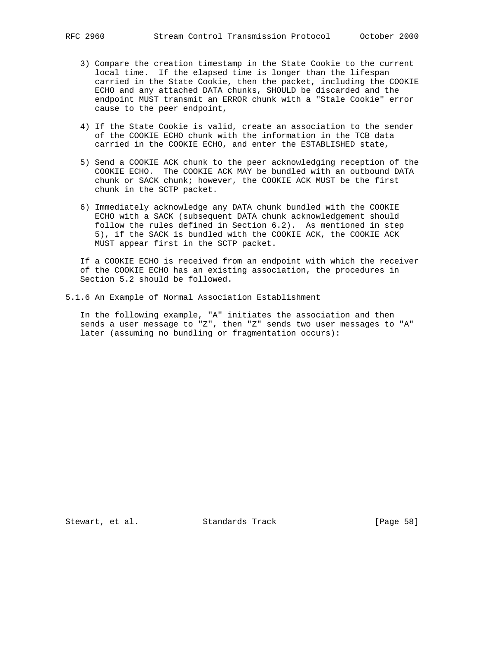- 3) Compare the creation timestamp in the State Cookie to the current local time. If the elapsed time is longer than the lifespan carried in the State Cookie, then the packet, including the COOKIE ECHO and any attached DATA chunks, SHOULD be discarded and the endpoint MUST transmit an ERROR chunk with a "Stale Cookie" error cause to the peer endpoint,
- 4) If the State Cookie is valid, create an association to the sender of the COOKIE ECHO chunk with the information in the TCB data carried in the COOKIE ECHO, and enter the ESTABLISHED state,
- 5) Send a COOKIE ACK chunk to the peer acknowledging reception of the COOKIE ECHO. The COOKIE ACK MAY be bundled with an outbound DATA chunk or SACK chunk; however, the COOKIE ACK MUST be the first chunk in the SCTP packet.
- 6) Immediately acknowledge any DATA chunk bundled with the COOKIE ECHO with a SACK (subsequent DATA chunk acknowledgement should follow the rules defined in Section 6.2). As mentioned in step 5), if the SACK is bundled with the COOKIE ACK, the COOKIE ACK MUST appear first in the SCTP packet.

 If a COOKIE ECHO is received from an endpoint with which the receiver of the COOKIE ECHO has an existing association, the procedures in Section 5.2 should be followed.

5.1.6 An Example of Normal Association Establishment

 In the following example, "A" initiates the association and then sends a user message to "Z", then "Z" sends two user messages to "A" later (assuming no bundling or fragmentation occurs):

Stewart, et al. Standards Track [Page 58]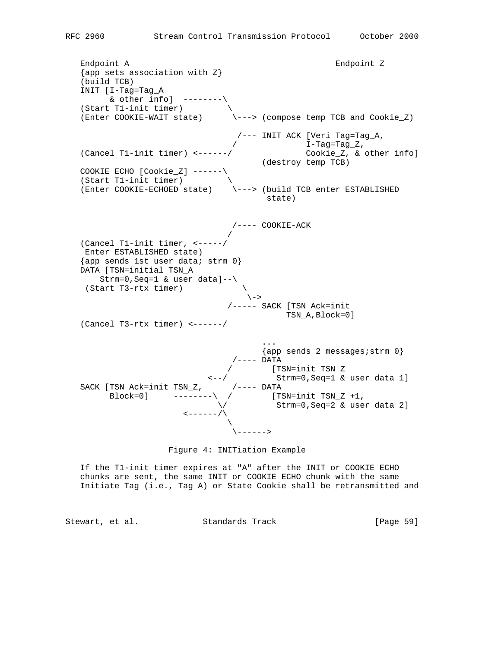Endpoint A Endpoint Z  $\{app \text{ sets } associated \text{ is } n \in \mathbb{Z}\}$  (build TCB) INIT [I-Tag=Tag\_A & other  $info$ ]  $------\$ (Start T1-init timer)  $\setminus$  (Enter COOKIE-WAIT state) \---> (compose temp TCB and Cookie\_Z) /--- INIT ACK [Veri Tag=Tag\_A, / I-Tag=Tag\_Z, (Cancel T1-init timer) <------/ Cookie\_Z, & other info] (destroy temp TCB) COOKIE ECHO [Cookie\_Z] ------\ (Start T1-init timer) \ (Enter COOKIE-ECHOED state) \---> (build TCB enter ESTABLISHED state) /---- COOKIE-ACK / (Cancel T1-init timer, <-----/ Enter ESTABLISHED state) {app sends 1st user data; strm 0} DATA [TSN=initial TSN\_A Strm=0,Seq=1 & user data]--\ (Start T3-rtx timer) \  $\vee$  /----- SACK [TSN Ack=init TSN\_A,Block=0] (Cancel T3-rtx timer) <------/ ...  $\{app \text{ sends } 2 \text{ messages} \text{ is } 0\}$  /---- DATA / [TSN=init TSN\_Z <--/ Strm=0,Seq=1 & user data 1] SACK [TSN Ack=init TSN\_Z, /---- DATA Block=0] --------\ / [TSN=init TSN\_Z +1,  $\setminus$  / Strm=0, Seq=2 & user data 2]  $\leftarrow----\leftarrow/\left\langle$  $\mathcal{N}$  and  $\mathcal{N}$  are the set of  $\mathcal{N}$ \------>



 If the T1-init timer expires at "A" after the INIT or COOKIE ECHO chunks are sent, the same INIT or COOKIE ECHO chunk with the same Initiate Tag (i.e., Tag\_A) or State Cookie shall be retransmitted and

Stewart, et al. Standards Track [Page 59]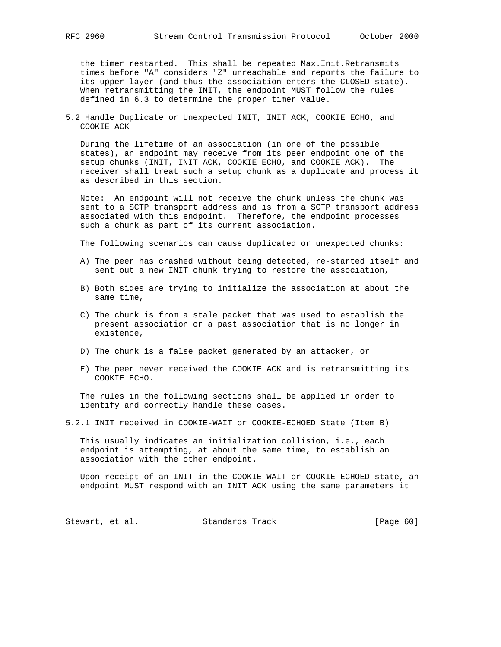the timer restarted. This shall be repeated Max.Init.Retransmits times before "A" considers "Z" unreachable and reports the failure to its upper layer (and thus the association enters the CLOSED state). When retransmitting the INIT, the endpoint MUST follow the rules defined in 6.3 to determine the proper timer value.

5.2 Handle Duplicate or Unexpected INIT, INIT ACK, COOKIE ECHO, and COOKIE ACK

 During the lifetime of an association (in one of the possible states), an endpoint may receive from its peer endpoint one of the setup chunks (INIT, INIT ACK, COOKIE ECHO, and COOKIE ACK). The receiver shall treat such a setup chunk as a duplicate and process it as described in this section.

 Note: An endpoint will not receive the chunk unless the chunk was sent to a SCTP transport address and is from a SCTP transport address associated with this endpoint. Therefore, the endpoint processes such a chunk as part of its current association.

The following scenarios can cause duplicated or unexpected chunks:

- A) The peer has crashed without being detected, re-started itself and sent out a new INIT chunk trying to restore the association,
- B) Both sides are trying to initialize the association at about the same time,
- C) The chunk is from a stale packet that was used to establish the present association or a past association that is no longer in existence,
- D) The chunk is a false packet generated by an attacker, or
- E) The peer never received the COOKIE ACK and is retransmitting its COOKIE ECHO.

 The rules in the following sections shall be applied in order to identify and correctly handle these cases.

5.2.1 INIT received in COOKIE-WAIT or COOKIE-ECHOED State (Item B)

 This usually indicates an initialization collision, i.e., each endpoint is attempting, at about the same time, to establish an association with the other endpoint.

 Upon receipt of an INIT in the COOKIE-WAIT or COOKIE-ECHOED state, an endpoint MUST respond with an INIT ACK using the same parameters it

Stewart, et al. Standards Track [Page 60]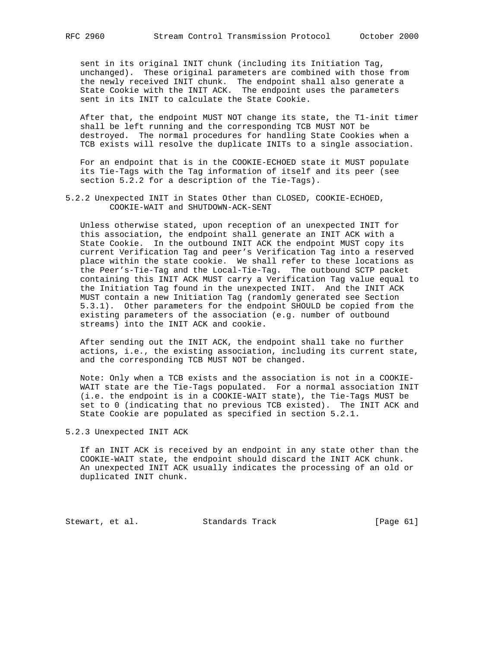sent in its original INIT chunk (including its Initiation Tag, unchanged). These original parameters are combined with those from the newly received INIT chunk. The endpoint shall also generate a State Cookie with the INIT ACK. The endpoint uses the parameters sent in its INIT to calculate the State Cookie.

 After that, the endpoint MUST NOT change its state, the T1-init timer shall be left running and the corresponding TCB MUST NOT be destroyed. The normal procedures for handling State Cookies when a TCB exists will resolve the duplicate INITs to a single association.

 For an endpoint that is in the COOKIE-ECHOED state it MUST populate its Tie-Tags with the Tag information of itself and its peer (see section 5.2.2 for a description of the Tie-Tags).

5.2.2 Unexpected INIT in States Other than CLOSED, COOKIE-ECHOED, COOKIE-WAIT and SHUTDOWN-ACK-SENT

 Unless otherwise stated, upon reception of an unexpected INIT for this association, the endpoint shall generate an INIT ACK with a State Cookie. In the outbound INIT ACK the endpoint MUST copy its current Verification Tag and peer's Verification Tag into a reserved place within the state cookie. We shall refer to these locations as the Peer's-Tie-Tag and the Local-Tie-Tag. The outbound SCTP packet containing this INIT ACK MUST carry a Verification Tag value equal to the Initiation Tag found in the unexpected INIT. And the INIT ACK MUST contain a new Initiation Tag (randomly generated see Section 5.3.1). Other parameters for the endpoint SHOULD be copied from the existing parameters of the association (e.g. number of outbound streams) into the INIT ACK and cookie.

 After sending out the INIT ACK, the endpoint shall take no further actions, i.e., the existing association, including its current state, and the corresponding TCB MUST NOT be changed.

 Note: Only when a TCB exists and the association is not in a COOKIE- WAIT state are the Tie-Tags populated. For a normal association INIT (i.e. the endpoint is in a COOKIE-WAIT state), the Tie-Tags MUST be set to 0 (indicating that no previous TCB existed). The INIT ACK and State Cookie are populated as specified in section 5.2.1.

5.2.3 Unexpected INIT ACK

 If an INIT ACK is received by an endpoint in any state other than the COOKIE-WAIT state, the endpoint should discard the INIT ACK chunk. An unexpected INIT ACK usually indicates the processing of an old or duplicated INIT chunk.

Stewart, et al. Standards Track [Page 61]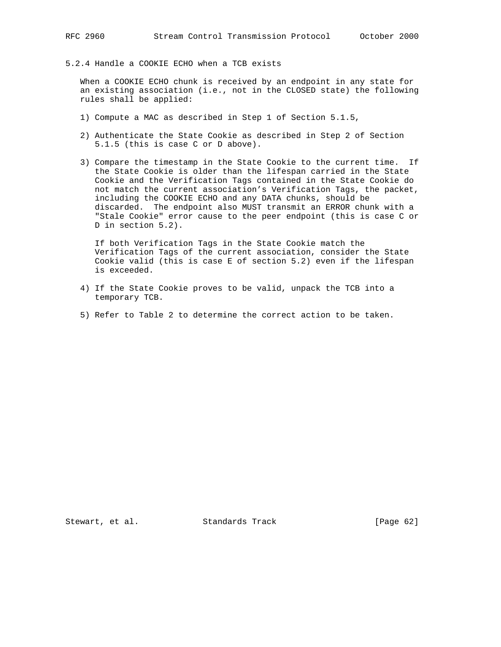5.2.4 Handle a COOKIE ECHO when a TCB exists

 When a COOKIE ECHO chunk is received by an endpoint in any state for an existing association (i.e., not in the CLOSED state) the following rules shall be applied:

- 1) Compute a MAC as described in Step 1 of Section 5.1.5,
- 2) Authenticate the State Cookie as described in Step 2 of Section 5.1.5 (this is case C or D above).
- 3) Compare the timestamp in the State Cookie to the current time. If the State Cookie is older than the lifespan carried in the State Cookie and the Verification Tags contained in the State Cookie do not match the current association's Verification Tags, the packet, including the COOKIE ECHO and any DATA chunks, should be discarded. The endpoint also MUST transmit an ERROR chunk with a "Stale Cookie" error cause to the peer endpoint (this is case C or D in section 5.2).

 If both Verification Tags in the State Cookie match the Verification Tags of the current association, consider the State Cookie valid (this is case E of section 5.2) even if the lifespan is exceeded.

- 4) If the State Cookie proves to be valid, unpack the TCB into a temporary TCB.
- 5) Refer to Table 2 to determine the correct action to be taken.

Stewart, et al. Standards Track [Page 62]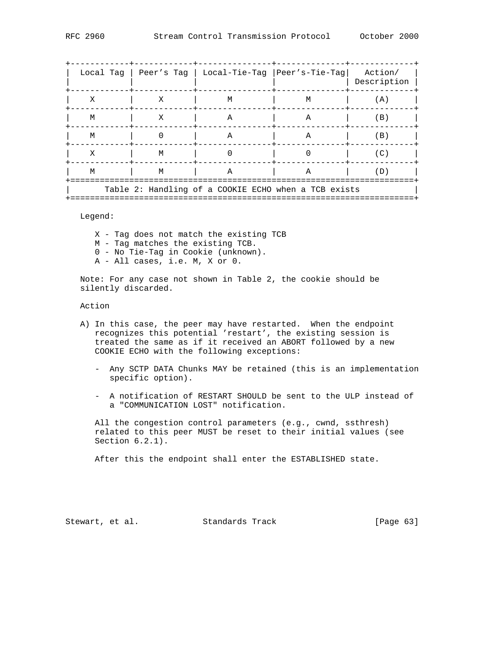|                                                      |   | Local Tag   Peer's Tag   Local-Tie-Tag   Peer's-Tie-Tag |              | Action/<br>Description |  |
|------------------------------------------------------|---|---------------------------------------------------------|--------------|------------------------|--|
| X                                                    | X | M                                                       | M            | (A)                    |  |
| M                                                    | X | $\mathbb{A}$                                            | $\mathbb{A}$ | (B)                    |  |
| M                                                    |   | A                                                       | $\mathbb{A}$ | (B)                    |  |
| Χ                                                    | M |                                                         |              | (C)                    |  |
| M                                                    | M | $\mathbf{A}$                                            | $\mathbf{A}$ | (D)                    |  |
| Table 2: Handling of a COOKIE ECHO when a TCB exists |   |                                                         |              |                        |  |

Legend:

- X Tag does not match the existing TCB
- M Tag matches the existing TCB.
- 0 No Tie-Tag in Cookie (unknown).
- A All cases, i.e. M, X or 0.

 Note: For any case not shown in Table 2, the cookie should be silently discarded.

Action

- A) In this case, the peer may have restarted. When the endpoint recognizes this potential 'restart', the existing session is treated the same as if it received an ABORT followed by a new COOKIE ECHO with the following exceptions:
	- Any SCTP DATA Chunks MAY be retained (this is an implementation specific option).
	- A notification of RESTART SHOULD be sent to the ULP instead of a "COMMUNICATION LOST" notification.

 All the congestion control parameters (e.g., cwnd, ssthresh) related to this peer MUST be reset to their initial values (see Section 6.2.1).

After this the endpoint shall enter the ESTABLISHED state.

Stewart, et al. Standards Track [Page 63]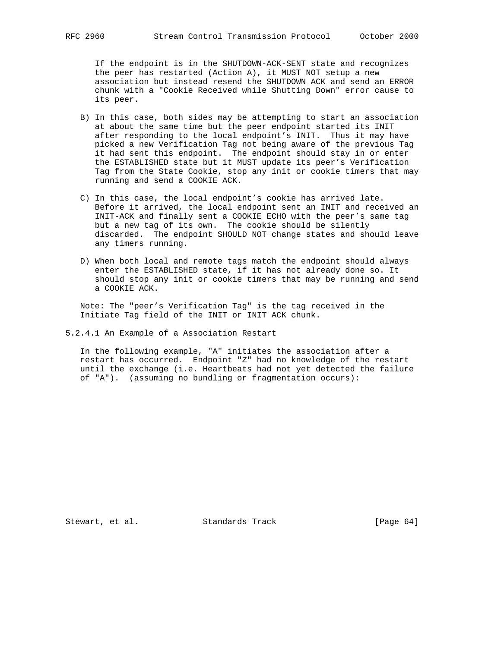If the endpoint is in the SHUTDOWN-ACK-SENT state and recognizes the peer has restarted (Action A), it MUST NOT setup a new association but instead resend the SHUTDOWN ACK and send an ERROR chunk with a "Cookie Received while Shutting Down" error cause to its peer.

- B) In this case, both sides may be attempting to start an association at about the same time but the peer endpoint started its INIT after responding to the local endpoint's INIT. Thus it may have picked a new Verification Tag not being aware of the previous Tag it had sent this endpoint. The endpoint should stay in or enter the ESTABLISHED state but it MUST update its peer's Verification Tag from the State Cookie, stop any init or cookie timers that may running and send a COOKIE ACK.
- C) In this case, the local endpoint's cookie has arrived late. Before it arrived, the local endpoint sent an INIT and received an INIT-ACK and finally sent a COOKIE ECHO with the peer's same tag but a new tag of its own. The cookie should be silently discarded. The endpoint SHOULD NOT change states and should leave any timers running.
- D) When both local and remote tags match the endpoint should always enter the ESTABLISHED state, if it has not already done so. It should stop any init or cookie timers that may be running and send a COOKIE ACK.

 Note: The "peer's Verification Tag" is the tag received in the Initiate Tag field of the INIT or INIT ACK chunk.

5.2.4.1 An Example of a Association Restart

 In the following example, "A" initiates the association after a restart has occurred. Endpoint "Z" had no knowledge of the restart until the exchange (i.e. Heartbeats had not yet detected the failure of "A"). (assuming no bundling or fragmentation occurs):

Stewart, et al. Standards Track [Page 64]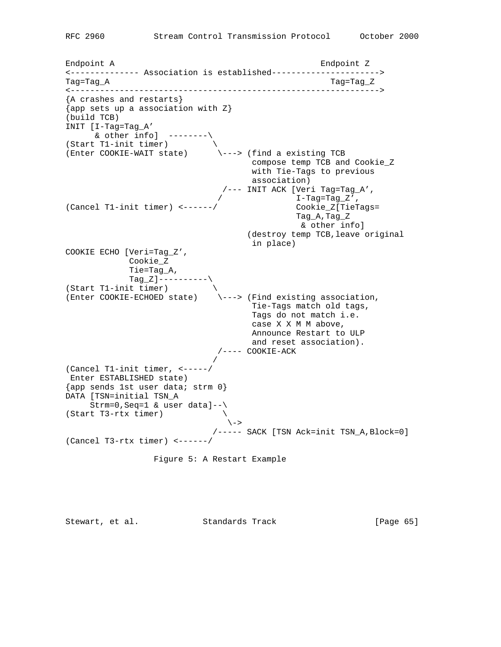Endpoint A Endpoint Z <-------------- Association is established----------------------> Tag=Tag\_A Tag=Tag\_Z <---------------------------------------------------------------> {A crashes and restarts} {app sets up a association with Z} (build TCB) INIT [I-Tag=Tag\_A'  $\&$  other info] --------\ (Start T1-init timer)  $\setminus$ (Enter COOKIE-WAIT state) \---> (find a existing TCB compose temp TCB and Cookie\_Z with Tie-Tags to previous association) /--- INIT ACK [Veri Tag=Tag\_A',  $I$ -Tag=Tag\_Z', (Cancel T1-init timer) <------/ Cookie\_Z[TieTags= Tag\_A,Tag\_Z & other info] (destroy temp TCB,leave original in place) COOKIE ECHO [Veri=Tag\_Z', Cookie\_Z Tie=Tag\_A,  $Tag_Z]$ ----------\ (Start T1-init timer) \ (Start T1-Init timer)<br>(Enter COOKIE-ECHOED state) \---> (Find existing association, Tie-Tags match old tags, Tags do not match i.e. case X X M M above, Announce Restart to ULP and reset association).  $/---$  COOKIE-ACK / (Cancel T1-init timer, <-----/ Enter ESTABLISHED state) {app sends 1st user data; strm 0} DATA [TSN=initial TSN\_A Strm=0,Seq=1 & user data]--\ (Start T3-rtx timer)  $\setminus$  $\setminus$  -> /----- SACK [TSN Ack=init TSN\_A,Block=0] (Cancel T3-rtx timer) <------/ Figure 5: A Restart Example

Stewart, et al. Standards Track [Page 65]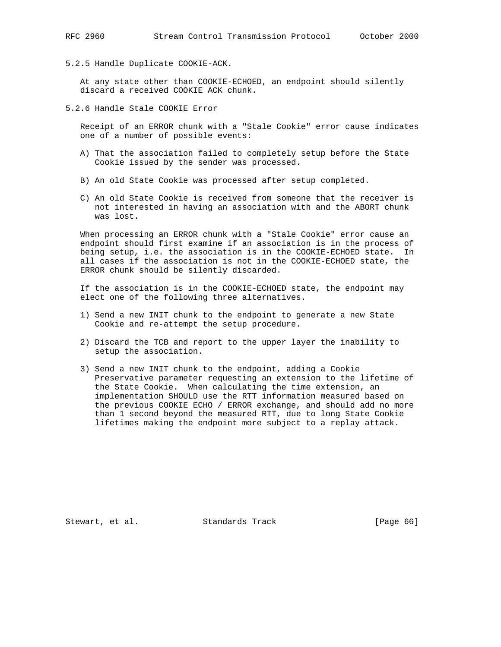5.2.5 Handle Duplicate COOKIE-ACK.

 At any state other than COOKIE-ECHOED, an endpoint should silently discard a received COOKIE ACK chunk.

5.2.6 Handle Stale COOKIE Error

 Receipt of an ERROR chunk with a "Stale Cookie" error cause indicates one of a number of possible events:

- A) That the association failed to completely setup before the State Cookie issued by the sender was processed.
- B) An old State Cookie was processed after setup completed.
- C) An old State Cookie is received from someone that the receiver is not interested in having an association with and the ABORT chunk was lost.

 When processing an ERROR chunk with a "Stale Cookie" error cause an endpoint should first examine if an association is in the process of being setup, i.e. the association is in the COOKIE-ECHOED state. In all cases if the association is not in the COOKIE-ECHOED state, the ERROR chunk should be silently discarded.

 If the association is in the COOKIE-ECHOED state, the endpoint may elect one of the following three alternatives.

- 1) Send a new INIT chunk to the endpoint to generate a new State Cookie and re-attempt the setup procedure.
- 2) Discard the TCB and report to the upper layer the inability to setup the association.
- 3) Send a new INIT chunk to the endpoint, adding a Cookie Preservative parameter requesting an extension to the lifetime of the State Cookie. When calculating the time extension, an implementation SHOULD use the RTT information measured based on the previous COOKIE ECHO / ERROR exchange, and should add no more than 1 second beyond the measured RTT, due to long State Cookie lifetimes making the endpoint more subject to a replay attack.

Stewart, et al. Standards Track [Page 66]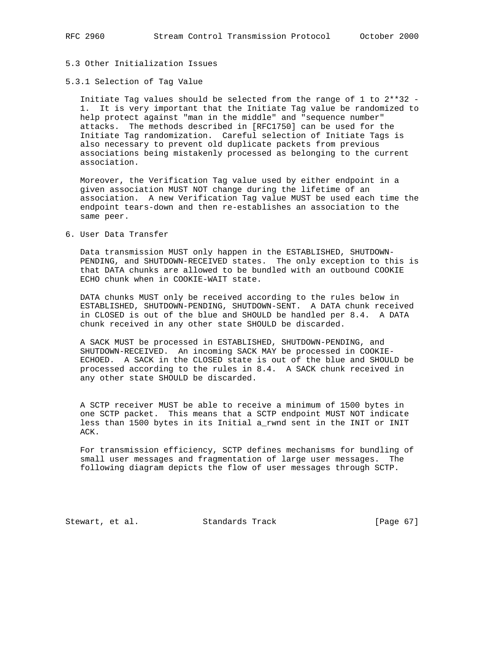#### 5.3 Other Initialization Issues

## 5.3.1 Selection of Tag Value

 Initiate Tag values should be selected from the range of 1 to 2\*\*32 - 1. It is very important that the Initiate Tag value be randomized to help protect against "man in the middle" and "sequence number" attacks. The methods described in [RFC1750] can be used for the Initiate Tag randomization. Careful selection of Initiate Tags is also necessary to prevent old duplicate packets from previous associations being mistakenly processed as belonging to the current association.

 Moreover, the Verification Tag value used by either endpoint in a given association MUST NOT change during the lifetime of an association. A new Verification Tag value MUST be used each time the endpoint tears-down and then re-establishes an association to the same peer.

6. User Data Transfer

 Data transmission MUST only happen in the ESTABLISHED, SHUTDOWN- PENDING, and SHUTDOWN-RECEIVED states. The only exception to this is that DATA chunks are allowed to be bundled with an outbound COOKIE ECHO chunk when in COOKIE-WAIT state.

 DATA chunks MUST only be received according to the rules below in ESTABLISHED, SHUTDOWN-PENDING, SHUTDOWN-SENT. A DATA chunk received in CLOSED is out of the blue and SHOULD be handled per 8.4. A DATA chunk received in any other state SHOULD be discarded.

 A SACK MUST be processed in ESTABLISHED, SHUTDOWN-PENDING, and SHUTDOWN-RECEIVED. An incoming SACK MAY be processed in COOKIE- ECHOED. A SACK in the CLOSED state is out of the blue and SHOULD be processed according to the rules in 8.4. A SACK chunk received in any other state SHOULD be discarded.

 A SCTP receiver MUST be able to receive a minimum of 1500 bytes in one SCTP packet. This means that a SCTP endpoint MUST NOT indicate less than 1500 bytes in its Initial a\_rwnd sent in the INIT or INIT ACK.

 For transmission efficiency, SCTP defines mechanisms for bundling of small user messages and fragmentation of large user messages. The following diagram depicts the flow of user messages through SCTP.

Stewart, et al. Standards Track [Page 67]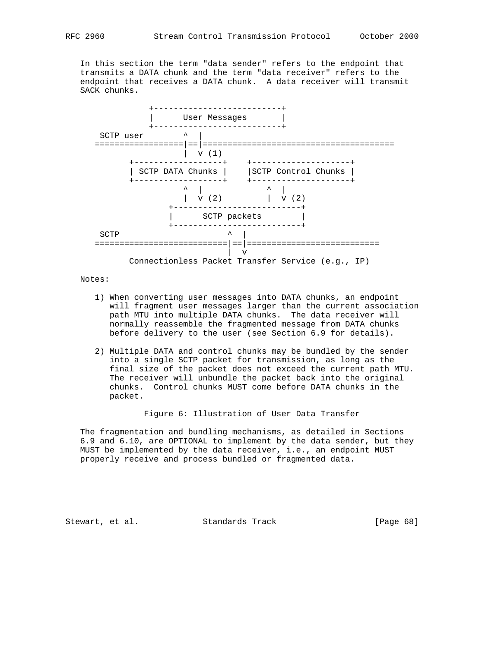In this section the term "data sender" refers to the endpoint that transmits a DATA chunk and the term "data receiver" refers to the endpoint that receives a DATA chunk. A data receiver will transmit SACK chunks.



Notes:

- 1) When converting user messages into DATA chunks, an endpoint will fragment user messages larger than the current association path MTU into multiple DATA chunks. The data receiver will normally reassemble the fragmented message from DATA chunks before delivery to the user (see Section 6.9 for details).
- 2) Multiple DATA and control chunks may be bundled by the sender into a single SCTP packet for transmission, as long as the final size of the packet does not exceed the current path MTU. The receiver will unbundle the packet back into the original chunks. Control chunks MUST come before DATA chunks in the packet.

Figure 6: Illustration of User Data Transfer

 The fragmentation and bundling mechanisms, as detailed in Sections 6.9 and 6.10, are OPTIONAL to implement by the data sender, but they MUST be implemented by the data receiver, i.e., an endpoint MUST properly receive and process bundled or fragmented data.

Stewart, et al. Standards Track [Page 68]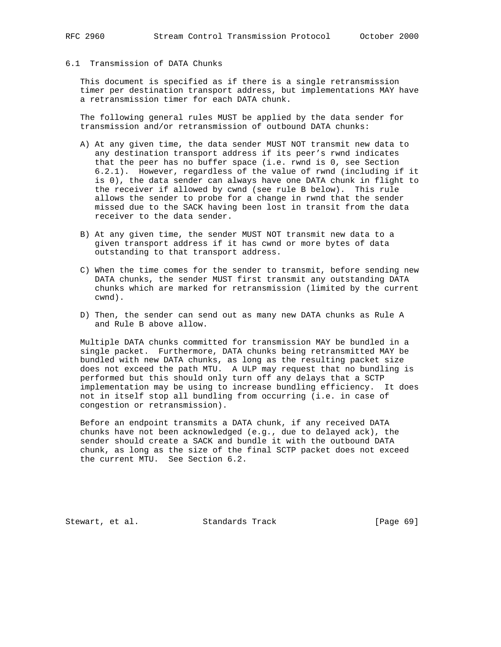## 6.1 Transmission of DATA Chunks

 This document is specified as if there is a single retransmission timer per destination transport address, but implementations MAY have a retransmission timer for each DATA chunk.

 The following general rules MUST be applied by the data sender for transmission and/or retransmission of outbound DATA chunks:

- A) At any given time, the data sender MUST NOT transmit new data to any destination transport address if its peer's rwnd indicates that the peer has no buffer space (i.e. rwnd is 0, see Section 6.2.1). However, regardless of the value of rwnd (including if it is 0), the data sender can always have one DATA chunk in flight to the receiver if allowed by cwnd (see rule B below). This rule allows the sender to probe for a change in rwnd that the sender missed due to the SACK having been lost in transit from the data receiver to the data sender.
- B) At any given time, the sender MUST NOT transmit new data to a given transport address if it has cwnd or more bytes of data outstanding to that transport address.
- C) When the time comes for the sender to transmit, before sending new DATA chunks, the sender MUST first transmit any outstanding DATA chunks which are marked for retransmission (limited by the current cwnd).
- D) Then, the sender can send out as many new DATA chunks as Rule A and Rule B above allow.

 Multiple DATA chunks committed for transmission MAY be bundled in a single packet. Furthermore, DATA chunks being retransmitted MAY be bundled with new DATA chunks, as long as the resulting packet size does not exceed the path MTU. A ULP may request that no bundling is performed but this should only turn off any delays that a SCTP implementation may be using to increase bundling efficiency. It does not in itself stop all bundling from occurring (i.e. in case of congestion or retransmission).

 Before an endpoint transmits a DATA chunk, if any received DATA chunks have not been acknowledged (e.g., due to delayed ack), the sender should create a SACK and bundle it with the outbound DATA chunk, as long as the size of the final SCTP packet does not exceed the current MTU. See Section 6.2.

Stewart, et al. Standards Track [Page 69]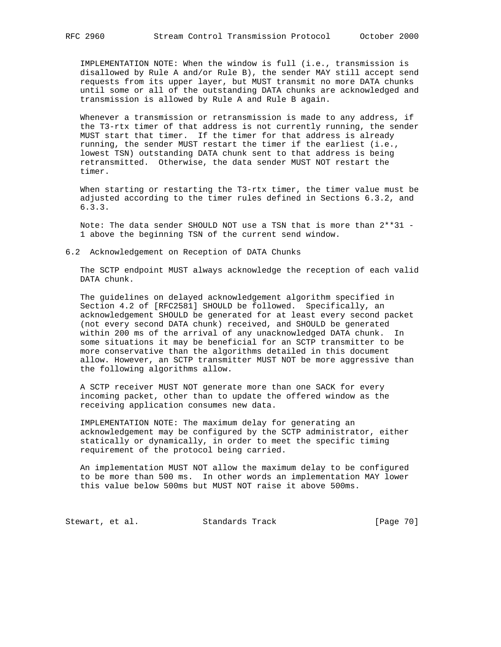IMPLEMENTATION NOTE: When the window is full (i.e., transmission is disallowed by Rule A and/or Rule B), the sender MAY still accept send requests from its upper layer, but MUST transmit no more DATA chunks until some or all of the outstanding DATA chunks are acknowledged and transmission is allowed by Rule A and Rule B again.

 Whenever a transmission or retransmission is made to any address, if the T3-rtx timer of that address is not currently running, the sender MUST start that timer. If the timer for that address is already running, the sender MUST restart the timer if the earliest (i.e., lowest TSN) outstanding DATA chunk sent to that address is being retransmitted. Otherwise, the data sender MUST NOT restart the timer.

 When starting or restarting the T3-rtx timer, the timer value must be adjusted according to the timer rules defined in Sections 6.3.2, and 6.3.3.

 Note: The data sender SHOULD NOT use a TSN that is more than 2\*\*31 - 1 above the beginning TSN of the current send window.

## 6.2 Acknowledgement on Reception of DATA Chunks

 The SCTP endpoint MUST always acknowledge the reception of each valid DATA chunk.

 The guidelines on delayed acknowledgement algorithm specified in Section 4.2 of [RFC2581] SHOULD be followed. Specifically, an acknowledgement SHOULD be generated for at least every second packet (not every second DATA chunk) received, and SHOULD be generated within 200 ms of the arrival of any unacknowledged DATA chunk. In some situations it may be beneficial for an SCTP transmitter to be more conservative than the algorithms detailed in this document allow. However, an SCTP transmitter MUST NOT be more aggressive than the following algorithms allow.

 A SCTP receiver MUST NOT generate more than one SACK for every incoming packet, other than to update the offered window as the receiving application consumes new data.

 IMPLEMENTATION NOTE: The maximum delay for generating an acknowledgement may be configured by the SCTP administrator, either statically or dynamically, in order to meet the specific timing requirement of the protocol being carried.

 An implementation MUST NOT allow the maximum delay to be configured to be more than 500 ms. In other words an implementation MAY lower this value below 500ms but MUST NOT raise it above 500ms.

Stewart, et al. Standards Track [Page 70]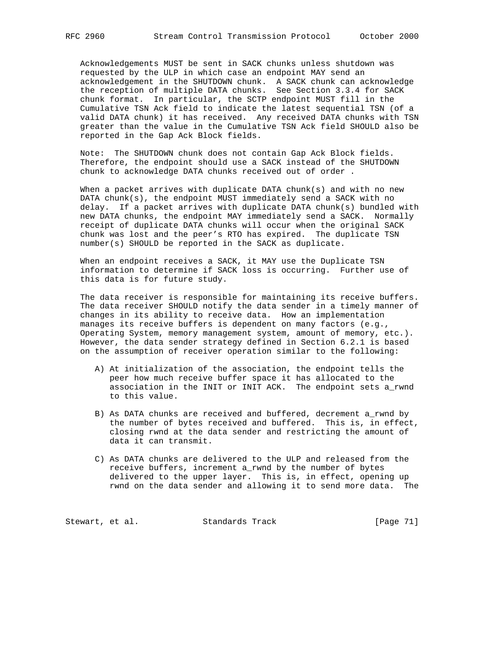Acknowledgements MUST be sent in SACK chunks unless shutdown was requested by the ULP in which case an endpoint MAY send an acknowledgement in the SHUTDOWN chunk. A SACK chunk can acknowledge the reception of multiple DATA chunks. See Section 3.3.4 for SACK chunk format. In particular, the SCTP endpoint MUST fill in the Cumulative TSN Ack field to indicate the latest sequential TSN (of a valid DATA chunk) it has received. Any received DATA chunks with TSN greater than the value in the Cumulative TSN Ack field SHOULD also be reported in the Gap Ack Block fields.

 Note: The SHUTDOWN chunk does not contain Gap Ack Block fields. Therefore, the endpoint should use a SACK instead of the SHUTDOWN chunk to acknowledge DATA chunks received out of order .

 When a packet arrives with duplicate DATA chunk(s) and with no new DATA chunk(s), the endpoint MUST immediately send a SACK with no delay. If a packet arrives with duplicate DATA chunk(s) bundled with new DATA chunks, the endpoint MAY immediately send a SACK. Normally receipt of duplicate DATA chunks will occur when the original SACK chunk was lost and the peer's RTO has expired. The duplicate TSN number(s) SHOULD be reported in the SACK as duplicate.

 When an endpoint receives a SACK, it MAY use the Duplicate TSN information to determine if SACK loss is occurring. Further use of this data is for future study.

 The data receiver is responsible for maintaining its receive buffers. The data receiver SHOULD notify the data sender in a timely manner of changes in its ability to receive data. How an implementation manages its receive buffers is dependent on many factors (e.g., Operating System, memory management system, amount of memory, etc.). However, the data sender strategy defined in Section 6.2.1 is based on the assumption of receiver operation similar to the following:

- A) At initialization of the association, the endpoint tells the peer how much receive buffer space it has allocated to the association in the INIT or INIT ACK. The endpoint sets a\_rwnd to this value.
- B) As DATA chunks are received and buffered, decrement a\_rwnd by the number of bytes received and buffered. This is, in effect, closing rwnd at the data sender and restricting the amount of data it can transmit.
- C) As DATA chunks are delivered to the ULP and released from the receive buffers, increment a\_rwnd by the number of bytes delivered to the upper layer. This is, in effect, opening up rwnd on the data sender and allowing it to send more data. The

Stewart, et al. Standards Track [Page 71]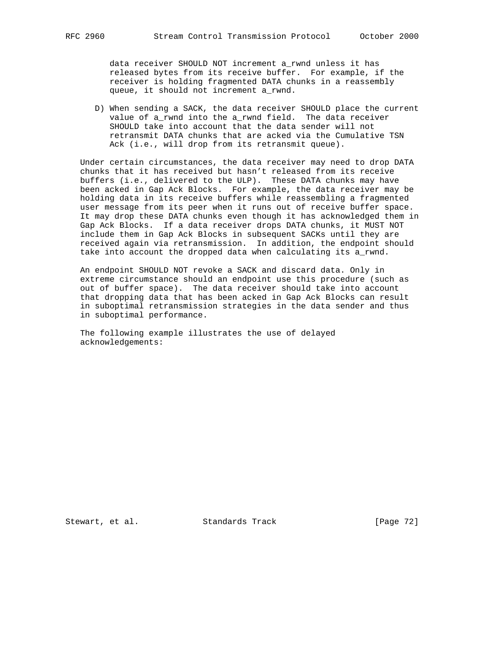data receiver SHOULD NOT increment a\_rwnd unless it has released bytes from its receive buffer. For example, if the receiver is holding fragmented DATA chunks in a reassembly queue, it should not increment a\_rwnd.

 D) When sending a SACK, the data receiver SHOULD place the current value of a\_rwnd into the a\_rwnd field. The data receiver SHOULD take into account that the data sender will not retransmit DATA chunks that are acked via the Cumulative TSN Ack (i.e., will drop from its retransmit queue).

 Under certain circumstances, the data receiver may need to drop DATA chunks that it has received but hasn't released from its receive buffers (i.e., delivered to the ULP). These DATA chunks may have been acked in Gap Ack Blocks. For example, the data receiver may be holding data in its receive buffers while reassembling a fragmented user message from its peer when it runs out of receive buffer space. It may drop these DATA chunks even though it has acknowledged them in Gap Ack Blocks. If a data receiver drops DATA chunks, it MUST NOT include them in Gap Ack Blocks in subsequent SACKs until they are received again via retransmission. In addition, the endpoint should take into account the dropped data when calculating its a\_rwnd.

 An endpoint SHOULD NOT revoke a SACK and discard data. Only in extreme circumstance should an endpoint use this procedure (such as out of buffer space). The data receiver should take into account that dropping data that has been acked in Gap Ack Blocks can result in suboptimal retransmission strategies in the data sender and thus in suboptimal performance.

 The following example illustrates the use of delayed acknowledgements:

Stewart, et al. Standards Track [Page 72]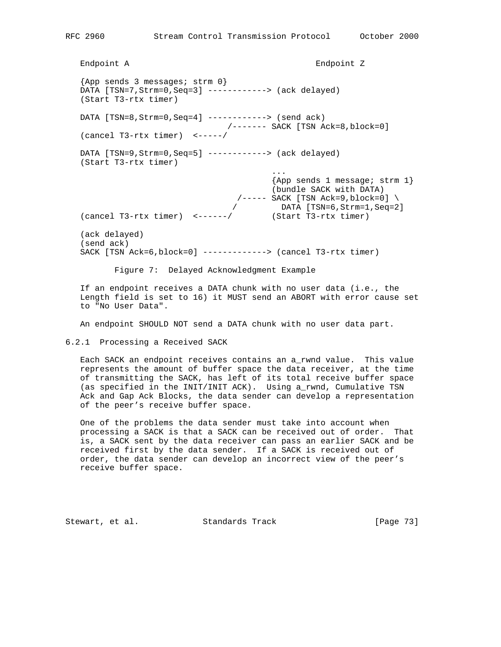Endpoint A Endpoint Z {App sends 3 messages; strm 0} DATA [TSN=7,Strm=0,Seq=3] ------------> (ack delayed) (Start T3-rtx timer) DATA [TSN=8,Strm=0,Seq=4] ------------> (send ack) /------- SACK [TSN Ack=8,block=0] (cancel T3-rtx timer) <-----/ DATA [TSN=9,Strm=0,Seq=5] ------------> (ack delayed) (Start T3-rtx timer) ... {App sends 1 message; strm 1} (bundle SACK with DATA) /----- SACK [TSN Ack=9,block=0] \ / DATA [TSN=6,Strm=1,Seq=2] (cancel T3-rtx timer) <------/ (Start T3-rtx timer) (ack delayed) (send ack) SACK [TSN Ack=6,block=0] -------------> (cancel T3-rtx timer)

Figure 7: Delayed Acknowledgment Example

 If an endpoint receives a DATA chunk with no user data (i.e., the Length field is set to 16) it MUST send an ABORT with error cause set to "No User Data".

An endpoint SHOULD NOT send a DATA chunk with no user data part.

6.2.1 Processing a Received SACK

 Each SACK an endpoint receives contains an a\_rwnd value. This value represents the amount of buffer space the data receiver, at the time of transmitting the SACK, has left of its total receive buffer space (as specified in the INIT/INIT ACK). Using a\_rwnd, Cumulative TSN Ack and Gap Ack Blocks, the data sender can develop a representation of the peer's receive buffer space.

 One of the problems the data sender must take into account when processing a SACK is that a SACK can be received out of order. That is, a SACK sent by the data receiver can pass an earlier SACK and be received first by the data sender. If a SACK is received out of order, the data sender can develop an incorrect view of the peer's receive buffer space.

Stewart, et al. Standards Track [Page 73]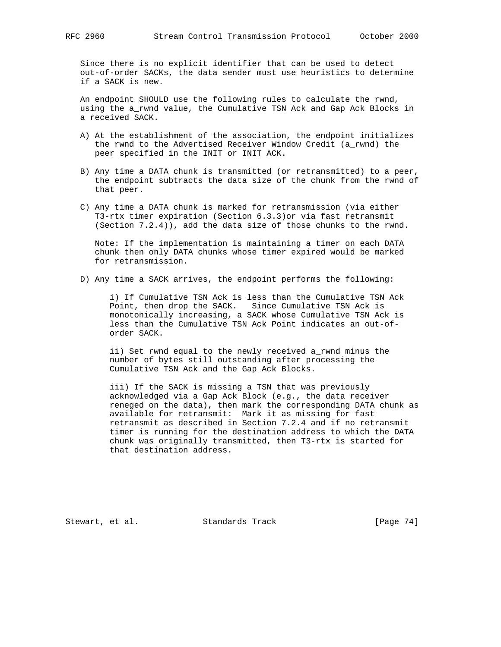Since there is no explicit identifier that can be used to detect out-of-order SACKs, the data sender must use heuristics to determine if a SACK is new.

 An endpoint SHOULD use the following rules to calculate the rwnd, using the a\_rwnd value, the Cumulative TSN Ack and Gap Ack Blocks in a received SACK.

- A) At the establishment of the association, the endpoint initializes the rwnd to the Advertised Receiver Window Credit (a\_rwnd) the peer specified in the INIT or INIT ACK.
- B) Any time a DATA chunk is transmitted (or retransmitted) to a peer, the endpoint subtracts the data size of the chunk from the rwnd of that peer.
- C) Any time a DATA chunk is marked for retransmission (via either T3-rtx timer expiration (Section 6.3.3)or via fast retransmit (Section 7.2.4)), add the data size of those chunks to the rwnd.

 Note: If the implementation is maintaining a timer on each DATA chunk then only DATA chunks whose timer expired would be marked for retransmission.

D) Any time a SACK arrives, the endpoint performs the following:

 i) If Cumulative TSN Ack is less than the Cumulative TSN Ack Point, then drop the SACK. Since Cumulative TSN Ack is monotonically increasing, a SACK whose Cumulative TSN Ack is less than the Cumulative TSN Ack Point indicates an out-of order SACK.

 ii) Set rwnd equal to the newly received a\_rwnd minus the number of bytes still outstanding after processing the Cumulative TSN Ack and the Gap Ack Blocks.

 iii) If the SACK is missing a TSN that was previously acknowledged via a Gap Ack Block (e.g., the data receiver reneged on the data), then mark the corresponding DATA chunk as available for retransmit: Mark it as missing for fast retransmit as described in Section 7.2.4 and if no retransmit timer is running for the destination address to which the DATA chunk was originally transmitted, then T3-rtx is started for that destination address.

Stewart, et al. Standards Track [Page 74]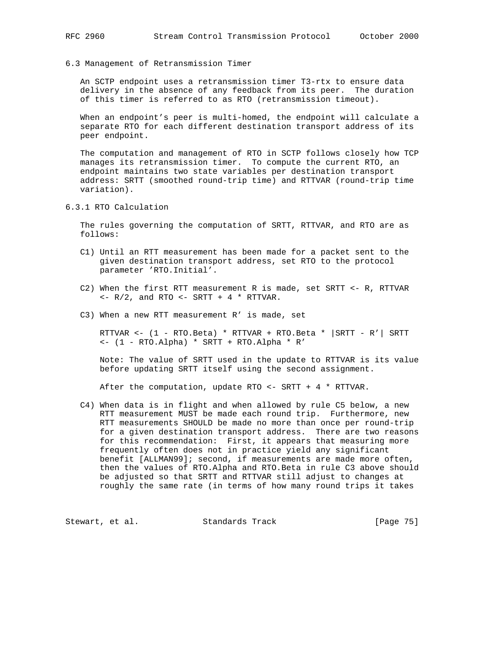6.3 Management of Retransmission Timer

 An SCTP endpoint uses a retransmission timer T3-rtx to ensure data delivery in the absence of any feedback from its peer. The duration of this timer is referred to as RTO (retransmission timeout).

 When an endpoint's peer is multi-homed, the endpoint will calculate a separate RTO for each different destination transport address of its peer endpoint.

 The computation and management of RTO in SCTP follows closely how TCP manages its retransmission timer. To compute the current RTO, an endpoint maintains two state variables per destination transport address: SRTT (smoothed round-trip time) and RTTVAR (round-trip time variation).

6.3.1 RTO Calculation

 The rules governing the computation of SRTT, RTTVAR, and RTO are as follows:

- C1) Until an RTT measurement has been made for a packet sent to the given destination transport address, set RTO to the protocol parameter 'RTO.Initial'.
- C2) When the first RTT measurement R is made, set SRTT <- R, RTTVAR  $<- R/2$ , and RTO  $<-$  SRTT  $+ 4 * R$ TTVAR.
- C3) When a new RTT measurement R' is made, set

 RTTVAR <- (1 - RTO.Beta) \* RTTVAR + RTO.Beta \* |SRTT - R'| SRTT <- (1 - RTO.Alpha) \* SRTT + RTO.Alpha \* R'

 Note: The value of SRTT used in the update to RTTVAR is its value before updating SRTT itself using the second assignment.

After the computation, update RTO <- SRTT + 4 \* RTTVAR.

 C4) When data is in flight and when allowed by rule C5 below, a new RTT measurement MUST be made each round trip. Furthermore, new RTT measurements SHOULD be made no more than once per round-trip for a given destination transport address. There are two reasons for this recommendation: First, it appears that measuring more frequently often does not in practice yield any significant benefit [ALLMAN99]; second, if measurements are made more often, then the values of RTO.Alpha and RTO.Beta in rule C3 above should be adjusted so that SRTT and RTTVAR still adjust to changes at roughly the same rate (in terms of how many round trips it takes

Stewart, et al. Standards Track [Page 75]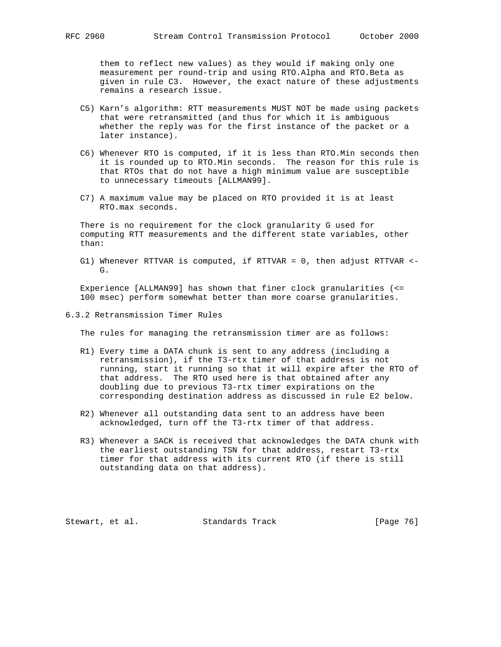them to reflect new values) as they would if making only one measurement per round-trip and using RTO.Alpha and RTO.Beta as given in rule C3. However, the exact nature of these adjustments remains a research issue.

- C5) Karn's algorithm: RTT measurements MUST NOT be made using packets that were retransmitted (and thus for which it is ambiguous whether the reply was for the first instance of the packet or a later instance).
- C6) Whenever RTO is computed, if it is less than RTO.Min seconds then it is rounded up to RTO.Min seconds. The reason for this rule is that RTOs that do not have a high minimum value are susceptible to unnecessary timeouts [ALLMAN99].
- C7) A maximum value may be placed on RTO provided it is at least RTO.max seconds.

 There is no requirement for the clock granularity G used for computing RTT measurements and the different state variables, other than:

 G1) Whenever RTTVAR is computed, if RTTVAR = 0, then adjust RTTVAR <-  $G_{\tau}$ 

 Experience [ALLMAN99] has shown that finer clock granularities (<= 100 msec) perform somewhat better than more coarse granularities.

6.3.2 Retransmission Timer Rules

The rules for managing the retransmission timer are as follows:

- R1) Every time a DATA chunk is sent to any address (including a retransmission), if the T3-rtx timer of that address is not running, start it running so that it will expire after the RTO of that address. The RTO used here is that obtained after any doubling due to previous T3-rtx timer expirations on the corresponding destination address as discussed in rule E2 below.
- R2) Whenever all outstanding data sent to an address have been acknowledged, turn off the T3-rtx timer of that address.
- R3) Whenever a SACK is received that acknowledges the DATA chunk with the earliest outstanding TSN for that address, restart T3-rtx timer for that address with its current RTO (if there is still outstanding data on that address).

Stewart, et al. Standards Track [Page 76]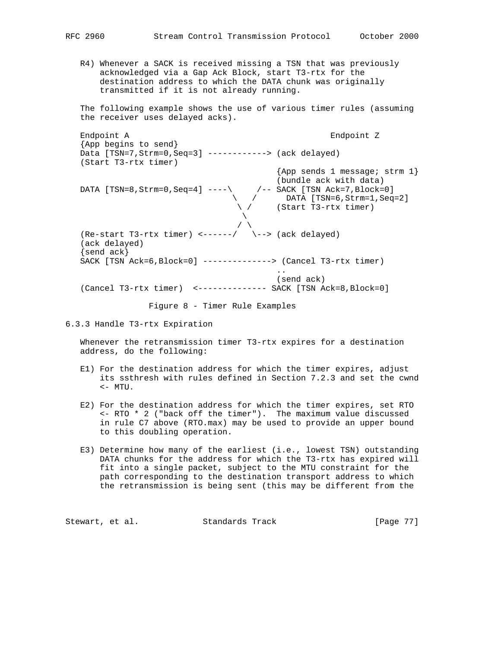R4) Whenever a SACK is received missing a TSN that was previously acknowledged via a Gap Ack Block, start T3-rtx for the destination address to which the DATA chunk was originally transmitted if it is not already running.

 The following example shows the use of various timer rules (assuming the receiver uses delayed acks).

 Endpoint A Endpoint Z {App begins to send} Data [TSN=7,Strm=0,Seq=3] ------------> (ack delayed) (Start T3-rtx timer)  $\{App \text{ sends } 1 \text{ message } i \text{ strm } 1\}$  (bundle ack with data) DATA [TSN=8,Strm=0,Seq=4] ----\ /-- SACK [TSN Ack=7,Block=0]  $\setminus$  / DATA [TSN=6, Strm=1, Seq=2]  $\setminus$  / (Start T3-rtx timer)  $\mathcal{L}$  and  $\mathcal{L}$  are the set of  $\mathcal{L}$  . The set of  $\mathcal{L}$  $\sqrt{2}$ (Re-start T3-rtx timer) <------/  $\setminus$ --> (ack delayed) (ack delayed) {send ack} SACK [TSN Ack=6,Block=0] --------------> (Cancel T3-rtx timer) .. (send ack) (Cancel T3-rtx timer) <-------------- SACK [TSN Ack=8,Block=0]

Figure 8 - Timer Rule Examples

6.3.3 Handle T3-rtx Expiration

 Whenever the retransmission timer T3-rtx expires for a destination address, do the following:

- E1) For the destination address for which the timer expires, adjust its ssthresh with rules defined in Section 7.2.3 and set the cwnd <- MTU.
- E2) For the destination address for which the timer expires, set RTO <- RTO \* 2 ("back off the timer"). The maximum value discussed in rule C7 above (RTO.max) may be used to provide an upper bound to this doubling operation.
- E3) Determine how many of the earliest (i.e., lowest TSN) outstanding DATA chunks for the address for which the T3-rtx has expired will fit into a single packet, subject to the MTU constraint for the path corresponding to the destination transport address to which the retransmission is being sent (this may be different from the

Stewart, et al. Standards Track [Page 77]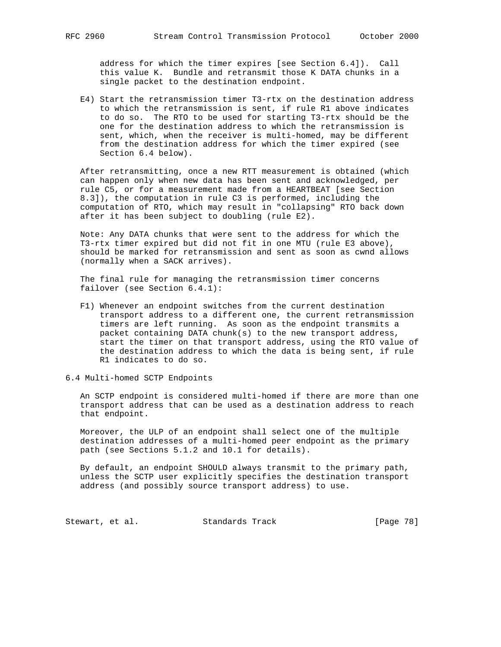address for which the timer expires [see Section 6.4]). Call this value K. Bundle and retransmit those K DATA chunks in a single packet to the destination endpoint.

 E4) Start the retransmission timer T3-rtx on the destination address to which the retransmission is sent, if rule R1 above indicates to do so. The RTO to be used for starting T3-rtx should be the one for the destination address to which the retransmission is sent, which, when the receiver is multi-homed, may be different from the destination address for which the timer expired (see Section 6.4 below).

 After retransmitting, once a new RTT measurement is obtained (which can happen only when new data has been sent and acknowledged, per rule C5, or for a measurement made from a HEARTBEAT [see Section 8.3]), the computation in rule C3 is performed, including the computation of RTO, which may result in "collapsing" RTO back down after it has been subject to doubling (rule E2).

 Note: Any DATA chunks that were sent to the address for which the T3-rtx timer expired but did not fit in one MTU (rule E3 above), should be marked for retransmission and sent as soon as cwnd allows (normally when a SACK arrives).

 The final rule for managing the retransmission timer concerns failover (see Section 6.4.1):

 F1) Whenever an endpoint switches from the current destination transport address to a different one, the current retransmission timers are left running. As soon as the endpoint transmits a packet containing DATA chunk(s) to the new transport address, start the timer on that transport address, using the RTO value of the destination address to which the data is being sent, if rule R1 indicates to do so.

6.4 Multi-homed SCTP Endpoints

 An SCTP endpoint is considered multi-homed if there are more than one transport address that can be used as a destination address to reach that endpoint.

 Moreover, the ULP of an endpoint shall select one of the multiple destination addresses of a multi-homed peer endpoint as the primary path (see Sections 5.1.2 and 10.1 for details).

 By default, an endpoint SHOULD always transmit to the primary path, unless the SCTP user explicitly specifies the destination transport address (and possibly source transport address) to use.

Stewart, et al. Standards Track [Page 78]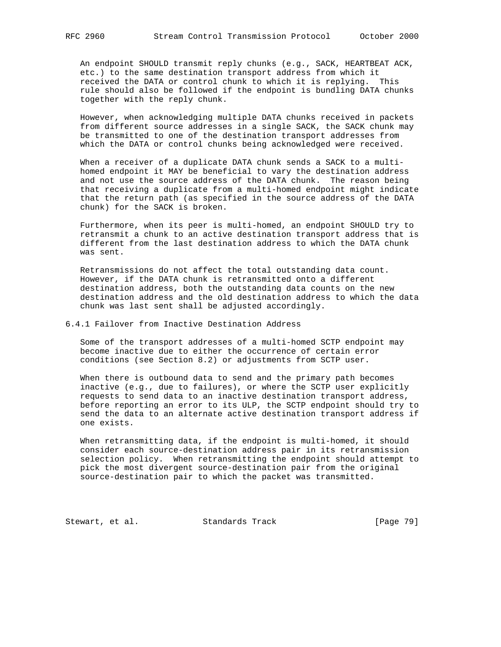An endpoint SHOULD transmit reply chunks (e.g., SACK, HEARTBEAT ACK, etc.) to the same destination transport address from which it received the DATA or control chunk to which it is replying. This rule should also be followed if the endpoint is bundling DATA chunks together with the reply chunk.

 However, when acknowledging multiple DATA chunks received in packets from different source addresses in a single SACK, the SACK chunk may be transmitted to one of the destination transport addresses from which the DATA or control chunks being acknowledged were received.

 When a receiver of a duplicate DATA chunk sends a SACK to a multi homed endpoint it MAY be beneficial to vary the destination address and not use the source address of the DATA chunk. The reason being that receiving a duplicate from a multi-homed endpoint might indicate that the return path (as specified in the source address of the DATA chunk) for the SACK is broken.

 Furthermore, when its peer is multi-homed, an endpoint SHOULD try to retransmit a chunk to an active destination transport address that is different from the last destination address to which the DATA chunk was sent.

 Retransmissions do not affect the total outstanding data count. However, if the DATA chunk is retransmitted onto a different destination address, both the outstanding data counts on the new destination address and the old destination address to which the data chunk was last sent shall be adjusted accordingly.

### 6.4.1 Failover from Inactive Destination Address

 Some of the transport addresses of a multi-homed SCTP endpoint may become inactive due to either the occurrence of certain error conditions (see Section 8.2) or adjustments from SCTP user.

 When there is outbound data to send and the primary path becomes inactive (e.g., due to failures), or where the SCTP user explicitly requests to send data to an inactive destination transport address, before reporting an error to its ULP, the SCTP endpoint should try to send the data to an alternate active destination transport address if one exists.

 When retransmitting data, if the endpoint is multi-homed, it should consider each source-destination address pair in its retransmission selection policy. When retransmitting the endpoint should attempt to pick the most divergent source-destination pair from the original source-destination pair to which the packet was transmitted.

Stewart, et al. Standards Track [Page 79]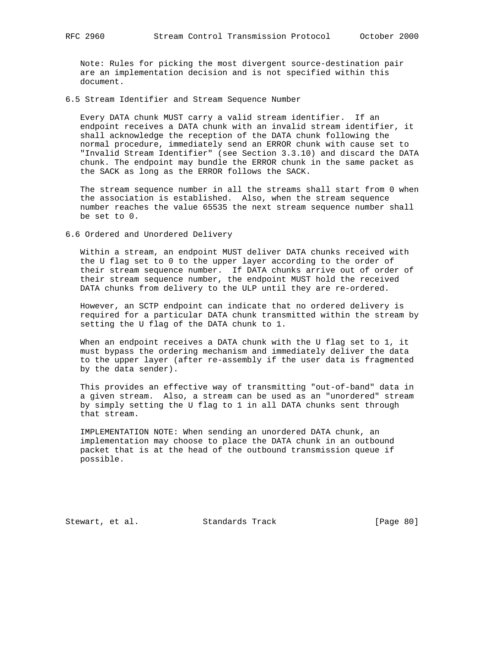Note: Rules for picking the most divergent source-destination pair are an implementation decision and is not specified within this document.

6.5 Stream Identifier and Stream Sequence Number

 Every DATA chunk MUST carry a valid stream identifier. If an endpoint receives a DATA chunk with an invalid stream identifier, it shall acknowledge the reception of the DATA chunk following the normal procedure, immediately send an ERROR chunk with cause set to "Invalid Stream Identifier" (see Section 3.3.10) and discard the DATA chunk. The endpoint may bundle the ERROR chunk in the same packet as the SACK as long as the ERROR follows the SACK.

 The stream sequence number in all the streams shall start from 0 when the association is established. Also, when the stream sequence number reaches the value 65535 the next stream sequence number shall be set to 0.

6.6 Ordered and Unordered Delivery

 Within a stream, an endpoint MUST deliver DATA chunks received with the U flag set to 0 to the upper layer according to the order of their stream sequence number. If DATA chunks arrive out of order of their stream sequence number, the endpoint MUST hold the received DATA chunks from delivery to the ULP until they are re-ordered.

 However, an SCTP endpoint can indicate that no ordered delivery is required for a particular DATA chunk transmitted within the stream by setting the U flag of the DATA chunk to 1.

 When an endpoint receives a DATA chunk with the U flag set to 1, it must bypass the ordering mechanism and immediately deliver the data to the upper layer (after re-assembly if the user data is fragmented by the data sender).

 This provides an effective way of transmitting "out-of-band" data in a given stream. Also, a stream can be used as an "unordered" stream by simply setting the U flag to 1 in all DATA chunks sent through that stream.

 IMPLEMENTATION NOTE: When sending an unordered DATA chunk, an implementation may choose to place the DATA chunk in an outbound packet that is at the head of the outbound transmission queue if possible.

Stewart, et al. Standards Track [Page 80]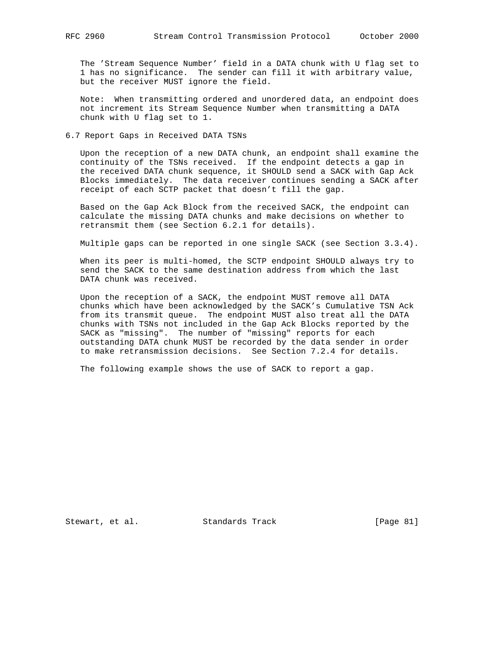The 'Stream Sequence Number' field in a DATA chunk with U flag set to 1 has no significance. The sender can fill it with arbitrary value, but the receiver MUST ignore the field.

 Note: When transmitting ordered and unordered data, an endpoint does not increment its Stream Sequence Number when transmitting a DATA chunk with U flag set to 1.

6.7 Report Gaps in Received DATA TSNs

 Upon the reception of a new DATA chunk, an endpoint shall examine the continuity of the TSNs received. If the endpoint detects a gap in the received DATA chunk sequence, it SHOULD send a SACK with Gap Ack Blocks immediately. The data receiver continues sending a SACK after receipt of each SCTP packet that doesn't fill the gap.

 Based on the Gap Ack Block from the received SACK, the endpoint can calculate the missing DATA chunks and make decisions on whether to retransmit them (see Section 6.2.1 for details).

Multiple gaps can be reported in one single SACK (see Section 3.3.4).

 When its peer is multi-homed, the SCTP endpoint SHOULD always try to send the SACK to the same destination address from which the last DATA chunk was received.

 Upon the reception of a SACK, the endpoint MUST remove all DATA chunks which have been acknowledged by the SACK's Cumulative TSN Ack from its transmit queue. The endpoint MUST also treat all the DATA chunks with TSNs not included in the Gap Ack Blocks reported by the SACK as "missing". The number of "missing" reports for each outstanding DATA chunk MUST be recorded by the data sender in order to make retransmission decisions. See Section 7.2.4 for details.

The following example shows the use of SACK to report a gap.

Stewart, et al. Standards Track [Page 81]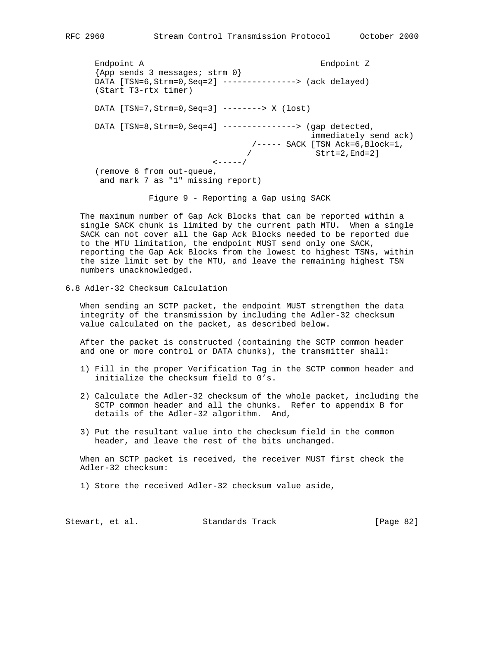Endpoint A Endpoint Z {App sends 3 messages; strm 0} DATA [TSN=6,Strm=0,Seq=2] ---------------> (ack delayed) (Start T3-rtx timer) DATA [TSN=7,Strm=0,Seq=3] --------> X (lost) DATA [TSN=8, Strm=0, Seq=4] ---------------> (gap detected, immediately send ack) /----- SACK [TSN Ack=6,Block=1,  $\angle$  Strt=2, End=2]  $\leftarrow---/$  (remove 6 from out-queue, and mark 7 as "1" missing report)

Figure 9 - Reporting a Gap using SACK

 The maximum number of Gap Ack Blocks that can be reported within a single SACK chunk is limited by the current path MTU. When a single SACK can not cover all the Gap Ack Blocks needed to be reported due to the MTU limitation, the endpoint MUST send only one SACK, reporting the Gap Ack Blocks from the lowest to highest TSNs, within the size limit set by the MTU, and leave the remaining highest TSN numbers unacknowledged.

6.8 Adler-32 Checksum Calculation

 When sending an SCTP packet, the endpoint MUST strengthen the data integrity of the transmission by including the Adler-32 checksum value calculated on the packet, as described below.

 After the packet is constructed (containing the SCTP common header and one or more control or DATA chunks), the transmitter shall:

- 1) Fill in the proper Verification Tag in the SCTP common header and initialize the checksum field to 0's.
- 2) Calculate the Adler-32 checksum of the whole packet, including the SCTP common header and all the chunks. Refer to appendix B for details of the Adler-32 algorithm. And,
- 3) Put the resultant value into the checksum field in the common header, and leave the rest of the bits unchanged.

 When an SCTP packet is received, the receiver MUST first check the Adler-32 checksum:

1) Store the received Adler-32 checksum value aside,

| Standards Track<br>Stewart, et al. | [Page 82] |  |
|------------------------------------|-----------|--|
|------------------------------------|-----------|--|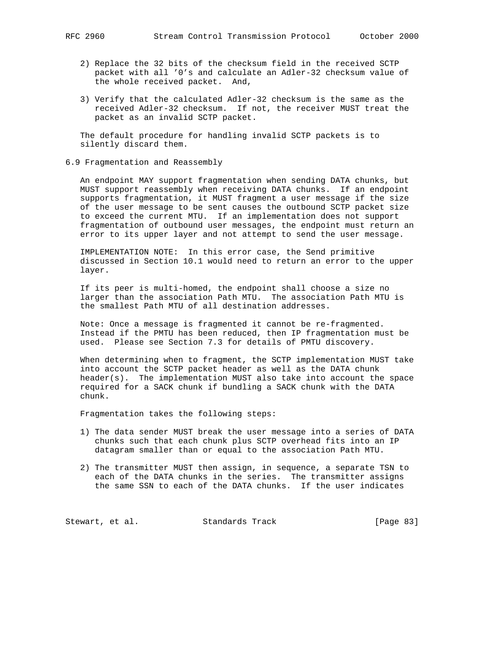- - 2) Replace the 32 bits of the checksum field in the received SCTP packet with all '0's and calculate an Adler-32 checksum value of the whole received packet. And,
	- 3) Verify that the calculated Adler-32 checksum is the same as the received Adler-32 checksum. If not, the receiver MUST treat the packet as an invalid SCTP packet.

 The default procedure for handling invalid SCTP packets is to silently discard them.

6.9 Fragmentation and Reassembly

 An endpoint MAY support fragmentation when sending DATA chunks, but MUST support reassembly when receiving DATA chunks. If an endpoint supports fragmentation, it MUST fragment a user message if the size of the user message to be sent causes the outbound SCTP packet size to exceed the current MTU. If an implementation does not support fragmentation of outbound user messages, the endpoint must return an error to its upper layer and not attempt to send the user message.

 IMPLEMENTATION NOTE: In this error case, the Send primitive discussed in Section 10.1 would need to return an error to the upper layer.

 If its peer is multi-homed, the endpoint shall choose a size no larger than the association Path MTU. The association Path MTU is the smallest Path MTU of all destination addresses.

 Note: Once a message is fragmented it cannot be re-fragmented. Instead if the PMTU has been reduced, then IP fragmentation must be used. Please see Section 7.3 for details of PMTU discovery.

 When determining when to fragment, the SCTP implementation MUST take into account the SCTP packet header as well as the DATA chunk header(s). The implementation MUST also take into account the space required for a SACK chunk if bundling a SACK chunk with the DATA chunk.

Fragmentation takes the following steps:

- 1) The data sender MUST break the user message into a series of DATA chunks such that each chunk plus SCTP overhead fits into an IP datagram smaller than or equal to the association Path MTU.
- 2) The transmitter MUST then assign, in sequence, a separate TSN to each of the DATA chunks in the series. The transmitter assigns the same SSN to each of the DATA chunks. If the user indicates

Stewart, et al. Standards Track [Page 83]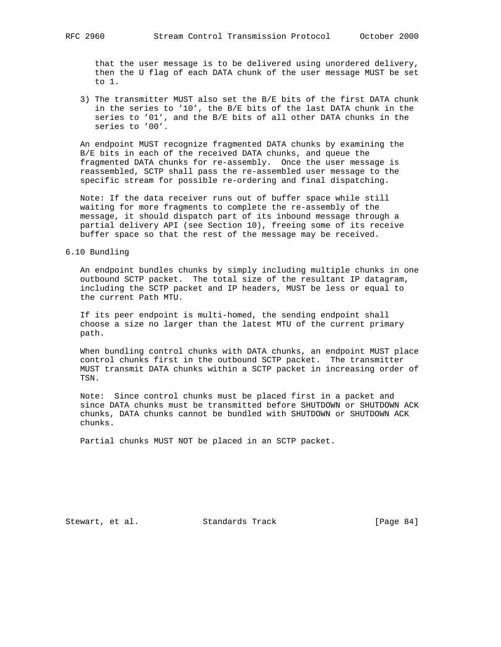that the user message is to be delivered using unordered delivery, then the U flag of each DATA chunk of the user message MUST be set to 1.

 3) The transmitter MUST also set the B/E bits of the first DATA chunk in the series to '10', the B/E bits of the last DATA chunk in the series to '01', and the B/E bits of all other DATA chunks in the series to '00'.

 An endpoint MUST recognize fragmented DATA chunks by examining the B/E bits in each of the received DATA chunks, and queue the fragmented DATA chunks for re-assembly. Once the user message is reassembled, SCTP shall pass the re-assembled user message to the specific stream for possible re-ordering and final dispatching.

 Note: If the data receiver runs out of buffer space while still waiting for more fragments to complete the re-assembly of the message, it should dispatch part of its inbound message through a partial delivery API (see Section 10), freeing some of its receive buffer space so that the rest of the message may be received.

### 6.10 Bundling

 An endpoint bundles chunks by simply including multiple chunks in one outbound SCTP packet. The total size of the resultant IP datagram, including the SCTP packet and IP headers, MUST be less or equal to the current Path MTU.

 If its peer endpoint is multi-homed, the sending endpoint shall choose a size no larger than the latest MTU of the current primary path.

 When bundling control chunks with DATA chunks, an endpoint MUST place control chunks first in the outbound SCTP packet. The transmitter MUST transmit DATA chunks within a SCTP packet in increasing order of TSN.

 Note: Since control chunks must be placed first in a packet and since DATA chunks must be transmitted before SHUTDOWN or SHUTDOWN ACK chunks, DATA chunks cannot be bundled with SHUTDOWN or SHUTDOWN ACK chunks.

Partial chunks MUST NOT be placed in an SCTP packet.

Stewart, et al. Standards Track [Page 84]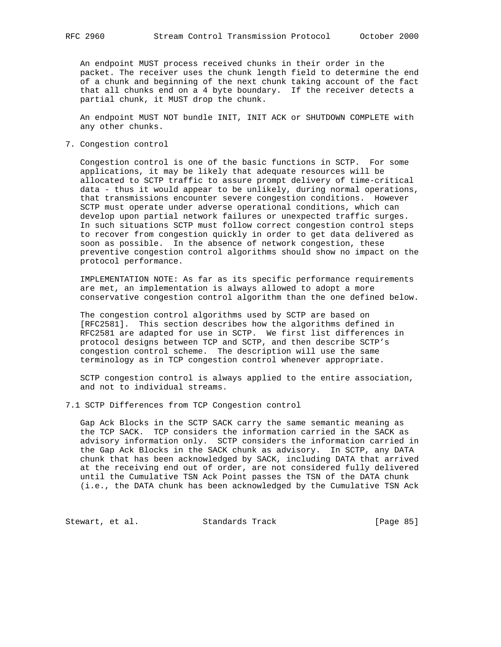An endpoint MUST process received chunks in their order in the packet. The receiver uses the chunk length field to determine the end of a chunk and beginning of the next chunk taking account of the fact that all chunks end on a 4 byte boundary. If the receiver detects a partial chunk, it MUST drop the chunk.

 An endpoint MUST NOT bundle INIT, INIT ACK or SHUTDOWN COMPLETE with any other chunks.

7. Congestion control

 Congestion control is one of the basic functions in SCTP. For some applications, it may be likely that adequate resources will be allocated to SCTP traffic to assure prompt delivery of time-critical data - thus it would appear to be unlikely, during normal operations, that transmissions encounter severe congestion conditions. However SCTP must operate under adverse operational conditions, which can develop upon partial network failures or unexpected traffic surges. In such situations SCTP must follow correct congestion control steps to recover from congestion quickly in order to get data delivered as soon as possible. In the absence of network congestion, these preventive congestion control algorithms should show no impact on the protocol performance.

 IMPLEMENTATION NOTE: As far as its specific performance requirements are met, an implementation is always allowed to adopt a more conservative congestion control algorithm than the one defined below.

 The congestion control algorithms used by SCTP are based on [RFC2581]. This section describes how the algorithms defined in RFC2581 are adapted for use in SCTP. We first list differences in protocol designs between TCP and SCTP, and then describe SCTP's congestion control scheme. The description will use the same terminology as in TCP congestion control whenever appropriate.

 SCTP congestion control is always applied to the entire association, and not to individual streams.

7.1 SCTP Differences from TCP Congestion control

 Gap Ack Blocks in the SCTP SACK carry the same semantic meaning as the TCP SACK. TCP considers the information carried in the SACK as advisory information only. SCTP considers the information carried in the Gap Ack Blocks in the SACK chunk as advisory. In SCTP, any DATA chunk that has been acknowledged by SACK, including DATA that arrived at the receiving end out of order, are not considered fully delivered until the Cumulative TSN Ack Point passes the TSN of the DATA chunk (i.e., the DATA chunk has been acknowledged by the Cumulative TSN Ack

Stewart, et al. Standards Track [Page 85]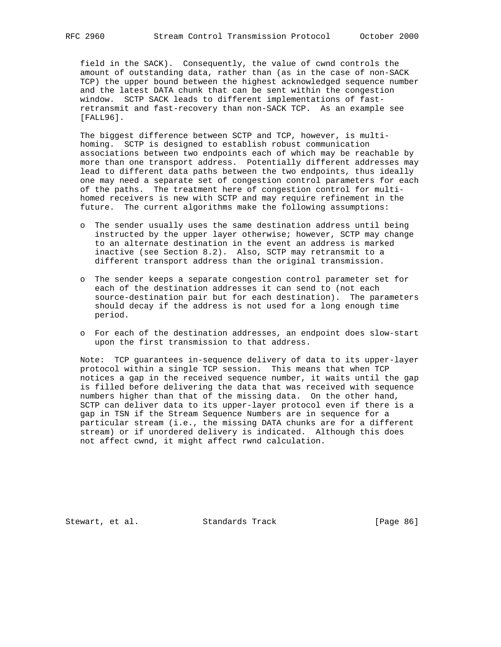field in the SACK). Consequently, the value of cwnd controls the amount of outstanding data, rather than (as in the case of non-SACK TCP) the upper bound between the highest acknowledged sequence number and the latest DATA chunk that can be sent within the congestion window. SCTP SACK leads to different implementations of fast retransmit and fast-recovery than non-SACK TCP. As an example see [FALL96].

 The biggest difference between SCTP and TCP, however, is multi homing. SCTP is designed to establish robust communication associations between two endpoints each of which may be reachable by more than one transport address. Potentially different addresses may lead to different data paths between the two endpoints, thus ideally one may need a separate set of congestion control parameters for each of the paths. The treatment here of congestion control for multi homed receivers is new with SCTP and may require refinement in the future. The current algorithms make the following assumptions:

- o The sender usually uses the same destination address until being instructed by the upper layer otherwise; however, SCTP may change to an alternate destination in the event an address is marked inactive (see Section 8.2). Also, SCTP may retransmit to a different transport address than the original transmission.
- o The sender keeps a separate congestion control parameter set for each of the destination addresses it can send to (not each source-destination pair but for each destination). The parameters should decay if the address is not used for a long enough time period.
- o For each of the destination addresses, an endpoint does slow-start upon the first transmission to that address.

 Note: TCP guarantees in-sequence delivery of data to its upper-layer protocol within a single TCP session. This means that when TCP notices a gap in the received sequence number, it waits until the gap is filled before delivering the data that was received with sequence numbers higher than that of the missing data. On the other hand, SCTP can deliver data to its upper-layer protocol even if there is a gap in TSN if the Stream Sequence Numbers are in sequence for a particular stream (i.e., the missing DATA chunks are for a different stream) or if unordered delivery is indicated. Although this does not affect cwnd, it might affect rwnd calculation.

Stewart, et al. Standards Track [Page 86]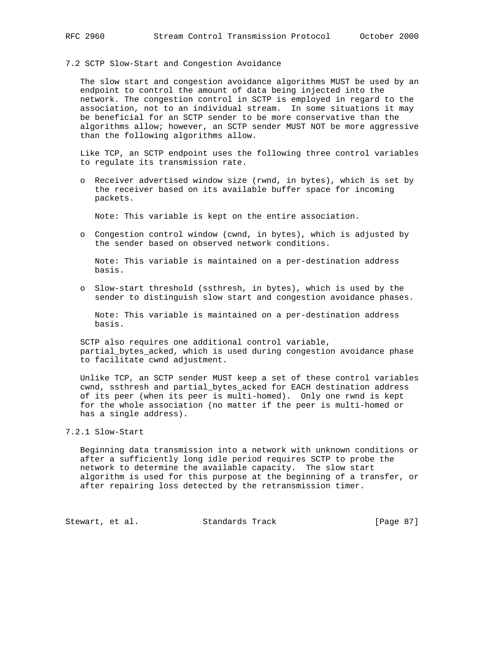7.2 SCTP Slow-Start and Congestion Avoidance

 The slow start and congestion avoidance algorithms MUST be used by an endpoint to control the amount of data being injected into the network. The congestion control in SCTP is employed in regard to the association, not to an individual stream. In some situations it may be beneficial for an SCTP sender to be more conservative than the algorithms allow; however, an SCTP sender MUST NOT be more aggressive than the following algorithms allow.

 Like TCP, an SCTP endpoint uses the following three control variables to regulate its transmission rate.

 o Receiver advertised window size (rwnd, in bytes), which is set by the receiver based on its available buffer space for incoming packets.

Note: This variable is kept on the entire association.

 o Congestion control window (cwnd, in bytes), which is adjusted by the sender based on observed network conditions.

 Note: This variable is maintained on a per-destination address basis.

 o Slow-start threshold (ssthresh, in bytes), which is used by the sender to distinguish slow start and congestion avoidance phases.

 Note: This variable is maintained on a per-destination address basis.

 SCTP also requires one additional control variable, partial\_bytes\_acked, which is used during congestion avoidance phase to facilitate cwnd adjustment.

 Unlike TCP, an SCTP sender MUST keep a set of these control variables cwnd, ssthresh and partial\_bytes\_acked for EACH destination address of its peer (when its peer is multi-homed). Only one rwnd is kept for the whole association (no matter if the peer is multi-homed or has a single address).

# 7.2.1 Slow-Start

 Beginning data transmission into a network with unknown conditions or after a sufficiently long idle period requires SCTP to probe the network to determine the available capacity. The slow start algorithm is used for this purpose at the beginning of a transfer, or after repairing loss detected by the retransmission timer.

Stewart, et al. Standards Track [Page 87]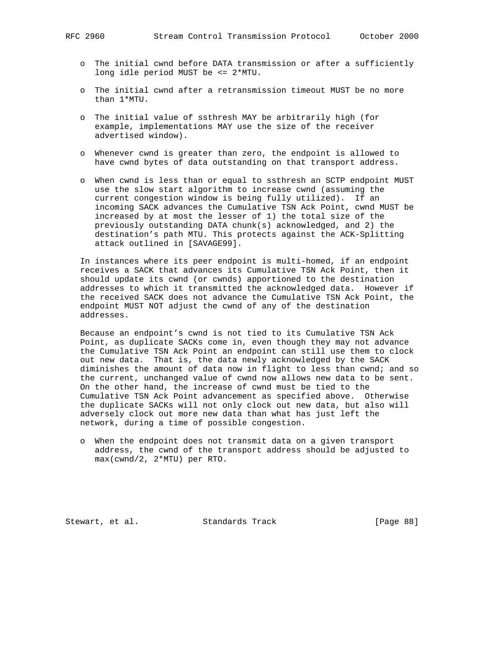- o The initial cwnd before DATA transmission or after a sufficiently long idle period MUST be <= 2\*MTU.
- o The initial cwnd after a retransmission timeout MUST be no more than 1\*MTU.
- o The initial value of ssthresh MAY be arbitrarily high (for example, implementations MAY use the size of the receiver advertised window).
- o Whenever cwnd is greater than zero, the endpoint is allowed to have cwnd bytes of data outstanding on that transport address.
- o When cwnd is less than or equal to ssthresh an SCTP endpoint MUST use the slow start algorithm to increase cwnd (assuming the current congestion window is being fully utilized). If an incoming SACK advances the Cumulative TSN Ack Point, cwnd MUST be increased by at most the lesser of 1) the total size of the previously outstanding DATA chunk(s) acknowledged, and 2) the destination's path MTU. This protects against the ACK-Splitting attack outlined in [SAVAGE99].

 In instances where its peer endpoint is multi-homed, if an endpoint receives a SACK that advances its Cumulative TSN Ack Point, then it should update its cwnd (or cwnds) apportioned to the destination addresses to which it transmitted the acknowledged data. However if the received SACK does not advance the Cumulative TSN Ack Point, the endpoint MUST NOT adjust the cwnd of any of the destination addresses.

 Because an endpoint's cwnd is not tied to its Cumulative TSN Ack Point, as duplicate SACKs come in, even though they may not advance the Cumulative TSN Ack Point an endpoint can still use them to clock out new data. That is, the data newly acknowledged by the SACK diminishes the amount of data now in flight to less than cwnd; and so the current, unchanged value of cwnd now allows new data to be sent. On the other hand, the increase of cwnd must be tied to the Cumulative TSN Ack Point advancement as specified above. Otherwise the duplicate SACKs will not only clock out new data, but also will adversely clock out more new data than what has just left the network, during a time of possible congestion.

 o When the endpoint does not transmit data on a given transport address, the cwnd of the transport address should be adjusted to max(cwnd/2, 2\*MTU) per RTO.

Stewart, et al. Standards Track [Page 88]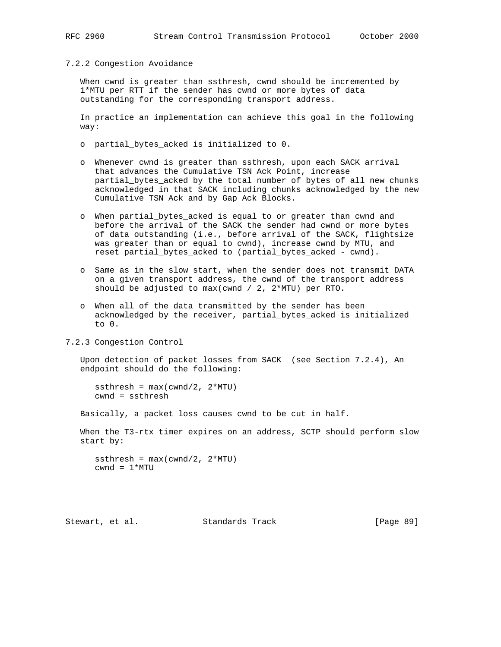### 7.2.2 Congestion Avoidance

 When cwnd is greater than ssthresh, cwnd should be incremented by 1\*MTU per RTT if the sender has cwnd or more bytes of data outstanding for the corresponding transport address.

 In practice an implementation can achieve this goal in the following way:

- o partial\_bytes\_acked is initialized to 0.
- o Whenever cwnd is greater than ssthresh, upon each SACK arrival that advances the Cumulative TSN Ack Point, increase partial\_bytes\_acked by the total number of bytes of all new chunks acknowledged in that SACK including chunks acknowledged by the new Cumulative TSN Ack and by Gap Ack Blocks.
- o When partial\_bytes\_acked is equal to or greater than cwnd and before the arrival of the SACK the sender had cwnd or more bytes of data outstanding (i.e., before arrival of the SACK, flightsize was greater than or equal to cwnd), increase cwnd by MTU, and reset partial\_bytes\_acked to (partial\_bytes\_acked - cwnd).
- o Same as in the slow start, when the sender does not transmit DATA on a given transport address, the cwnd of the transport address should be adjusted to max(cwnd / 2, 2\*MTU) per RTO.
- o When all of the data transmitted by the sender has been acknowledged by the receiver, partial\_bytes\_acked is initialized to 0.

7.2.3 Congestion Control

 Upon detection of packet losses from SACK (see Section 7.2.4), An endpoint should do the following:

ssthresh =  $max(cwnd/2, 2*MTU)$ cwnd = ssthresh

Basically, a packet loss causes cwnd to be cut in half.

When the T3-rtx timer expires on an address, SCTP should perform slow start by:

```
ssthresh = max(cwnd/2, 2*MTU)cwnd = 1*MTU
```
Stewart, et al. Standards Track [Page 89]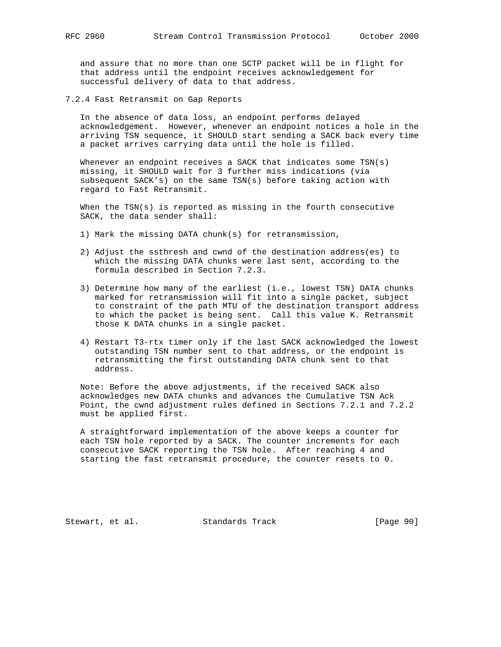and assure that no more than one SCTP packet will be in flight for that address until the endpoint receives acknowledgement for successful delivery of data to that address.

7.2.4 Fast Retransmit on Gap Reports

 In the absence of data loss, an endpoint performs delayed acknowledgement. However, whenever an endpoint notices a hole in the arriving TSN sequence, it SHOULD start sending a SACK back every time a packet arrives carrying data until the hole is filled.

Whenever an endpoint receives a SACK that indicates some  $TSN(s)$  missing, it SHOULD wait for 3 further miss indications (via subsequent SACK's) on the same TSN(s) before taking action with regard to Fast Retransmit.

When the TSN(s) is reported as missing in the fourth consecutive SACK, the data sender shall:

- 1) Mark the missing DATA chunk(s) for retransmission,
- 2) Adjust the ssthresh and cwnd of the destination address(es) to which the missing DATA chunks were last sent, according to the formula described in Section 7.2.3.
- 3) Determine how many of the earliest (i.e., lowest TSN) DATA chunks marked for retransmission will fit into a single packet, subject to constraint of the path MTU of the destination transport address to which the packet is being sent. Call this value K. Retransmit those K DATA chunks in a single packet.
- 4) Restart T3-rtx timer only if the last SACK acknowledged the lowest outstanding TSN number sent to that address, or the endpoint is retransmitting the first outstanding DATA chunk sent to that address.

 Note: Before the above adjustments, if the received SACK also acknowledges new DATA chunks and advances the Cumulative TSN Ack Point, the cwnd adjustment rules defined in Sections 7.2.1 and 7.2.2 must be applied first.

 A straightforward implementation of the above keeps a counter for each TSN hole reported by a SACK. The counter increments for each consecutive SACK reporting the TSN hole. After reaching 4 and starting the fast retransmit procedure, the counter resets to 0.

Stewart, et al. Standards Track [Page 90]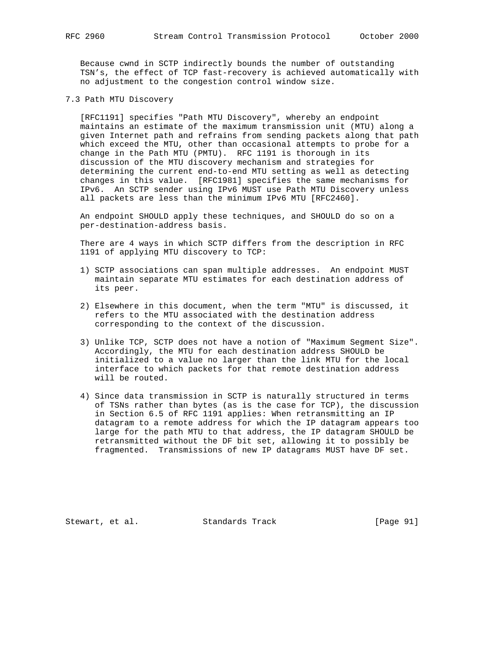Because cwnd in SCTP indirectly bounds the number of outstanding TSN's, the effect of TCP fast-recovery is achieved automatically with no adjustment to the congestion control window size.

7.3 Path MTU Discovery

 [RFC1191] specifies "Path MTU Discovery", whereby an endpoint maintains an estimate of the maximum transmission unit (MTU) along a given Internet path and refrains from sending packets along that path which exceed the MTU, other than occasional attempts to probe for a change in the Path MTU (PMTU). RFC 1191 is thorough in its discussion of the MTU discovery mechanism and strategies for determining the current end-to-end MTU setting as well as detecting changes in this value. [RFC1981] specifies the same mechanisms for IPv6. An SCTP sender using IPv6 MUST use Path MTU Discovery unless all packets are less than the minimum IPv6 MTU [RFC2460].

 An endpoint SHOULD apply these techniques, and SHOULD do so on a per-destination-address basis.

 There are 4 ways in which SCTP differs from the description in RFC 1191 of applying MTU discovery to TCP:

- 1) SCTP associations can span multiple addresses. An endpoint MUST maintain separate MTU estimates for each destination address of its peer.
- 2) Elsewhere in this document, when the term "MTU" is discussed, it refers to the MTU associated with the destination address corresponding to the context of the discussion.
- 3) Unlike TCP, SCTP does not have a notion of "Maximum Segment Size". Accordingly, the MTU for each destination address SHOULD be initialized to a value no larger than the link MTU for the local interface to which packets for that remote destination address will be routed.
- 4) Since data transmission in SCTP is naturally structured in terms of TSNs rather than bytes (as is the case for TCP), the discussion in Section 6.5 of RFC 1191 applies: When retransmitting an IP datagram to a remote address for which the IP datagram appears too large for the path MTU to that address, the IP datagram SHOULD be retransmitted without the DF bit set, allowing it to possibly be fragmented. Transmissions of new IP datagrams MUST have DF set.

Stewart, et al. Standards Track [Page 91]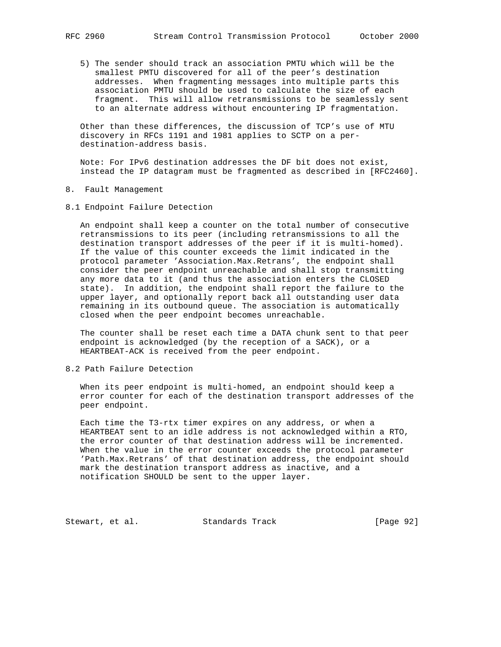5) The sender should track an association PMTU which will be the smallest PMTU discovered for all of the peer's destination addresses. When fragmenting messages into multiple parts this association PMTU should be used to calculate the size of each fragment. This will allow retransmissions to be seamlessly sent to an alternate address without encountering IP fragmentation.

 Other than these differences, the discussion of TCP's use of MTU discovery in RFCs 1191 and 1981 applies to SCTP on a per destination-address basis.

 Note: For IPv6 destination addresses the DF bit does not exist, instead the IP datagram must be fragmented as described in [RFC2460].

- 8. Fault Management
- 8.1 Endpoint Failure Detection

 An endpoint shall keep a counter on the total number of consecutive retransmissions to its peer (including retransmissions to all the destination transport addresses of the peer if it is multi-homed). If the value of this counter exceeds the limit indicated in the protocol parameter 'Association.Max.Retrans', the endpoint shall consider the peer endpoint unreachable and shall stop transmitting any more data to it (and thus the association enters the CLOSED state). In addition, the endpoint shall report the failure to the upper layer, and optionally report back all outstanding user data remaining in its outbound queue. The association is automatically closed when the peer endpoint becomes unreachable.

 The counter shall be reset each time a DATA chunk sent to that peer endpoint is acknowledged (by the reception of a SACK), or a HEARTBEAT-ACK is received from the peer endpoint.

8.2 Path Failure Detection

 When its peer endpoint is multi-homed, an endpoint should keep a error counter for each of the destination transport addresses of the peer endpoint.

 Each time the T3-rtx timer expires on any address, or when a HEARTBEAT sent to an idle address is not acknowledged within a RTO, the error counter of that destination address will be incremented. When the value in the error counter exceeds the protocol parameter 'Path.Max.Retrans' of that destination address, the endpoint should mark the destination transport address as inactive, and a notification SHOULD be sent to the upper layer.

Stewart, et al. Standards Track [Page 92]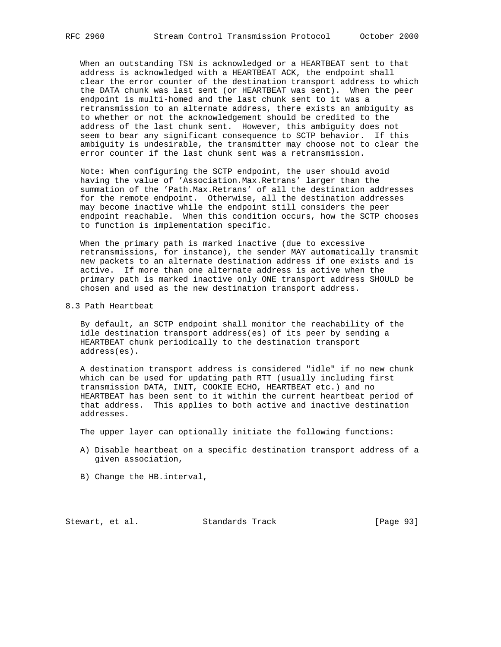When an outstanding TSN is acknowledged or a HEARTBEAT sent to that address is acknowledged with a HEARTBEAT ACK, the endpoint shall clear the error counter of the destination transport address to which the DATA chunk was last sent (or HEARTBEAT was sent). When the peer endpoint is multi-homed and the last chunk sent to it was a retransmission to an alternate address, there exists an ambiguity as to whether or not the acknowledgement should be credited to the address of the last chunk sent. However, this ambiguity does not seem to bear any significant consequence to SCTP behavior. If this ambiguity is undesirable, the transmitter may choose not to clear the error counter if the last chunk sent was a retransmission.

 Note: When configuring the SCTP endpoint, the user should avoid having the value of 'Association.Max.Retrans' larger than the summation of the 'Path.Max.Retrans' of all the destination addresses for the remote endpoint. Otherwise, all the destination addresses may become inactive while the endpoint still considers the peer endpoint reachable. When this condition occurs, how the SCTP chooses to function is implementation specific.

 When the primary path is marked inactive (due to excessive retransmissions, for instance), the sender MAY automatically transmit new packets to an alternate destination address if one exists and is active. If more than one alternate address is active when the primary path is marked inactive only ONE transport address SHOULD be chosen and used as the new destination transport address.

#### 8.3 Path Heartbeat

 By default, an SCTP endpoint shall monitor the reachability of the idle destination transport address(es) of its peer by sending a HEARTBEAT chunk periodically to the destination transport address(es).

 A destination transport address is considered "idle" if no new chunk which can be used for updating path RTT (usually including first transmission DATA, INIT, COOKIE ECHO, HEARTBEAT etc.) and no HEARTBEAT has been sent to it within the current heartbeat period of that address. This applies to both active and inactive destination addresses.

The upper layer can optionally initiate the following functions:

- A) Disable heartbeat on a specific destination transport address of a given association,
- B) Change the HB.interval,

Stewart, et al. Standards Track [Page 93]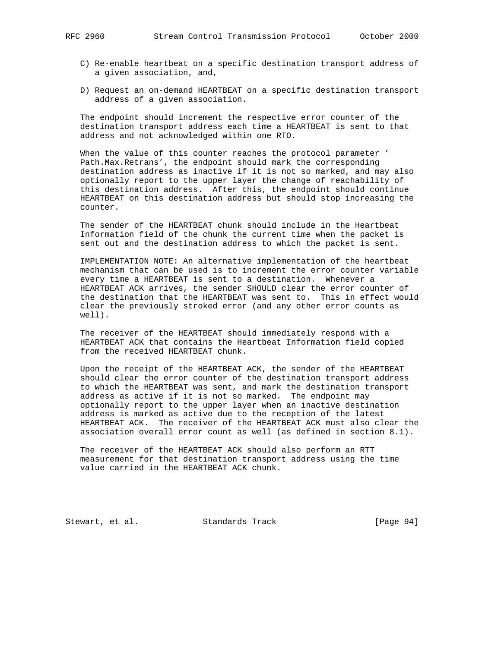- C) Re-enable heartbeat on a specific destination transport address of a given association, and,
- D) Request an on-demand HEARTBEAT on a specific destination transport address of a given association.

 The endpoint should increment the respective error counter of the destination transport address each time a HEARTBEAT is sent to that address and not acknowledged within one RTO.

 When the value of this counter reaches the protocol parameter ' Path.Max.Retrans', the endpoint should mark the corresponding destination address as inactive if it is not so marked, and may also optionally report to the upper layer the change of reachability of this destination address. After this, the endpoint should continue HEARTBEAT on this destination address but should stop increasing the counter.

 The sender of the HEARTBEAT chunk should include in the Heartbeat Information field of the chunk the current time when the packet is sent out and the destination address to which the packet is sent.

 IMPLEMENTATION NOTE: An alternative implementation of the heartbeat mechanism that can be used is to increment the error counter variable every time a HEARTBEAT is sent to a destination. Whenever a HEARTBEAT ACK arrives, the sender SHOULD clear the error counter of the destination that the HEARTBEAT was sent to. This in effect would clear the previously stroked error (and any other error counts as well).

 The receiver of the HEARTBEAT should immediately respond with a HEARTBEAT ACK that contains the Heartbeat Information field copied from the received HEARTBEAT chunk.

 Upon the receipt of the HEARTBEAT ACK, the sender of the HEARTBEAT should clear the error counter of the destination transport address to which the HEARTBEAT was sent, and mark the destination transport address as active if it is not so marked. The endpoint may optionally report to the upper layer when an inactive destination address is marked as active due to the reception of the latest HEARTBEAT ACK. The receiver of the HEARTBEAT ACK must also clear the association overall error count as well (as defined in section 8.1).

 The receiver of the HEARTBEAT ACK should also perform an RTT measurement for that destination transport address using the time value carried in the HEARTBEAT ACK chunk.

Stewart, et al. Standards Track [Page 94]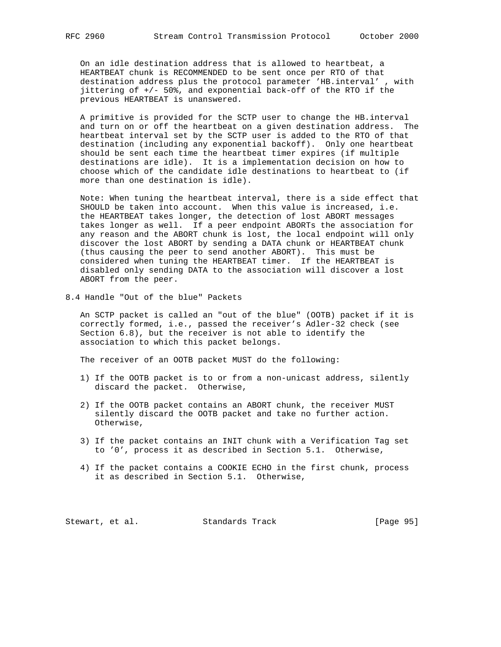On an idle destination address that is allowed to heartbeat, a HEARTBEAT chunk is RECOMMENDED to be sent once per RTO of that destination address plus the protocol parameter 'HB.interval' , with jittering of +/- 50%, and exponential back-off of the RTO if the previous HEARTBEAT is unanswered.

 A primitive is provided for the SCTP user to change the HB.interval and turn on or off the heartbeat on a given destination address. The heartbeat interval set by the SCTP user is added to the RTO of that destination (including any exponential backoff). Only one heartbeat should be sent each time the heartbeat timer expires (if multiple destinations are idle). It is a implementation decision on how to choose which of the candidate idle destinations to heartbeat to (if more than one destination is idle).

 Note: When tuning the heartbeat interval, there is a side effect that SHOULD be taken into account. When this value is increased, i.e. the HEARTBEAT takes longer, the detection of lost ABORT messages takes longer as well. If a peer endpoint ABORTs the association for any reason and the ABORT chunk is lost, the local endpoint will only discover the lost ABORT by sending a DATA chunk or HEARTBEAT chunk (thus causing the peer to send another ABORT). This must be considered when tuning the HEARTBEAT timer. If the HEARTBEAT is disabled only sending DATA to the association will discover a lost ABORT from the peer.

8.4 Handle "Out of the blue" Packets

 An SCTP packet is called an "out of the blue" (OOTB) packet if it is correctly formed, i.e., passed the receiver's Adler-32 check (see Section 6.8), but the receiver is not able to identify the association to which this packet belongs.

The receiver of an OOTB packet MUST do the following:

- 1) If the OOTB packet is to or from a non-unicast address, silently discard the packet. Otherwise,
- 2) If the OOTB packet contains an ABORT chunk, the receiver MUST silently discard the OOTB packet and take no further action. Otherwise,
- 3) If the packet contains an INIT chunk with a Verification Tag set to '0', process it as described in Section 5.1. Otherwise,
- 4) If the packet contains a COOKIE ECHO in the first chunk, process it as described in Section 5.1. Otherwise,

Stewart, et al. Standards Track [Page 95]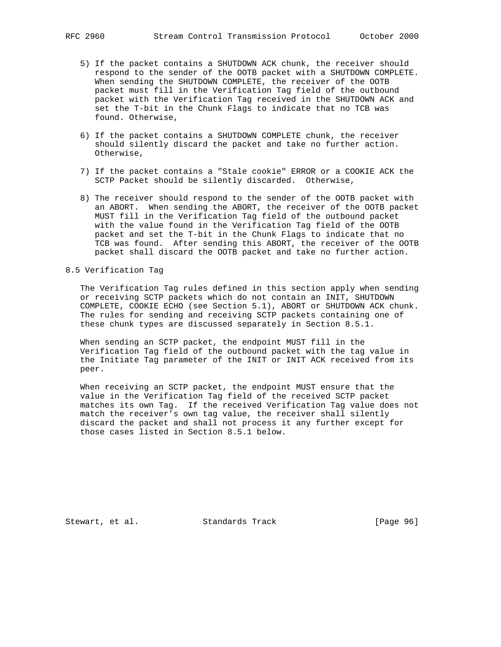- 5) If the packet contains a SHUTDOWN ACK chunk, the receiver should respond to the sender of the OOTB packet with a SHUTDOWN COMPLETE. When sending the SHUTDOWN COMPLETE, the receiver of the OOTB packet must fill in the Verification Tag field of the outbound packet with the Verification Tag received in the SHUTDOWN ACK and set the T-bit in the Chunk Flags to indicate that no TCB was found. Otherwise,
- 6) If the packet contains a SHUTDOWN COMPLETE chunk, the receiver should silently discard the packet and take no further action. Otherwise,
- 7) If the packet contains a "Stale cookie" ERROR or a COOKIE ACK the SCTP Packet should be silently discarded. Otherwise,
- 8) The receiver should respond to the sender of the OOTB packet with an ABORT. When sending the ABORT, the receiver of the OOTB packet MUST fill in the Verification Tag field of the outbound packet with the value found in the Verification Tag field of the OOTB packet and set the T-bit in the Chunk Flags to indicate that no TCB was found. After sending this ABORT, the receiver of the OOTB packet shall discard the OOTB packet and take no further action.

## 8.5 Verification Tag

 The Verification Tag rules defined in this section apply when sending or receiving SCTP packets which do not contain an INIT, SHUTDOWN COMPLETE, COOKIE ECHO (see Section 5.1), ABORT or SHUTDOWN ACK chunk. The rules for sending and receiving SCTP packets containing one of these chunk types are discussed separately in Section 8.5.1.

 When sending an SCTP packet, the endpoint MUST fill in the Verification Tag field of the outbound packet with the tag value in the Initiate Tag parameter of the INIT or INIT ACK received from its peer.

 When receiving an SCTP packet, the endpoint MUST ensure that the value in the Verification Tag field of the received SCTP packet matches its own Tag. If the received Verification Tag value does not match the receiver's own tag value, the receiver shall silently discard the packet and shall not process it any further except for those cases listed in Section 8.5.1 below.

Stewart, et al. Standards Track [Page 96]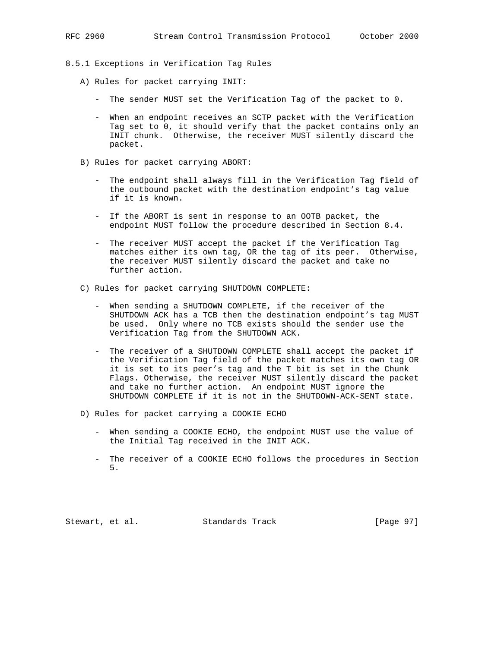- 8.5.1 Exceptions in Verification Tag Rules
	- A) Rules for packet carrying INIT:
		- The sender MUST set the Verification Tag of the packet to 0.
		- When an endpoint receives an SCTP packet with the Verification Tag set to 0, it should verify that the packet contains only an INIT chunk. Otherwise, the receiver MUST silently discard the packet.
	- B) Rules for packet carrying ABORT:
		- The endpoint shall always fill in the Verification Tag field of the outbound packet with the destination endpoint's tag value if it is known.
		- If the ABORT is sent in response to an OOTB packet, the endpoint MUST follow the procedure described in Section 8.4.
		- The receiver MUST accept the packet if the Verification Tag matches either its own tag, OR the tag of its peer. Otherwise, the receiver MUST silently discard the packet and take no further action.
	- C) Rules for packet carrying SHUTDOWN COMPLETE:
		- When sending a SHUTDOWN COMPLETE, if the receiver of the SHUTDOWN ACK has a TCB then the destination endpoint's tag MUST be used. Only where no TCB exists should the sender use the Verification Tag from the SHUTDOWN ACK.
		- The receiver of a SHUTDOWN COMPLETE shall accept the packet if the Verification Tag field of the packet matches its own tag OR it is set to its peer's tag and the T bit is set in the Chunk Flags. Otherwise, the receiver MUST silently discard the packet and take no further action. An endpoint MUST ignore the SHUTDOWN COMPLETE if it is not in the SHUTDOWN-ACK-SENT state.
	- D) Rules for packet carrying a COOKIE ECHO
		- When sending a COOKIE ECHO, the endpoint MUST use the value of the Initial Tag received in the INIT ACK.
		- The receiver of a COOKIE ECHO follows the procedures in Section 5.

Stewart, et al. Standards Track [Page 97]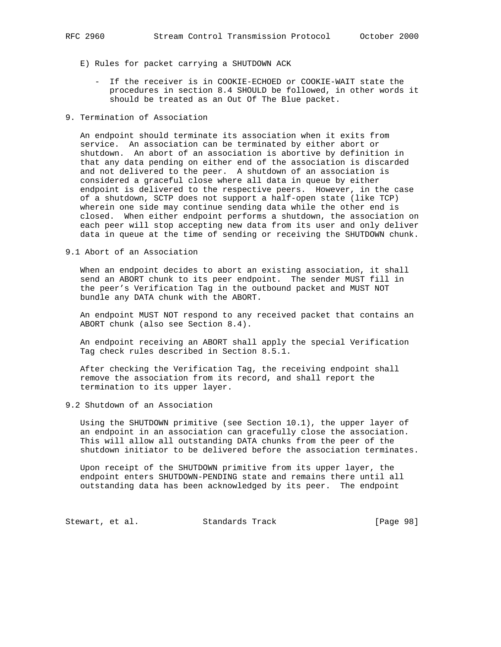- - E) Rules for packet carrying a SHUTDOWN ACK
		- If the receiver is in COOKIE-ECHOED or COOKIE-WAIT state the procedures in section 8.4 SHOULD be followed, in other words it should be treated as an Out Of The Blue packet.
- 9. Termination of Association

 An endpoint should terminate its association when it exits from service. An association can be terminated by either abort or shutdown. An abort of an association is abortive by definition in that any data pending on either end of the association is discarded and not delivered to the peer. A shutdown of an association is considered a graceful close where all data in queue by either endpoint is delivered to the respective peers. However, in the case of a shutdown, SCTP does not support a half-open state (like TCP) wherein one side may continue sending data while the other end is closed. When either endpoint performs a shutdown, the association on each peer will stop accepting new data from its user and only deliver data in queue at the time of sending or receiving the SHUTDOWN chunk.

9.1 Abort of an Association

 When an endpoint decides to abort an existing association, it shall send an ABORT chunk to its peer endpoint. The sender MUST fill in the peer's Verification Tag in the outbound packet and MUST NOT bundle any DATA chunk with the ABORT.

 An endpoint MUST NOT respond to any received packet that contains an ABORT chunk (also see Section 8.4).

 An endpoint receiving an ABORT shall apply the special Verification Tag check rules described in Section 8.5.1.

 After checking the Verification Tag, the receiving endpoint shall remove the association from its record, and shall report the termination to its upper layer.

9.2 Shutdown of an Association

 Using the SHUTDOWN primitive (see Section 10.1), the upper layer of an endpoint in an association can gracefully close the association. This will allow all outstanding DATA chunks from the peer of the shutdown initiator to be delivered before the association terminates.

 Upon receipt of the SHUTDOWN primitive from its upper layer, the endpoint enters SHUTDOWN-PENDING state and remains there until all outstanding data has been acknowledged by its peer. The endpoint

Stewart, et al. Standards Track [Page 98]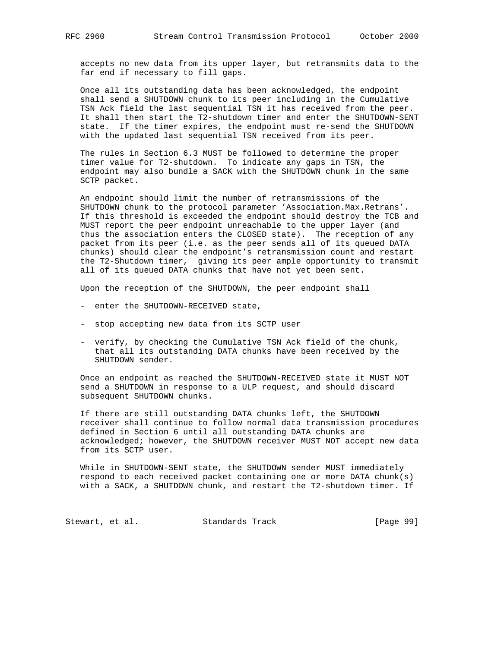accepts no new data from its upper layer, but retransmits data to the far end if necessary to fill gaps.

 Once all its outstanding data has been acknowledged, the endpoint shall send a SHUTDOWN chunk to its peer including in the Cumulative TSN Ack field the last sequential TSN it has received from the peer. It shall then start the T2-shutdown timer and enter the SHUTDOWN-SENT state. If the timer expires, the endpoint must re-send the SHUTDOWN with the updated last sequential TSN received from its peer.

 The rules in Section 6.3 MUST be followed to determine the proper timer value for T2-shutdown. To indicate any gaps in TSN, the endpoint may also bundle a SACK with the SHUTDOWN chunk in the same SCTP packet.

 An endpoint should limit the number of retransmissions of the SHUTDOWN chunk to the protocol parameter 'Association.Max.Retrans'. If this threshold is exceeded the endpoint should destroy the TCB and MUST report the peer endpoint unreachable to the upper layer (and thus the association enters the CLOSED state). The reception of any packet from its peer (i.e. as the peer sends all of its queued DATA chunks) should clear the endpoint's retransmission count and restart the T2-Shutdown timer, giving its peer ample opportunity to transmit all of its queued DATA chunks that have not yet been sent.

Upon the reception of the SHUTDOWN, the peer endpoint shall

- enter the SHUTDOWN-RECEIVED state,
- stop accepting new data from its SCTP user
- verify, by checking the Cumulative TSN Ack field of the chunk, that all its outstanding DATA chunks have been received by the SHUTDOWN sender.

 Once an endpoint as reached the SHUTDOWN-RECEIVED state it MUST NOT send a SHUTDOWN in response to a ULP request, and should discard subsequent SHUTDOWN chunks.

 If there are still outstanding DATA chunks left, the SHUTDOWN receiver shall continue to follow normal data transmission procedures defined in Section 6 until all outstanding DATA chunks are acknowledged; however, the SHUTDOWN receiver MUST NOT accept new data from its SCTP user.

 While in SHUTDOWN-SENT state, the SHUTDOWN sender MUST immediately respond to each received packet containing one or more DATA chunk(s) with a SACK, a SHUTDOWN chunk, and restart the T2-shutdown timer. If

Stewart, et al. Standards Track [Page 99]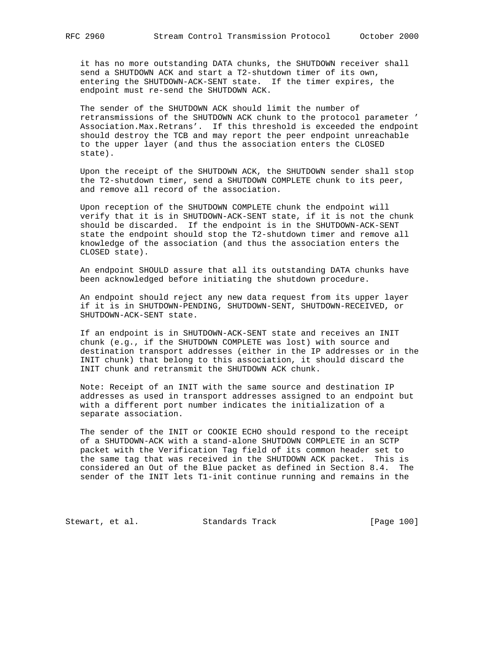it has no more outstanding DATA chunks, the SHUTDOWN receiver shall send a SHUTDOWN ACK and start a T2-shutdown timer of its own, entering the SHUTDOWN-ACK-SENT state. If the timer expires, the endpoint must re-send the SHUTDOWN ACK.

 The sender of the SHUTDOWN ACK should limit the number of retransmissions of the SHUTDOWN ACK chunk to the protocol parameter ' Association.Max.Retrans'. If this threshold is exceeded the endpoint should destroy the TCB and may report the peer endpoint unreachable to the upper layer (and thus the association enters the CLOSED state).

 Upon the receipt of the SHUTDOWN ACK, the SHUTDOWN sender shall stop the T2-shutdown timer, send a SHUTDOWN COMPLETE chunk to its peer, and remove all record of the association.

 Upon reception of the SHUTDOWN COMPLETE chunk the endpoint will verify that it is in SHUTDOWN-ACK-SENT state, if it is not the chunk should be discarded. If the endpoint is in the SHUTDOWN-ACK-SENT state the endpoint should stop the T2-shutdown timer and remove all knowledge of the association (and thus the association enters the CLOSED state).

 An endpoint SHOULD assure that all its outstanding DATA chunks have been acknowledged before initiating the shutdown procedure.

 An endpoint should reject any new data request from its upper layer if it is in SHUTDOWN-PENDING, SHUTDOWN-SENT, SHUTDOWN-RECEIVED, or SHUTDOWN-ACK-SENT state.

 If an endpoint is in SHUTDOWN-ACK-SENT state and receives an INIT chunk (e.g., if the SHUTDOWN COMPLETE was lost) with source and destination transport addresses (either in the IP addresses or in the INIT chunk) that belong to this association, it should discard the INIT chunk and retransmit the SHUTDOWN ACK chunk.

 Note: Receipt of an INIT with the same source and destination IP addresses as used in transport addresses assigned to an endpoint but with a different port number indicates the initialization of a separate association.

 The sender of the INIT or COOKIE ECHO should respond to the receipt of a SHUTDOWN-ACK with a stand-alone SHUTDOWN COMPLETE in an SCTP packet with the Verification Tag field of its common header set to the same tag that was received in the SHUTDOWN ACK packet. This is considered an Out of the Blue packet as defined in Section 8.4. The sender of the INIT lets T1-init continue running and remains in the

Stewart, et al. Standards Track [Page 100]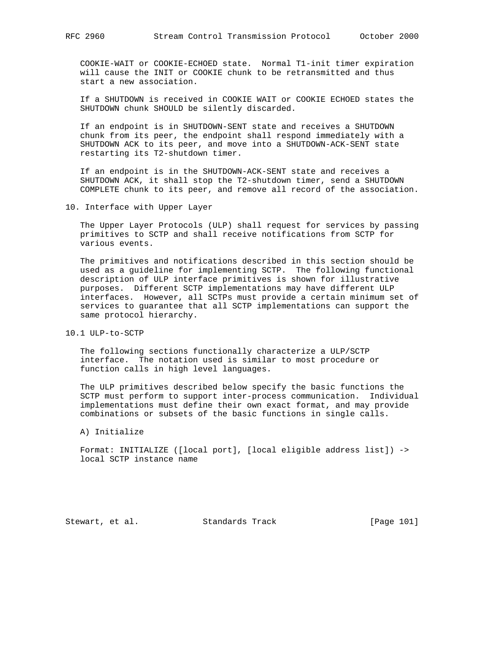COOKIE-WAIT or COOKIE-ECHOED state. Normal T1-init timer expiration will cause the INIT or COOKIE chunk to be retransmitted and thus start a new association.

 If a SHUTDOWN is received in COOKIE WAIT or COOKIE ECHOED states the SHUTDOWN chunk SHOULD be silently discarded.

 If an endpoint is in SHUTDOWN-SENT state and receives a SHUTDOWN chunk from its peer, the endpoint shall respond immediately with a SHUTDOWN ACK to its peer, and move into a SHUTDOWN-ACK-SENT state restarting its T2-shutdown timer.

 If an endpoint is in the SHUTDOWN-ACK-SENT state and receives a SHUTDOWN ACK, it shall stop the T2-shutdown timer, send a SHUTDOWN COMPLETE chunk to its peer, and remove all record of the association.

10. Interface with Upper Layer

 The Upper Layer Protocols (ULP) shall request for services by passing primitives to SCTP and shall receive notifications from SCTP for various events.

 The primitives and notifications described in this section should be used as a guideline for implementing SCTP. The following functional description of ULP interface primitives is shown for illustrative purposes. Different SCTP implementations may have different ULP interfaces. However, all SCTPs must provide a certain minimum set of services to guarantee that all SCTP implementations can support the same protocol hierarchy.

10.1 ULP-to-SCTP

 The following sections functionally characterize a ULP/SCTP interface. The notation used is similar to most procedure or function calls in high level languages.

 The ULP primitives described below specify the basic functions the SCTP must perform to support inter-process communication. Individual implementations must define their own exact format, and may provide combinations or subsets of the basic functions in single calls.

A) Initialize

 Format: INITIALIZE ([local port], [local eligible address list]) -> local SCTP instance name

Stewart, et al. Standards Track [Page 101]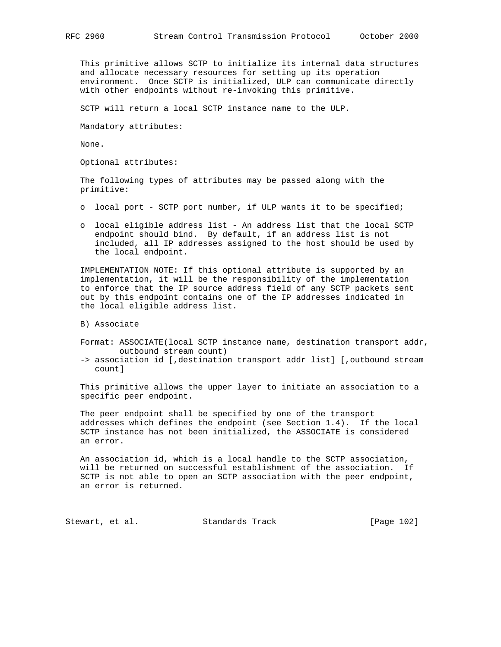This primitive allows SCTP to initialize its internal data structures and allocate necessary resources for setting up its operation environment. Once SCTP is initialized, ULP can communicate directly with other endpoints without re-invoking this primitive.

SCTP will return a local SCTP instance name to the ULP.

Mandatory attributes:

None.

Optional attributes:

 The following types of attributes may be passed along with the primitive:

- o local port SCTP port number, if ULP wants it to be specified;
- o local eligible address list An address list that the local SCTP endpoint should bind. By default, if an address list is not included, all IP addresses assigned to the host should be used by the local endpoint.

 IMPLEMENTATION NOTE: If this optional attribute is supported by an implementation, it will be the responsibility of the implementation to enforce that the IP source address field of any SCTP packets sent out by this endpoint contains one of the IP addresses indicated in the local eligible address list.

B) Associate

- Format: ASSOCIATE(local SCTP instance name, destination transport addr, outbound stream count)
- -> association id [,destination transport addr list] [,outbound stream count]

 This primitive allows the upper layer to initiate an association to a specific peer endpoint.

 The peer endpoint shall be specified by one of the transport addresses which defines the endpoint (see Section 1.4). If the local SCTP instance has not been initialized, the ASSOCIATE is considered an error.

 An association id, which is a local handle to the SCTP association, will be returned on successful establishment of the association. If SCTP is not able to open an SCTP association with the peer endpoint, an error is returned.

Stewart, et al. Standards Track [Page 102]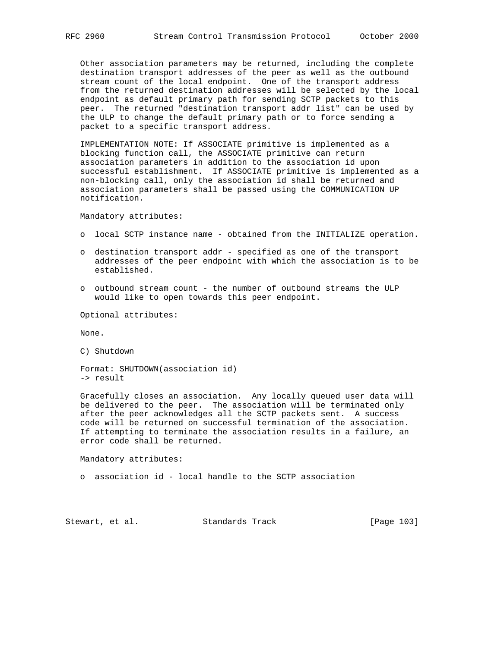Other association parameters may be returned, including the complete destination transport addresses of the peer as well as the outbound stream count of the local endpoint. One of the transport address from the returned destination addresses will be selected by the local endpoint as default primary path for sending SCTP packets to this peer. The returned "destination transport addr list" can be used by the ULP to change the default primary path or to force sending a packet to a specific transport address.

 IMPLEMENTATION NOTE: If ASSOCIATE primitive is implemented as a blocking function call, the ASSOCIATE primitive can return association parameters in addition to the association id upon successful establishment. If ASSOCIATE primitive is implemented as a non-blocking call, only the association id shall be returned and association parameters shall be passed using the COMMUNICATION UP notification.

Mandatory attributes:

- o local SCTP instance name obtained from the INITIALIZE operation.
- o destination transport addr specified as one of the transport addresses of the peer endpoint with which the association is to be established.
- o outbound stream count the number of outbound streams the ULP would like to open towards this peer endpoint.

Optional attributes:

None.

C) Shutdown

 Format: SHUTDOWN(association id) -> result

 Gracefully closes an association. Any locally queued user data will be delivered to the peer. The association will be terminated only after the peer acknowledges all the SCTP packets sent. A success code will be returned on successful termination of the association. If attempting to terminate the association results in a failure, an error code shall be returned.

Mandatory attributes:

o association id - local handle to the SCTP association

Stewart, et al. Standards Track [Page 103]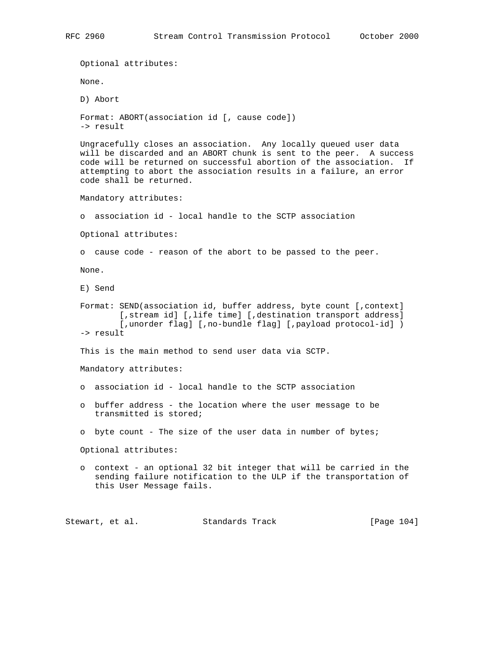Optional attributes: None. D) Abort Format: ABORT(association id [, cause code]) -> result Ungracefully closes an association. Any locally queued user data will be discarded and an ABORT chunk is sent to the peer. A success code will be returned on successful abortion of the association. If attempting to abort the association results in a failure, an error code shall be returned. Mandatory attributes: o association id - local handle to the SCTP association Optional attributes: o cause code - reason of the abort to be passed to the peer. None. E) Send Format: SEND(association id, buffer address, byte count [,context] [, stream id] [, life time] [, destination transport address] [, unorder flag] [, no-bundle flag] [, payload protocol-id] ) -> result This is the main method to send user data via SCTP. Mandatory attributes: o association id - local handle to the SCTP association o buffer address - the location where the user message to be transmitted is stored; o byte count - The size of the user data in number of bytes; Optional attributes: o context - an optional 32 bit integer that will be carried in the sending failure notification to the ULP if the transportation of this User Message fails.

Stewart, et al. Standards Track [Page 104]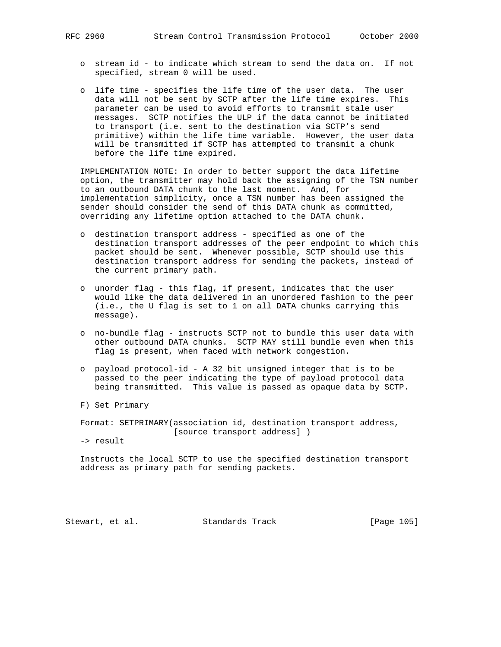- o stream id to indicate which stream to send the data on. If not specified, stream 0 will be used.
- o life time specifies the life time of the user data. The user data will not be sent by SCTP after the life time expires. This parameter can be used to avoid efforts to transmit stale user messages. SCTP notifies the ULP if the data cannot be initiated to transport (i.e. sent to the destination via SCTP's send primitive) within the life time variable. However, the user data will be transmitted if SCTP has attempted to transmit a chunk before the life time expired.

 IMPLEMENTATION NOTE: In order to better support the data lifetime option, the transmitter may hold back the assigning of the TSN number to an outbound DATA chunk to the last moment. And, for implementation simplicity, once a TSN number has been assigned the sender should consider the send of this DATA chunk as committed, overriding any lifetime option attached to the DATA chunk.

- o destination transport address specified as one of the destination transport addresses of the peer endpoint to which this packet should be sent. Whenever possible, SCTP should use this destination transport address for sending the packets, instead of the current primary path.
- o unorder flag this flag, if present, indicates that the user would like the data delivered in an unordered fashion to the peer (i.e., the U flag is set to 1 on all DATA chunks carrying this message).
- o no-bundle flag instructs SCTP not to bundle this user data with other outbound DATA chunks. SCTP MAY still bundle even when this flag is present, when faced with network congestion.
- o payload protocol-id A 32 bit unsigned integer that is to be passed to the peer indicating the type of payload protocol data being transmitted. This value is passed as opaque data by SCTP.
- F) Set Primary

 Format: SETPRIMARY(association id, destination transport address, [source transport address] )

-> result

 Instructs the local SCTP to use the specified destination transport address as primary path for sending packets.

Stewart, et al. Standards Track [Page 105]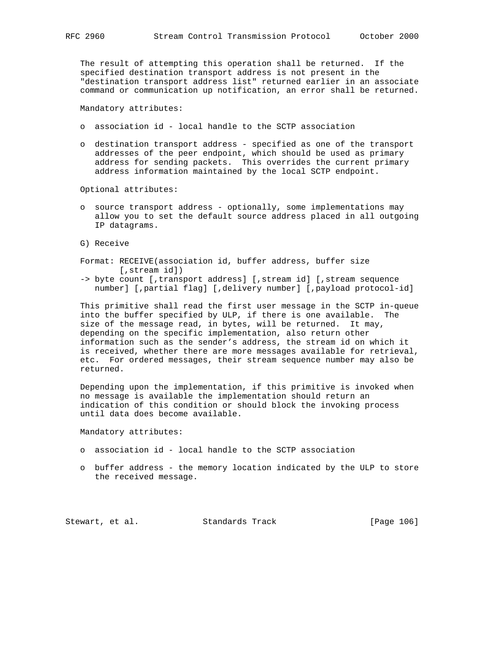The result of attempting this operation shall be returned. If the specified destination transport address is not present in the "destination transport address list" returned earlier in an associate command or communication up notification, an error shall be returned.

Mandatory attributes:

- o association id local handle to the SCTP association
- o destination transport address specified as one of the transport addresses of the peer endpoint, which should be used as primary address for sending packets. This overrides the current primary address information maintained by the local SCTP endpoint.

Optional attributes:

- o source transport address optionally, some implementations may allow you to set the default source address placed in all outgoing IP datagrams.
- G) Receive
- Format: RECEIVE(association id, buffer address, buffer size [,stream id])
- -> byte count [,transport address] [,stream id] [,stream sequence number] [,partial flag] [,delivery number] [,payload protocol-id]

 This primitive shall read the first user message in the SCTP in-queue into the buffer specified by ULP, if there is one available. The size of the message read, in bytes, will be returned. It may, depending on the specific implementation, also return other information such as the sender's address, the stream id on which it is received, whether there are more messages available for retrieval, etc. For ordered messages, their stream sequence number may also be returned.

 Depending upon the implementation, if this primitive is invoked when no message is available the implementation should return an indication of this condition or should block the invoking process until data does become available.

Mandatory attributes:

- o association id local handle to the SCTP association
- o buffer address the memory location indicated by the ULP to store the received message.

Stewart, et al. Standards Track [Page 106]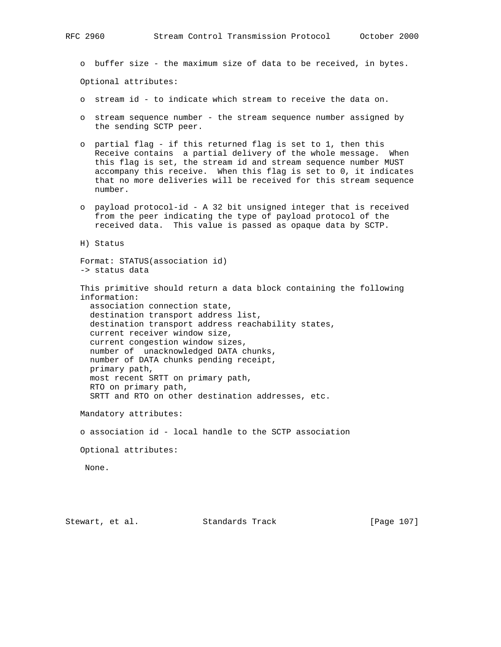o buffer size - the maximum size of data to be received, in bytes.

Optional attributes:

- o stream id to indicate which stream to receive the data on.
- o stream sequence number the stream sequence number assigned by the sending SCTP peer.
- o partial flag if this returned flag is set to 1, then this Receive contains a partial delivery of the whole message. When this flag is set, the stream id and stream sequence number MUST accompany this receive. When this flag is set to 0, it indicates that no more deliveries will be received for this stream sequence number.
- o payload protocol-id A 32 bit unsigned integer that is received from the peer indicating the type of payload protocol of the received data. This value is passed as opaque data by SCTP.

H) Status

 Format: STATUS(association id) -> status data

 This primitive should return a data block containing the following information: association connection state,

 destination transport address list, destination transport address reachability states, current receiver window size, current congestion window sizes, number of unacknowledged DATA chunks, number of DATA chunks pending receipt, primary path, most recent SRTT on primary path, RTO on primary path, SRTT and RTO on other destination addresses, etc.

Mandatory attributes:

o association id - local handle to the SCTP association

Optional attributes:

None.

Stewart, et al. Standards Track [Page 107]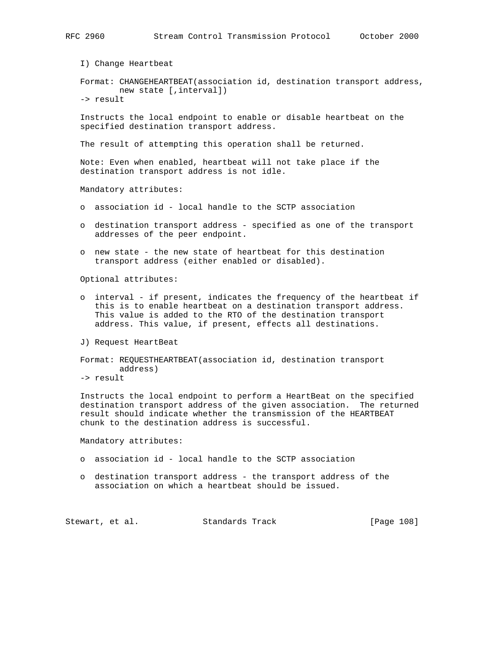I) Change Heartbeat

 Format: CHANGEHEARTBEAT(association id, destination transport address, new state [,interval])

-> result

 Instructs the local endpoint to enable or disable heartbeat on the specified destination transport address.

The result of attempting this operation shall be returned.

 Note: Even when enabled, heartbeat will not take place if the destination transport address is not idle.

Mandatory attributes:

- o association id local handle to the SCTP association
- o destination transport address specified as one of the transport addresses of the peer endpoint.
- o new state the new state of heartbeat for this destination transport address (either enabled or disabled).

Optional attributes:

- o interval if present, indicates the frequency of the heartbeat if this is to enable heartbeat on a destination transport address. This value is added to the RTO of the destination transport address. This value, if present, effects all destinations.
- J) Request HeartBeat

```
 Format: REQUESTHEARTBEAT(association id, destination transport
address)
```
-> result

 Instructs the local endpoint to perform a HeartBeat on the specified destination transport address of the given association. The returned result should indicate whether the transmission of the HEARTBEAT chunk to the destination address is successful.

Mandatory attributes:

- o association id local handle to the SCTP association
- o destination transport address the transport address of the association on which a heartbeat should be issued.

Stewart, et al. Standards Track [Page 108]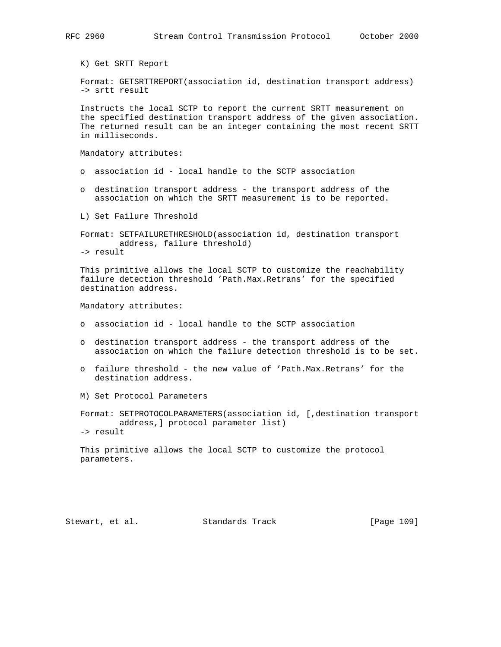K) Get SRTT Report

 Format: GETSRTTREPORT(association id, destination transport address) -> srtt result

 Instructs the local SCTP to report the current SRTT measurement on the specified destination transport address of the given association. The returned result can be an integer containing the most recent SRTT in milliseconds.

Mandatory attributes:

- o association id local handle to the SCTP association
- o destination transport address the transport address of the association on which the SRTT measurement is to be reported.

L) Set Failure Threshold

 Format: SETFAILURETHRESHOLD(association id, destination transport address, failure threshold) -> result

 This primitive allows the local SCTP to customize the reachability failure detection threshold 'Path.Max.Retrans' for the specified destination address.

Mandatory attributes:

- o association id local handle to the SCTP association
- o destination transport address the transport address of the association on which the failure detection threshold is to be set.
- o failure threshold the new value of 'Path.Max.Retrans' for the destination address.
- M) Set Protocol Parameters

 Format: SETPROTOCOLPARAMETERS(association id, [,destination transport address,] protocol parameter list) -> result

 This primitive allows the local SCTP to customize the protocol parameters.

Stewart, et al. Standards Track [Page 109]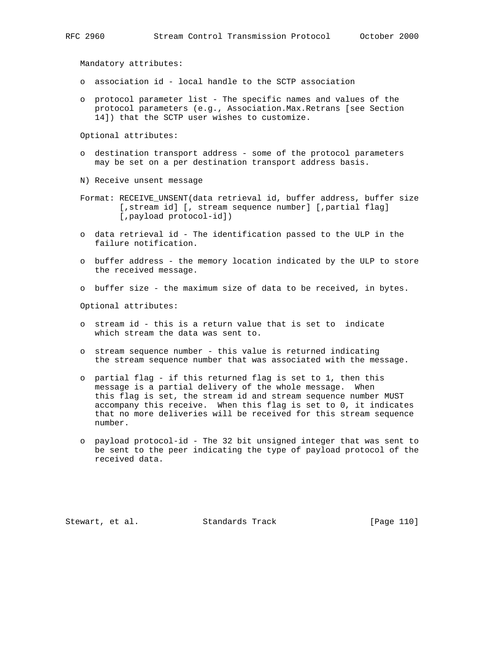Mandatory attributes:

- o association id local handle to the SCTP association
- o protocol parameter list The specific names and values of the protocol parameters (e.g., Association.Max.Retrans [see Section 14]) that the SCTP user wishes to customize.

Optional attributes:

- o destination transport address some of the protocol parameters may be set on a per destination transport address basis.
- N) Receive unsent message
- Format: RECEIVE\_UNSENT(data retrieval id, buffer address, buffer size [, stream id] [, stream sequence number] [, partial flag] [,payload protocol-id])
- o data retrieval id The identification passed to the ULP in the failure notification.
- o buffer address the memory location indicated by the ULP to store the received message.
- o buffer size the maximum size of data to be received, in bytes.

Optional attributes:

- o stream id this is a return value that is set to indicate which stream the data was sent to.
- o stream sequence number this value is returned indicating the stream sequence number that was associated with the message.
- o partial flag if this returned flag is set to 1, then this message is a partial delivery of the whole message. When this flag is set, the stream id and stream sequence number MUST accompany this receive. When this flag is set to 0, it indicates that no more deliveries will be received for this stream sequence number.
- o payload protocol-id The 32 bit unsigned integer that was sent to be sent to the peer indicating the type of payload protocol of the received data.

Stewart, et al. Standards Track [Page 110]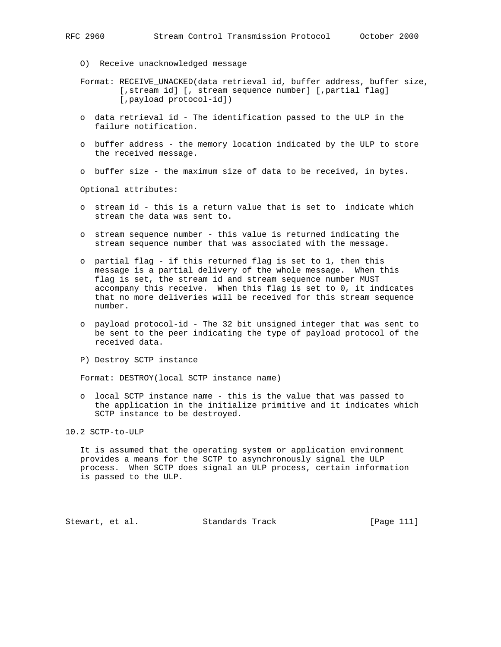- O) Receive unacknowledged message
- Format: RECEIVE\_UNACKED(data retrieval id, buffer address, buffer size, [, stream id] [, stream sequence number] [, partial flaq] [,payload protocol-id])
- o data retrieval id The identification passed to the ULP in the failure notification.
- o buffer address the memory location indicated by the ULP to store the received message.
- o buffer size the maximum size of data to be received, in bytes.

Optional attributes:

- o stream id this is a return value that is set to indicate which stream the data was sent to.
- o stream sequence number this value is returned indicating the stream sequence number that was associated with the message.
- o partial flag if this returned flag is set to 1, then this message is a partial delivery of the whole message. When this flag is set, the stream id and stream sequence number MUST accompany this receive. When this flag is set to 0, it indicates that no more deliveries will be received for this stream sequence number.
	- o payload protocol-id The 32 bit unsigned integer that was sent to be sent to the peer indicating the type of payload protocol of the received data.
	- P) Destroy SCTP instance

Format: DESTROY(local SCTP instance name)

 o local SCTP instance name - this is the value that was passed to the application in the initialize primitive and it indicates which SCTP instance to be destroyed.

10.2 SCTP-to-ULP

 It is assumed that the operating system or application environment provides a means for the SCTP to asynchronously signal the ULP process. When SCTP does signal an ULP process, certain information is passed to the ULP.

Stewart, et al. Standards Track [Page 111]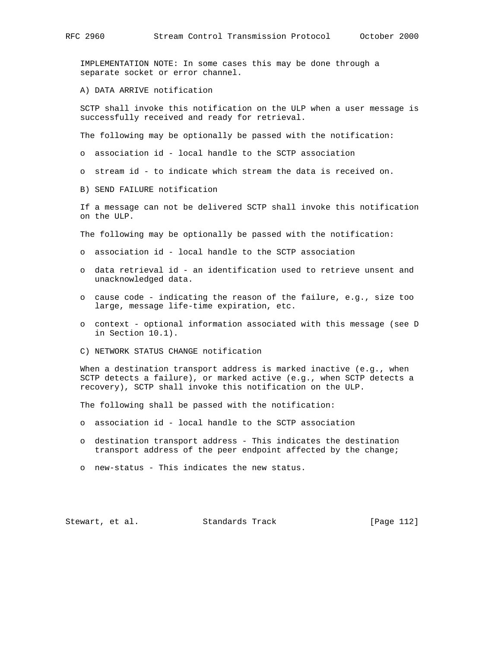IMPLEMENTATION NOTE: In some cases this may be done through a separate socket or error channel.

A) DATA ARRIVE notification

 SCTP shall invoke this notification on the ULP when a user message is successfully received and ready for retrieval.

The following may be optionally be passed with the notification:

o association id - local handle to the SCTP association

o stream id - to indicate which stream the data is received on.

B) SEND FAILURE notification

 If a message can not be delivered SCTP shall invoke this notification on the ULP.

The following may be optionally be passed with the notification:

- o association id local handle to the SCTP association
- o data retrieval id an identification used to retrieve unsent and unacknowledged data.
- o cause code indicating the reason of the failure, e.g., size too large, message life-time expiration, etc.
- o context optional information associated with this message (see D in Section 10.1).
- C) NETWORK STATUS CHANGE notification

 When a destination transport address is marked inactive (e.g., when SCTP detects a failure), or marked active (e.g., when SCTP detects a recovery), SCTP shall invoke this notification on the ULP.

The following shall be passed with the notification:

- o association id local handle to the SCTP association
- o destination transport address This indicates the destination transport address of the peer endpoint affected by the change;
- o new-status This indicates the new status.

Stewart, et al. Standards Track [Page 112]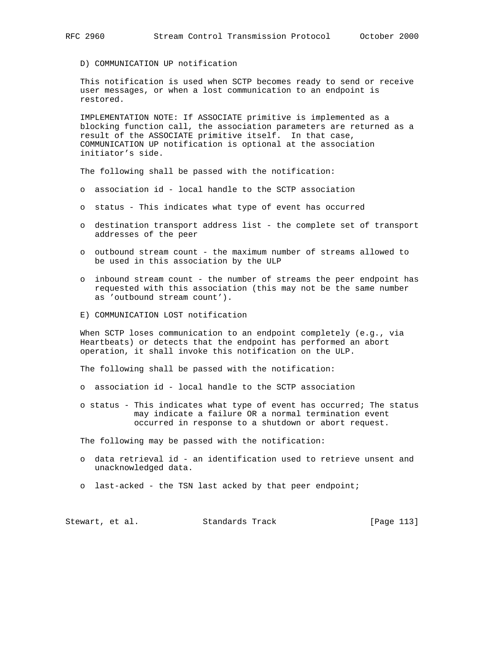D) COMMUNICATION UP notification

 This notification is used when SCTP becomes ready to send or receive user messages, or when a lost communication to an endpoint is restored.

 IMPLEMENTATION NOTE: If ASSOCIATE primitive is implemented as a blocking function call, the association parameters are returned as a result of the ASSOCIATE primitive itself. In that case, COMMUNICATION UP notification is optional at the association initiator's side.

The following shall be passed with the notification:

- o association id local handle to the SCTP association
- o status This indicates what type of event has occurred
- o destination transport address list the complete set of transport addresses of the peer
- o outbound stream count the maximum number of streams allowed to be used in this association by the ULP
- o inbound stream count the number of streams the peer endpoint has requested with this association (this may not be the same number as 'outbound stream count').
- E) COMMUNICATION LOST notification

 When SCTP loses communication to an endpoint completely (e.g., via Heartbeats) or detects that the endpoint has performed an abort operation, it shall invoke this notification on the ULP.

The following shall be passed with the notification:

- o association id local handle to the SCTP association
- o status This indicates what type of event has occurred; The status may indicate a failure OR a normal termination event occurred in response to a shutdown or abort request.

The following may be passed with the notification:

- o data retrieval id an identification used to retrieve unsent and unacknowledged data.
- o last-acked the TSN last acked by that peer endpoint;

| Stewart, et al. | Standards Track | [Page 113] |
|-----------------|-----------------|------------|
|-----------------|-----------------|------------|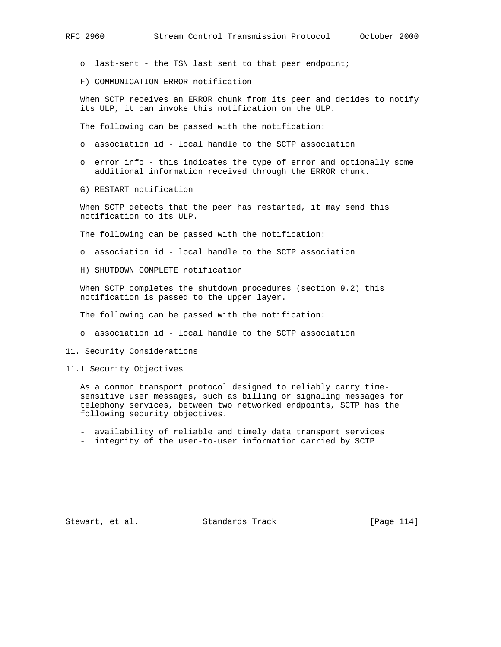o last-sent - the TSN last sent to that peer endpoint;

F) COMMUNICATION ERROR notification

 When SCTP receives an ERROR chunk from its peer and decides to notify its ULP, it can invoke this notification on the ULP.

The following can be passed with the notification:

- o association id local handle to the SCTP association
- o error info this indicates the type of error and optionally some additional information received through the ERROR chunk.
- G) RESTART notification

 When SCTP detects that the peer has restarted, it may send this notification to its ULP.

The following can be passed with the notification:

- o association id local handle to the SCTP association
- H) SHUTDOWN COMPLETE notification

 When SCTP completes the shutdown procedures (section 9.2) this notification is passed to the upper layer.

The following can be passed with the notification:

o association id - local handle to the SCTP association

11. Security Considerations

11.1 Security Objectives

 As a common transport protocol designed to reliably carry time sensitive user messages, such as billing or signaling messages for telephony services, between two networked endpoints, SCTP has the following security objectives.

- availability of reliable and timely data transport services
- integrity of the user-to-user information carried by SCTP

Stewart, et al. Standards Track [Page 114]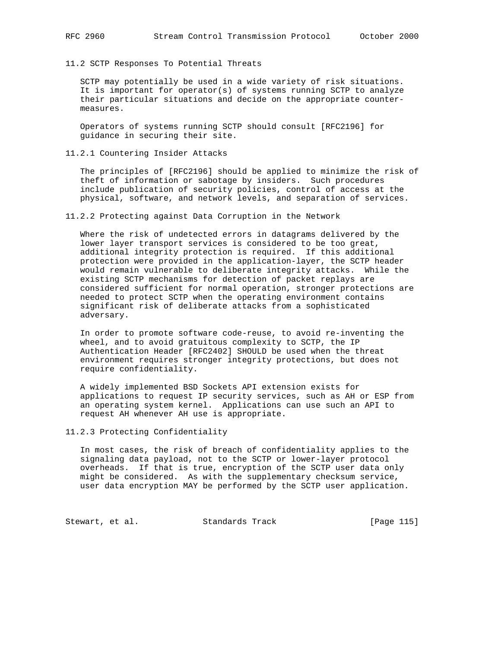11.2 SCTP Responses To Potential Threats

 SCTP may potentially be used in a wide variety of risk situations. It is important for operator(s) of systems running SCTP to analyze their particular situations and decide on the appropriate counter measures.

 Operators of systems running SCTP should consult [RFC2196] for guidance in securing their site.

11.2.1 Countering Insider Attacks

 The principles of [RFC2196] should be applied to minimize the risk of theft of information or sabotage by insiders. Such procedures include publication of security policies, control of access at the physical, software, and network levels, and separation of services.

11.2.2 Protecting against Data Corruption in the Network

 Where the risk of undetected errors in datagrams delivered by the lower layer transport services is considered to be too great, additional integrity protection is required. If this additional protection were provided in the application-layer, the SCTP header would remain vulnerable to deliberate integrity attacks. While the existing SCTP mechanisms for detection of packet replays are considered sufficient for normal operation, stronger protections are needed to protect SCTP when the operating environment contains significant risk of deliberate attacks from a sophisticated adversary.

 In order to promote software code-reuse, to avoid re-inventing the wheel, and to avoid gratuitous complexity to SCTP, the IP Authentication Header [RFC2402] SHOULD be used when the threat environment requires stronger integrity protections, but does not require confidentiality.

 A widely implemented BSD Sockets API extension exists for applications to request IP security services, such as AH or ESP from an operating system kernel. Applications can use such an API to request AH whenever AH use is appropriate.

11.2.3 Protecting Confidentiality

 In most cases, the risk of breach of confidentiality applies to the signaling data payload, not to the SCTP or lower-layer protocol overheads. If that is true, encryption of the SCTP user data only might be considered. As with the supplementary checksum service, user data encryption MAY be performed by the SCTP user application.

Stewart, et al. Standards Track [Page 115]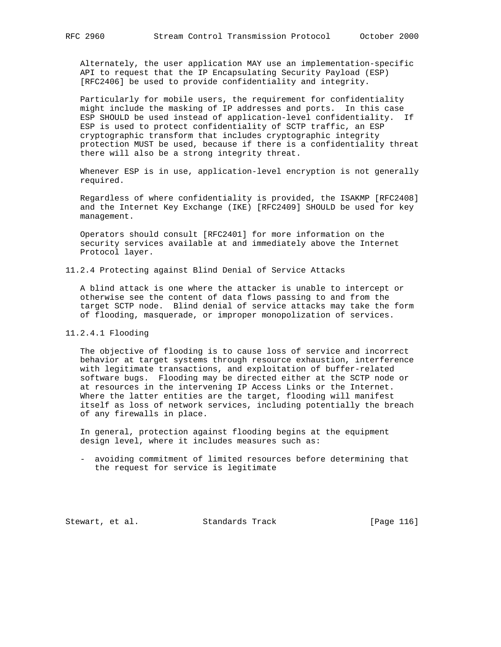Alternately, the user application MAY use an implementation-specific API to request that the IP Encapsulating Security Payload (ESP) [RFC2406] be used to provide confidentiality and integrity.

 Particularly for mobile users, the requirement for confidentiality might include the masking of IP addresses and ports. In this case ESP SHOULD be used instead of application-level confidentiality. If ESP is used to protect confidentiality of SCTP traffic, an ESP cryptographic transform that includes cryptographic integrity protection MUST be used, because if there is a confidentiality threat there will also be a strong integrity threat.

 Whenever ESP is in use, application-level encryption is not generally required.

 Regardless of where confidentiality is provided, the ISAKMP [RFC2408] and the Internet Key Exchange (IKE) [RFC2409] SHOULD be used for key management.

 Operators should consult [RFC2401] for more information on the security services available at and immediately above the Internet Protocol layer.

11.2.4 Protecting against Blind Denial of Service Attacks

 A blind attack is one where the attacker is unable to intercept or otherwise see the content of data flows passing to and from the target SCTP node. Blind denial of service attacks may take the form of flooding, masquerade, or improper monopolization of services.

## 11.2.4.1 Flooding

 The objective of flooding is to cause loss of service and incorrect behavior at target systems through resource exhaustion, interference with legitimate transactions, and exploitation of buffer-related software bugs. Flooding may be directed either at the SCTP node or at resources in the intervening IP Access Links or the Internet. Where the latter entities are the target, flooding will manifest itself as loss of network services, including potentially the breach of any firewalls in place.

 In general, protection against flooding begins at the equipment design level, where it includes measures such as:

 - avoiding commitment of limited resources before determining that the request for service is legitimate

Stewart, et al. Standards Track [Page 116]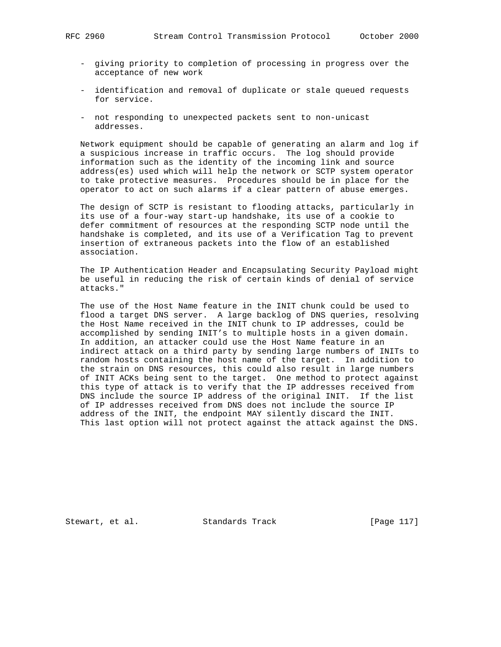- giving priority to completion of processing in progress over the acceptance of new work
- identification and removal of duplicate or stale queued requests for service.
- not responding to unexpected packets sent to non-unicast addresses.

 Network equipment should be capable of generating an alarm and log if a suspicious increase in traffic occurs. The log should provide information such as the identity of the incoming link and source address(es) used which will help the network or SCTP system operator to take protective measures. Procedures should be in place for the operator to act on such alarms if a clear pattern of abuse emerges.

 The design of SCTP is resistant to flooding attacks, particularly in its use of a four-way start-up handshake, its use of a cookie to defer commitment of resources at the responding SCTP node until the handshake is completed, and its use of a Verification Tag to prevent insertion of extraneous packets into the flow of an established association.

 The IP Authentication Header and Encapsulating Security Payload might be useful in reducing the risk of certain kinds of denial of service attacks."

 The use of the Host Name feature in the INIT chunk could be used to flood a target DNS server. A large backlog of DNS queries, resolving the Host Name received in the INIT chunk to IP addresses, could be accomplished by sending INIT's to multiple hosts in a given domain. In addition, an attacker could use the Host Name feature in an indirect attack on a third party by sending large numbers of INITs to random hosts containing the host name of the target. In addition to the strain on DNS resources, this could also result in large numbers of INIT ACKs being sent to the target. One method to protect against this type of attack is to verify that the IP addresses received from DNS include the source IP address of the original INIT. If the list of IP addresses received from DNS does not include the source IP address of the INIT, the endpoint MAY silently discard the INIT. This last option will not protect against the attack against the DNS.

Stewart, et al. Standards Track [Page 117]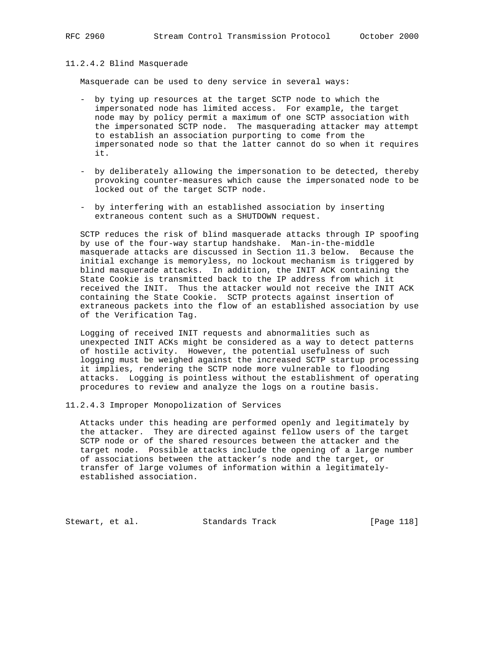#### 11.2.4.2 Blind Masquerade

Masquerade can be used to deny service in several ways:

- by tying up resources at the target SCTP node to which the impersonated node has limited access. For example, the target node may by policy permit a maximum of one SCTP association with the impersonated SCTP node. The masquerading attacker may attempt to establish an association purporting to come from the impersonated node so that the latter cannot do so when it requires it.
- by deliberately allowing the impersonation to be detected, thereby provoking counter-measures which cause the impersonated node to be locked out of the target SCTP node.
- by interfering with an established association by inserting extraneous content such as a SHUTDOWN request.

 SCTP reduces the risk of blind masquerade attacks through IP spoofing by use of the four-way startup handshake. Man-in-the-middle masquerade attacks are discussed in Section 11.3 below. Because the initial exchange is memoryless, no lockout mechanism is triggered by blind masquerade attacks. In addition, the INIT ACK containing the State Cookie is transmitted back to the IP address from which it received the INIT. Thus the attacker would not receive the INIT ACK containing the State Cookie. SCTP protects against insertion of extraneous packets into the flow of an established association by use of the Verification Tag.

 Logging of received INIT requests and abnormalities such as unexpected INIT ACKs might be considered as a way to detect patterns of hostile activity. However, the potential usefulness of such logging must be weighed against the increased SCTP startup processing it implies, rendering the SCTP node more vulnerable to flooding attacks. Logging is pointless without the establishment of operating procedures to review and analyze the logs on a routine basis.

11.2.4.3 Improper Monopolization of Services

 Attacks under this heading are performed openly and legitimately by the attacker. They are directed against fellow users of the target SCTP node or of the shared resources between the attacker and the target node. Possible attacks include the opening of a large number of associations between the attacker's node and the target, or transfer of large volumes of information within a legitimately established association.

Stewart, et al. Standards Track [Page 118]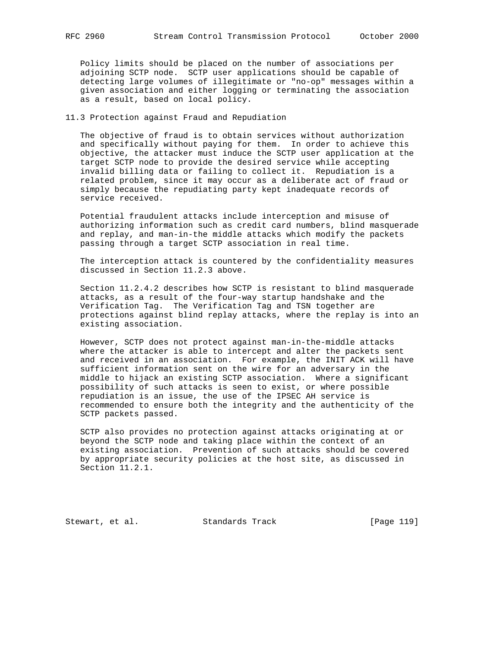Policy limits should be placed on the number of associations per adjoining SCTP node. SCTP user applications should be capable of detecting large volumes of illegitimate or "no-op" messages within a given association and either logging or terminating the association as a result, based on local policy.

# 11.3 Protection against Fraud and Repudiation

 The objective of fraud is to obtain services without authorization and specifically without paying for them. In order to achieve this objective, the attacker must induce the SCTP user application at the target SCTP node to provide the desired service while accepting invalid billing data or failing to collect it. Repudiation is a related problem, since it may occur as a deliberate act of fraud or simply because the repudiating party kept inadequate records of service received.

 Potential fraudulent attacks include interception and misuse of authorizing information such as credit card numbers, blind masquerade and replay, and man-in-the middle attacks which modify the packets passing through a target SCTP association in real time.

 The interception attack is countered by the confidentiality measures discussed in Section 11.2.3 above.

 Section 11.2.4.2 describes how SCTP is resistant to blind masquerade attacks, as a result of the four-way startup handshake and the Verification Tag. The Verification Tag and TSN together are protections against blind replay attacks, where the replay is into an existing association.

 However, SCTP does not protect against man-in-the-middle attacks where the attacker is able to intercept and alter the packets sent and received in an association. For example, the INIT ACK will have sufficient information sent on the wire for an adversary in the middle to hijack an existing SCTP association. Where a significant possibility of such attacks is seen to exist, or where possible repudiation is an issue, the use of the IPSEC AH service is recommended to ensure both the integrity and the authenticity of the SCTP packets passed.

 SCTP also provides no protection against attacks originating at or beyond the SCTP node and taking place within the context of an existing association. Prevention of such attacks should be covered by appropriate security policies at the host site, as discussed in Section 11.2.1.

Stewart, et al. Standards Track [Page 119]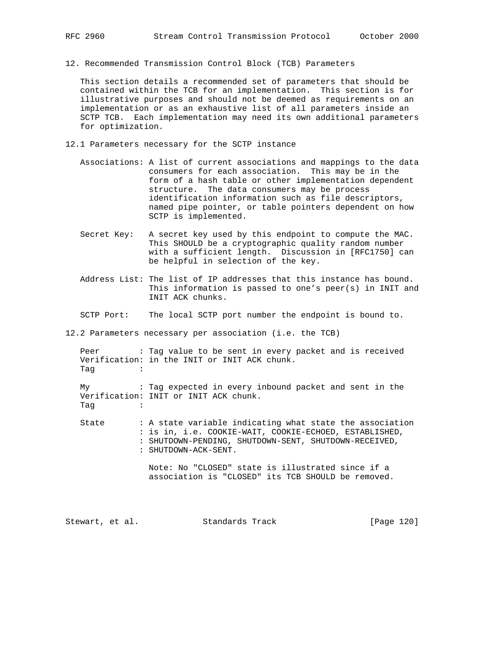- 
- 12. Recommended Transmission Control Block (TCB) Parameters

 This section details a recommended set of parameters that should be contained within the TCB for an implementation. This section is for illustrative purposes and should not be deemed as requirements on an implementation or as an exhaustive list of all parameters inside an SCTP TCB. Each implementation may need its own additional parameters for optimization.

- 12.1 Parameters necessary for the SCTP instance
	- Associations: A list of current associations and mappings to the data consumers for each association. This may be in the form of a hash table or other implementation dependent structure. The data consumers may be process identification information such as file descriptors, named pipe pointer, or table pointers dependent on how SCTP is implemented.
	- Secret Key: A secret key used by this endpoint to compute the MAC. This SHOULD be a cryptographic quality random number with a sufficient length. Discussion in [RFC1750] can be helpful in selection of the key.
	- Address List: The list of IP addresses that this instance has bound. This information is passed to one's peer(s) in INIT and INIT ACK chunks.
	- SCTP Port: The local SCTP port number the endpoint is bound to.

12.2 Parameters necessary per association (i.e. the TCB)

| Peer : Tag value to be sent in every packet and is received |  |  |  |  |  |  |  |
|-------------------------------------------------------------|--|--|--|--|--|--|--|
| Verification: in the INIT or INIT ACK chunk.                |  |  |  |  |  |  |  |
| Taq<br>and the contract of the contract of                  |  |  |  |  |  |  |  |

 My : Tag expected in every inbound packet and sent in the Verification: INIT or INIT ACK chunk.  $Taq$ 

 State : A state variable indicating what state the association : is in, i.e. COOKIE-WAIT, COOKIE-ECHOED, ESTABLISHED, : SHUTDOWN-PENDING, SHUTDOWN-SENT, SHUTDOWN-RECEIVED, : SHUTDOWN-ACK-SENT.

> Note: No "CLOSED" state is illustrated since if a association is "CLOSED" its TCB SHOULD be removed.

Stewart, et al. Standards Track [Page 120]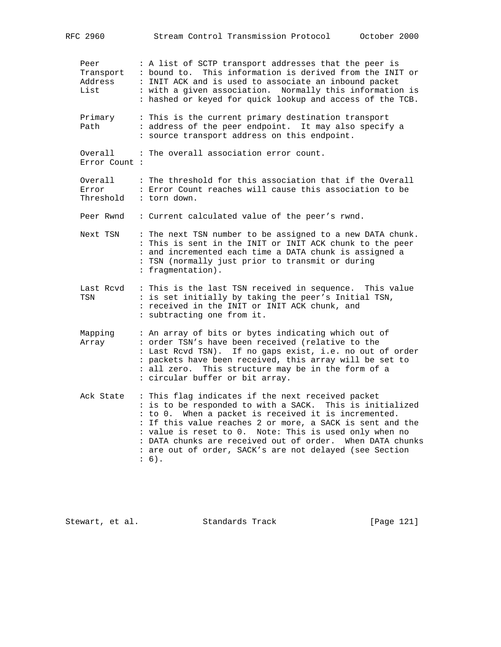| RFC 2960                             | Stream Control Transmission Protocol October 2000                                                                                                                                                                                                                                                                                                                                                                             |
|--------------------------------------|-------------------------------------------------------------------------------------------------------------------------------------------------------------------------------------------------------------------------------------------------------------------------------------------------------------------------------------------------------------------------------------------------------------------------------|
| Peer<br>Transport<br>Address<br>List | : A list of SCTP transport addresses that the peer is<br>: bound to. This information is derived from the INIT or<br>: INIT ACK and is used to associate an inbound packet<br>: with a given association. Normally this information is<br>: hashed or keyed for quick lookup and access of the TCB.                                                                                                                           |
| Primary<br>Path                      | : This is the current primary destination transport<br>: address of the peer endpoint. It may also specify a<br>: source transport address on this endpoint.                                                                                                                                                                                                                                                                  |
| Overall<br>Error Count :             | : The overall association error count.                                                                                                                                                                                                                                                                                                                                                                                        |
| Overall<br>Error<br>Threshold        | : The threshold for this association that if the Overall<br>: Error Count reaches will cause this association to be<br>: torn down.                                                                                                                                                                                                                                                                                           |
| Peer Rwnd                            | : Current calculated value of the peer's rwnd.                                                                                                                                                                                                                                                                                                                                                                                |
| Next TSN                             | : The next TSN number to be assigned to a new DATA chunk.<br>: This is sent in the INIT or INIT ACK chunk to the peer<br>: and incremented each time a DATA chunk is assigned a<br>: TSN (normally just prior to transmit or during<br>: fragmentation).                                                                                                                                                                      |
| Last Rcvd<br>TSN                     | : This is the last TSN received in sequence. This value<br>: is set initially by taking the peer's Initial TSN,<br>: received in the INIT or INIT ACK chunk, and<br>: subtracting one from it.                                                                                                                                                                                                                                |
| Mapping<br>Array                     | : An array of bits or bytes indicating which out of<br>: order TSN's have been received (relative to the<br>: Last Rcvd TSN). If no gaps exist, i.e. no out of order<br>: packets have been received, this array will be set to<br>: all zero. This structure may be in the form of a<br>: circular buffer or bit array.                                                                                                      |
| Ack State                            | : This flag indicates if the next received packet<br>: is to be responded to with a SACK. This is initialized<br>: to 0. When a packet is received it is incremented.<br>: If this value reaches 2 or more, a SACK is sent and the<br>: value is reset to 0. Note: This is used only when no<br>: DATA chunks are received out of order. When DATA chunks<br>: are out of order, SACK's are not delayed (see Section<br>: 6). |

Stewart, et al. Standards Track [Page 121]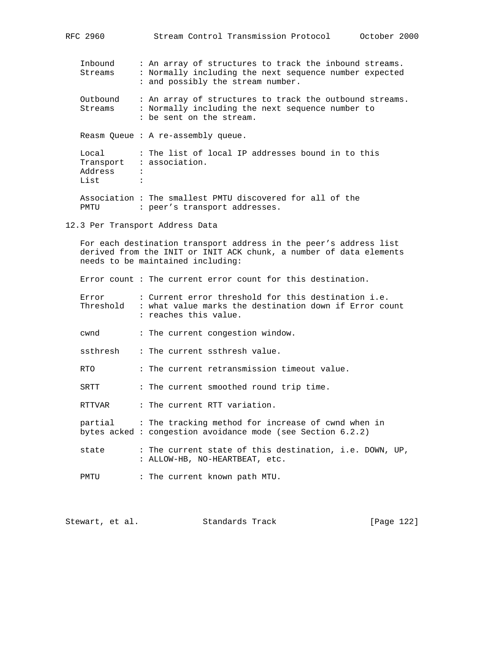| Inbound<br>Streams       | : An array of structures to track the inbound streams.<br>: Normally including the next sequence number expected<br>: and possibly the stream number. |
|--------------------------|-------------------------------------------------------------------------------------------------------------------------------------------------------|
| Outbound<br>Streams      | : An array of structures to track the outbound streams.<br>: Normally including the next sequence number to<br>: be sent on the stream.               |
|                          | Reasm Oueue: A re-assembly queue.                                                                                                                     |
| Local<br>Address<br>List | : The list of local IP addresses bound in to this<br>Transport : association.<br>$\ddot{\cdot}$<br>٠                                                  |
| PMTU                     | Association: The smallest PMTU discovered for all of the<br>: peer's transport addresses.                                                             |

RFC 2960 Stream Control Transmission Protocol October 2000

## 12.3 Per Transport Address Data

 For each destination transport address in the peer's address list derived from the INIT or INIT ACK chunk, a number of data elements needs to be maintained including:

Error count : The current error count for this destination.

| Error<br>Threshold | : Current error threshold for this destination i.e.<br>: what value marks the destination down if Error count<br>: reaches this value. |
|--------------------|----------------------------------------------------------------------------------------------------------------------------------------|
| cwnd               | : The current congestion window.                                                                                                       |

ssthresh : The current ssthresh value.

RTO : The current retransmission timeout value.

SRTT : The current smoothed round trip time.

RTTVAR : The current RTT variation.

 partial : The tracking method for increase of cwnd when in bytes acked : congestion avoidance mode (see Section 6.2.2)

state : The current state of this destination, i.e. DOWN, UP, : ALLOW-HB, NO-HEARTBEAT, etc.

PMTU : The current known path MTU.

Stewart, et al. Standards Track [Page 122]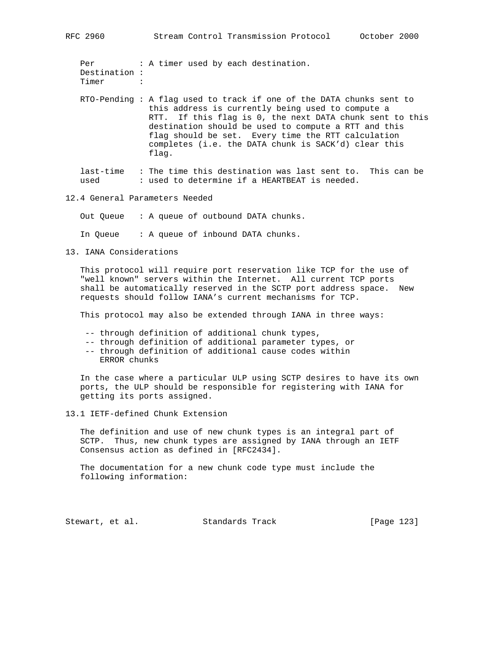Per : A timer used by each destination. Destination : Timer :

 RTO-Pending : A flag used to track if one of the DATA chunks sent to this address is currently being used to compute a RTT. If this flag is 0, the next DATA chunk sent to this destination should be used to compute a RTT and this flag should be set. Every time the RTT calculation completes (i.e. the DATA chunk is SACK'd) clear this flag.

 last-time : The time this destination was last sent to. This can be used : used to determine if a HEARTBEAT is needed.

## 12.4 General Parameters Needed

Out Queue : A queue of outbound DATA chunks.

In Queue : A queue of inbound DATA chunks.

13. IANA Considerations

 This protocol will require port reservation like TCP for the use of "well known" servers within the Internet. All current TCP ports shall be automatically reserved in the SCTP port address space. New requests should follow IANA's current mechanisms for TCP.

This protocol may also be extended through IANA in three ways:

- -- through definition of additional chunk types,
- -- through definition of additional parameter types, or
- -- through definition of additional cause codes within ERROR chunks

 In the case where a particular ULP using SCTP desires to have its own ports, the ULP should be responsible for registering with IANA for getting its ports assigned.

13.1 IETF-defined Chunk Extension

 The definition and use of new chunk types is an integral part of SCTP. Thus, new chunk types are assigned by IANA through an IETF Consensus action as defined in [RFC2434].

 The documentation for a new chunk code type must include the following information:

Stewart, et al. Standards Track [Page 123]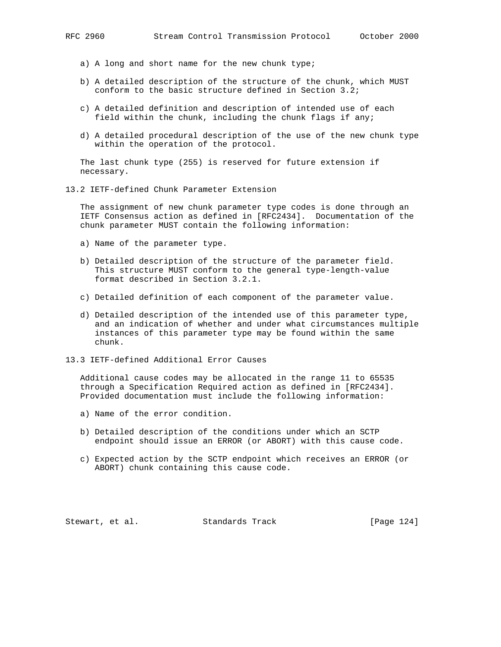- a) A long and short name for the new chunk type;
- b) A detailed description of the structure of the chunk, which MUST conform to the basic structure defined in Section 3.2;
- c) A detailed definition and description of intended use of each field within the chunk, including the chunk flags if any;
- d) A detailed procedural description of the use of the new chunk type within the operation of the protocol.

 The last chunk type (255) is reserved for future extension if necessary.

13.2 IETF-defined Chunk Parameter Extension

 The assignment of new chunk parameter type codes is done through an IETF Consensus action as defined in [RFC2434]. Documentation of the chunk parameter MUST contain the following information:

- a) Name of the parameter type.
- b) Detailed description of the structure of the parameter field. This structure MUST conform to the general type-length-value format described in Section 3.2.1.
- c) Detailed definition of each component of the parameter value.
- d) Detailed description of the intended use of this parameter type, and an indication of whether and under what circumstances multiple instances of this parameter type may be found within the same chunk.
- 13.3 IETF-defined Additional Error Causes

 Additional cause codes may be allocated in the range 11 to 65535 through a Specification Required action as defined in [RFC2434]. Provided documentation must include the following information:

- a) Name of the error condition.
- b) Detailed description of the conditions under which an SCTP endpoint should issue an ERROR (or ABORT) with this cause code.
- c) Expected action by the SCTP endpoint which receives an ERROR (or ABORT) chunk containing this cause code.

Stewart, et al. Standards Track [Page 124]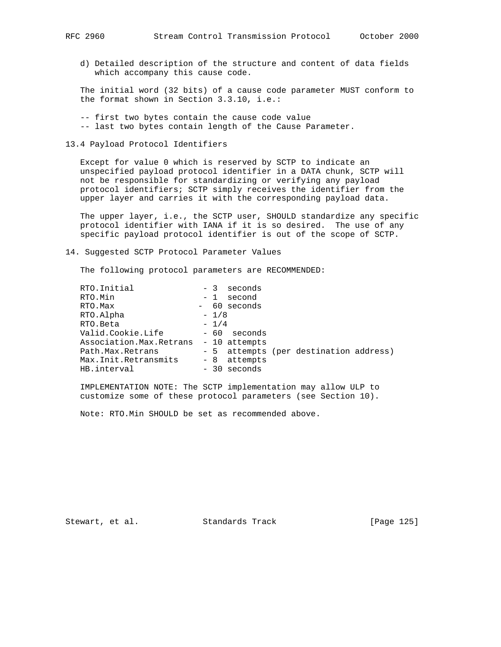d) Detailed description of the structure and content of data fields which accompany this cause code.

 The initial word (32 bits) of a cause code parameter MUST conform to the format shown in Section 3.3.10, i.e.:

- -- first two bytes contain the cause code value -- last two bytes contain length of the Cause Parameter.
- 13.4 Payload Protocol Identifiers

 Except for value 0 which is reserved by SCTP to indicate an unspecified payload protocol identifier in a DATA chunk, SCTP will not be responsible for standardizing or verifying any payload protocol identifiers; SCTP simply receives the identifier from the upper layer and carries it with the corresponding payload data.

 The upper layer, i.e., the SCTP user, SHOULD standardize any specific protocol identifier with IANA if it is so desired. The use of any specific payload protocol identifier is out of the scope of SCTP.

14. Suggested SCTP Protocol Parameter Values

The following protocol parameters are RECOMMENDED:

| RTO. Initial              | $-3$<br>seconds                        |
|---------------------------|----------------------------------------|
| RTO.Min                   | $-1$<br>second                         |
| RTO.Max                   | - 60 seconds                           |
| RTO.Alpha                 | $-1/8$                                 |
| RTO. Beta                 | $-1/4$                                 |
| Valid.Cookie.Life         | - 60 seconds                           |
| Association. Max. Retrans | - 10 attempts                          |
| Path. Max. Retrans        | - 5 attempts (per destination address) |
| Max. Init. Retransmits    | - 8 attempts                           |
| HB.interval               | - 30 seconds                           |

 IMPLEMENTATION NOTE: The SCTP implementation may allow ULP to customize some of these protocol parameters (see Section 10).

Note: RTO.Min SHOULD be set as recommended above.

Stewart, et al. Standards Track [Page 125]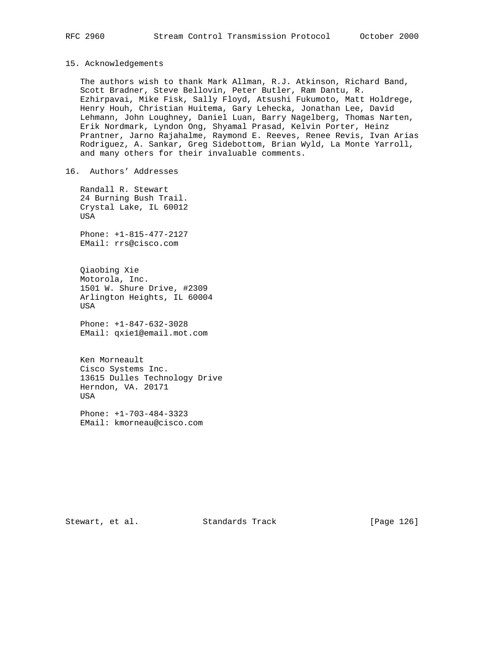#### 15. Acknowledgements

 The authors wish to thank Mark Allman, R.J. Atkinson, Richard Band, Scott Bradner, Steve Bellovin, Peter Butler, Ram Dantu, R. Ezhirpavai, Mike Fisk, Sally Floyd, Atsushi Fukumoto, Matt Holdrege, Henry Houh, Christian Huitema, Gary Lehecka, Jonathan Lee, David Lehmann, John Loughney, Daniel Luan, Barry Nagelberg, Thomas Narten, Erik Nordmark, Lyndon Ong, Shyamal Prasad, Kelvin Porter, Heinz Prantner, Jarno Rajahalme, Raymond E. Reeves, Renee Revis, Ivan Arias Rodriguez, A. Sankar, Greg Sidebottom, Brian Wyld, La Monte Yarroll, and many others for their invaluable comments.

16. Authors' Addresses

 Randall R. Stewart 24 Burning Bush Trail. Crystal Lake, IL 60012 USA

 Phone: +1-815-477-2127 EMail: rrs@cisco.com

 Qiaobing Xie Motorola, Inc. 1501 W. Shure Drive, #2309 Arlington Heights, IL 60004 USA

 Phone: +1-847-632-3028 EMail: qxie1@email.mot.com

 Ken Morneault Cisco Systems Inc. 13615 Dulles Technology Drive Herndon, VA. 20171 USA

 Phone: +1-703-484-3323 EMail: kmorneau@cisco.com

Stewart, et al. Standards Track [Page 126]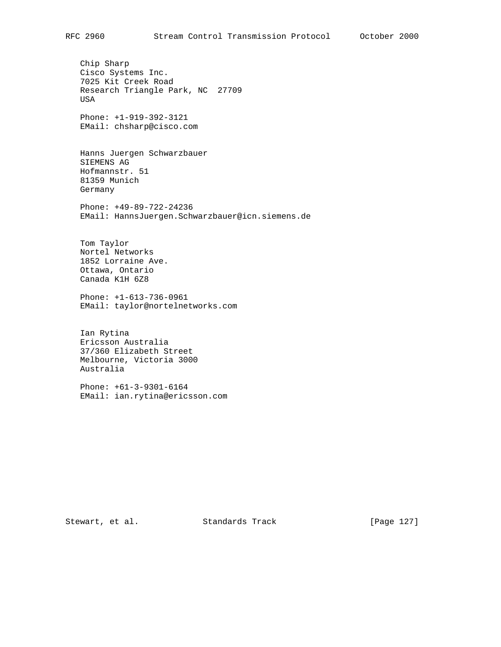Chip Sharp Cisco Systems Inc. 7025 Kit Creek Road Research Triangle Park, NC 27709 USA Phone: +1-919-392-3121 EMail: chsharp@cisco.com Hanns Juergen Schwarzbauer SIEMENS AG Hofmannstr. 51 81359 Munich Germany Phone: +49-89-722-24236 EMail: HannsJuergen.Schwarzbauer@icn.siemens.de Tom Taylor Nortel Networks 1852 Lorraine Ave. Ottawa, Ontario Canada K1H 6Z8

 Phone: +1-613-736-0961 EMail: taylor@nortelnetworks.com

 Ian Rytina Ericsson Australia 37/360 Elizabeth Street Melbourne, Victoria 3000 Australia

 Phone: +61-3-9301-6164 EMail: ian.rytina@ericsson.com

Stewart, et al. Standards Track [Page 127]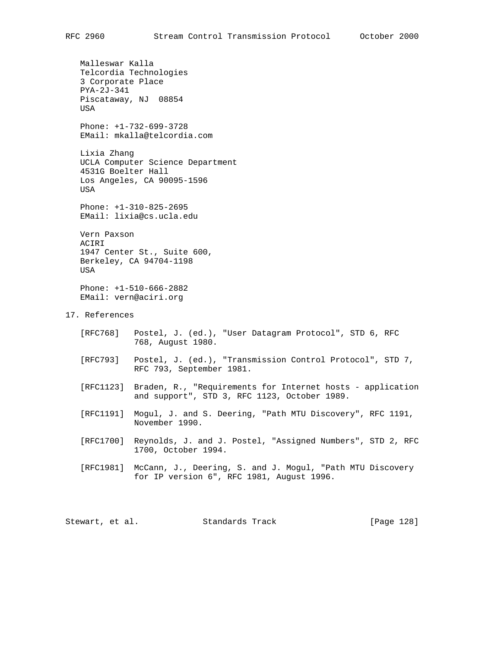Malleswar Kalla Telcordia Technologies 3 Corporate Place PYA-2J-341 Piscataway, NJ 08854 USA Phone: +1-732-699-3728 EMail: mkalla@telcordia.com Lixia Zhang UCLA Computer Science Department 4531G Boelter Hall Los Angeles, CA 90095-1596 USA Phone: +1-310-825-2695 EMail: lixia@cs.ucla.edu Vern Paxson ACIRI 1947 Center St., Suite 600, Berkeley, CA 94704-1198 USA Phone: +1-510-666-2882 EMail: vern@aciri.org 17. References [RFC768] Postel, J. (ed.), "User Datagram Protocol", STD 6, RFC 768, August 1980. [RFC793] Postel, J. (ed.), "Transmission Control Protocol", STD 7, RFC 793, September 1981. [RFC1123] Braden, R., "Requirements for Internet hosts - application and support", STD 3, RFC 1123, October 1989. [RFC1191] Mogul, J. and S. Deering, "Path MTU Discovery", RFC 1191, November 1990. [RFC1700] Reynolds, J. and J. Postel, "Assigned Numbers", STD 2, RFC 1700, October 1994. [RFC1981] McCann, J., Deering, S. and J. Mogul, "Path MTU Discovery for IP version 6", RFC 1981, August 1996. Stewart, et al. Standards Track [Page 128]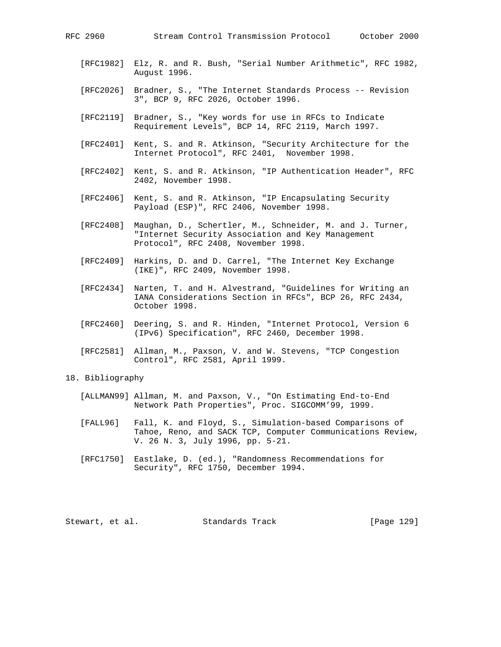- [RFC1982] Elz, R. and R. Bush, "Serial Number Arithmetic", RFC 1982, August 1996.
- [RFC2026] Bradner, S., "The Internet Standards Process -- Revision 3", BCP 9, RFC 2026, October 1996.
- [RFC2119] Bradner, S., "Key words for use in RFCs to Indicate Requirement Levels", BCP 14, RFC 2119, March 1997.
- [RFC2401] Kent, S. and R. Atkinson, "Security Architecture for the Internet Protocol", RFC 2401, November 1998.
- [RFC2402] Kent, S. and R. Atkinson, "IP Authentication Header", RFC 2402, November 1998.
- [RFC2406] Kent, S. and R. Atkinson, "IP Encapsulating Security Payload (ESP)", RFC 2406, November 1998.
- [RFC2408] Maughan, D., Schertler, M., Schneider, M. and J. Turner, "Internet Security Association and Key Management Protocol", RFC 2408, November 1998.
- [RFC2409] Harkins, D. and D. Carrel, "The Internet Key Exchange (IKE)", RFC 2409, November 1998.
- [RFC2434] Narten, T. and H. Alvestrand, "Guidelines for Writing an IANA Considerations Section in RFCs", BCP 26, RFC 2434, October 1998.
- [RFC2460] Deering, S. and R. Hinden, "Internet Protocol, Version 6 (IPv6) Specification", RFC 2460, December 1998.
- [RFC2581] Allman, M., Paxson, V. and W. Stevens, "TCP Congestion Control", RFC 2581, April 1999.

# 18. Bibliography

- [ALLMAN99] Allman, M. and Paxson, V., "On Estimating End-to-End Network Path Properties", Proc. SIGCOMM'99, 1999.
- [FALL96] Fall, K. and Floyd, S., Simulation-based Comparisons of Tahoe, Reno, and SACK TCP, Computer Communications Review, V. 26 N. 3, July 1996, pp. 5-21.
- [RFC1750] Eastlake, D. (ed.), "Randomness Recommendations for Security", RFC 1750, December 1994.

Stewart, et al. Standards Track [Page 129]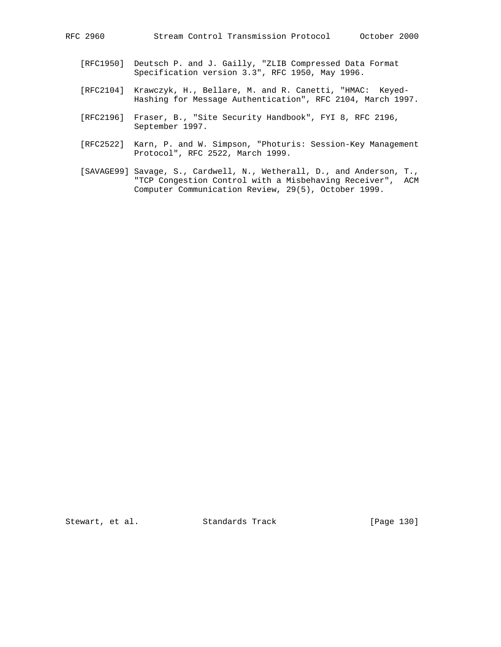- [RFC1950] Deutsch P. and J. Gailly, "ZLIB Compressed Data Format Specification version 3.3", RFC 1950, May 1996.
- [RFC2104] Krawczyk, H., Bellare, M. and R. Canetti, "HMAC: Keyed- Hashing for Message Authentication", RFC 2104, March 1997.
- [RFC2196] Fraser, B., "Site Security Handbook", FYI 8, RFC 2196, September 1997.
- [RFC2522] Karn, P. and W. Simpson, "Photuris: Session-Key Management Protocol", RFC 2522, March 1999.
- [SAVAGE99] Savage, S., Cardwell, N., Wetherall, D., and Anderson, T., "TCP Congestion Control with a Misbehaving Receiver", ACM Computer Communication Review, 29(5), October 1999.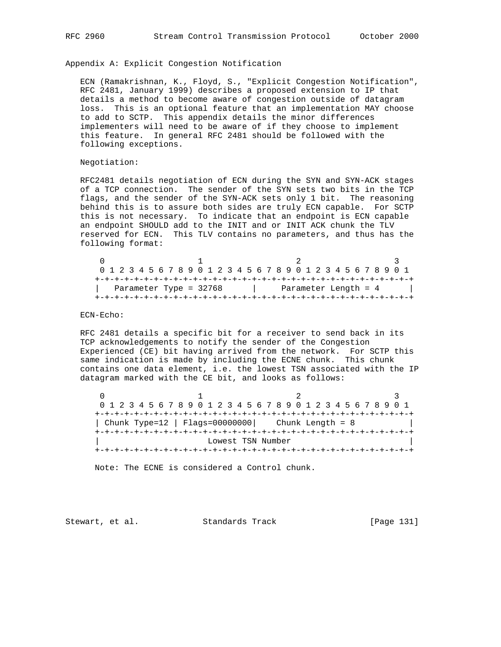Appendix A: Explicit Congestion Notification

 ECN (Ramakrishnan, K., Floyd, S., "Explicit Congestion Notification", RFC 2481, January 1999) describes a proposed extension to IP that details a method to become aware of congestion outside of datagram loss. This is an optional feature that an implementation MAY choose to add to SCTP. This appendix details the minor differences implementers will need to be aware of if they choose to implement this feature. In general RFC 2481 should be followed with the following exceptions.

## Negotiation:

 RFC2481 details negotiation of ECN during the SYN and SYN-ACK stages of a TCP connection. The sender of the SYN sets two bits in the TCP flags, and the sender of the SYN-ACK sets only 1 bit. The reasoning behind this is to assure both sides are truly ECN capable. For SCTP this is not necessary. To indicate that an endpoint is ECN capable an endpoint SHOULD add to the INIT and or INIT ACK chunk the TLV reserved for ECN. This TLV contains no parameters, and thus has the following format:

| 0 1 2 3 4 5 6 7 8 9 0 1 2 3 4 5 6 7 8 9 0 1 2 3 4 5 6 7 8 9 0 1 |  |  |  |  |  |  |  |  |  |  |                        |  |  |  |  |  |  |  |  |  |  |  |  |  |  |  |  |
|-----------------------------------------------------------------|--|--|--|--|--|--|--|--|--|--|------------------------|--|--|--|--|--|--|--|--|--|--|--|--|--|--|--|--|
|                                                                 |  |  |  |  |  |  |  |  |  |  |                        |  |  |  |  |  |  |  |  |  |  |  |  |  |  |  |  |
| Parameter Type = 32768                                          |  |  |  |  |  |  |  |  |  |  | Parameter Length = $4$ |  |  |  |  |  |  |  |  |  |  |  |  |  |  |  |  |
|                                                                 |  |  |  |  |  |  |  |  |  |  |                        |  |  |  |  |  |  |  |  |  |  |  |  |  |  |  |  |

## ECN-Echo:

 RFC 2481 details a specific bit for a receiver to send back in its TCP acknowledgements to notify the sender of the Congestion Experienced (CE) bit having arrived from the network. For SCTP this same indication is made by including the ECNE chunk. This chunk contains one data element, i.e. the lowest TSN associated with the IP datagram marked with the CE bit, and looks as follows:

 $0$  1 2 3 0 1 2 3 4 5 6 7 8 9 0 1 2 3 4 5 6 7 8 9 0 1 2 3 4 5 6 7 8 9 0 1 +-+-+-+-+-+-+-+-+-+-+-+-+-+-+-+-+-+-+-+-+-+-+-+-+-+-+-+-+-+-+-+-+ | Chunk Type=12 | Flags=00000000| Chunk Length = 8 | +-+-+-+-+-+-+-+-+-+-+-+-+-+-+-+-+-+-+-+-+-+-+-+-+-+-+-+-+-+-+-+-+ Lowest TSN Number +-+-+-+-+-+-+-+-+-+-+-+-+-+-+-+-+-+-+-+-+-+-+-+-+-+-+-+-+-+-+-+-+

Note: The ECNE is considered a Control chunk.

Stewart, et al. Standards Track [Page 131]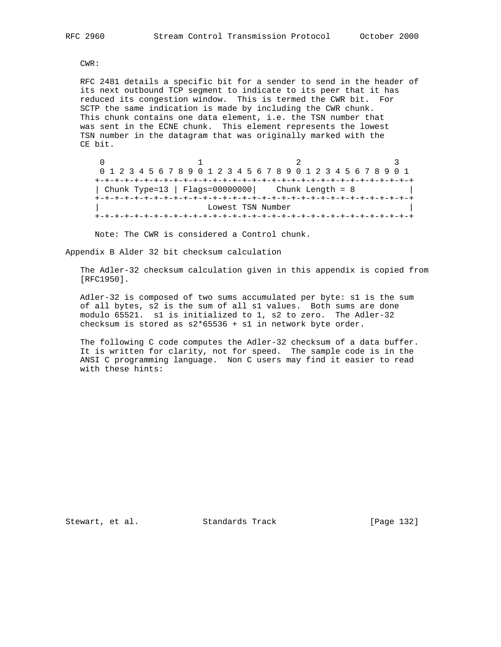CWR:

 RFC 2481 details a specific bit for a sender to send in the header of its next outbound TCP segment to indicate to its peer that it has reduced its congestion window. This is termed the CWR bit. For SCTP the same indication is made by including the CWR chunk. This chunk contains one data element, i.e. the TSN number that was sent in the ECNE chunk. This element represents the lowest TSN number in the datagram that was originally marked with the CE bit.

|  |  | 0 1 2 3 4 5 6 7 8 9 0 1 2 3 4 5 6 7 8 9 0 1 2 3 4 5 6 7 8 9 0 1 |  |  |  |  |  |  |  |                   |  |  |  |  |  |                    |  |  |  |  |  |  |  |  |  |
|--|--|-----------------------------------------------------------------|--|--|--|--|--|--|--|-------------------|--|--|--|--|--|--------------------|--|--|--|--|--|--|--|--|--|
|  |  |                                                                 |  |  |  |  |  |  |  |                   |  |  |  |  |  |                    |  |  |  |  |  |  |  |  |  |
|  |  | Chunk Type=13   Flags=00000000                                  |  |  |  |  |  |  |  |                   |  |  |  |  |  | Chunk Length = $8$ |  |  |  |  |  |  |  |  |  |
|  |  |                                                                 |  |  |  |  |  |  |  |                   |  |  |  |  |  |                    |  |  |  |  |  |  |  |  |  |
|  |  |                                                                 |  |  |  |  |  |  |  | Lowest TSN Number |  |  |  |  |  |                    |  |  |  |  |  |  |  |  |  |
|  |  |                                                                 |  |  |  |  |  |  |  |                   |  |  |  |  |  |                    |  |  |  |  |  |  |  |  |  |

Note: The CWR is considered a Control chunk.

Appendix B Alder 32 bit checksum calculation

 The Adler-32 checksum calculation given in this appendix is copied from [RFC1950].

 Adler-32 is composed of two sums accumulated per byte: s1 is the sum of all bytes, s2 is the sum of all s1 values. Both sums are done modulo 65521. s1 is initialized to 1, s2 to zero. The Adler-32 checksum is stored as s2\*65536 + s1 in network byte order.

 The following C code computes the Adler-32 checksum of a data buffer. It is written for clarity, not for speed. The sample code is in the ANSI C programming language. Non C users may find it easier to read with these hints:

Stewart, et al. Standards Track [Page 132]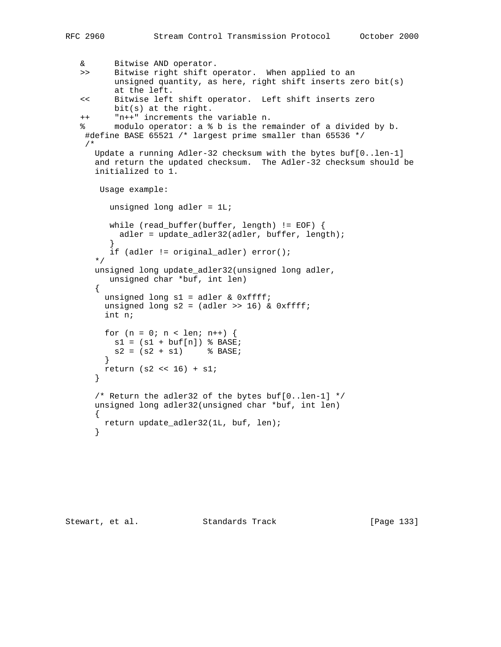& Bitwise AND operator. >> Bitwise right shift operator. When applied to an unsigned quantity, as here, right shift inserts zero bit(s) at the left. << Bitwise left shift operator. Left shift inserts zero bit(s) at the right. ++ "n++" increments the variable n. % modulo operator: a % b is the remainder of a divided by b. #define BASE 65521 /\* largest prime smaller than 65536 \*/ /\* Update a running Adler-32 checksum with the bytes buf[0..len-1] and return the updated checksum. The Adler-32 checksum should be initialized to 1. Usage example: unsigned long adler = 1L; while (read\_buffer(buffer, length) != EOF) { adler = update\_adler32(adler, buffer, length); } if (adler != original\_adler) error(); \*/ unsigned long update\_adler32(unsigned long adler, unsigned char \*buf, int len)  $\{$  unsigned long s1 = adler & 0xffff; unsigned long  $s2 = (adler \gg 16)$  &  $0xffff;$  int n; for  $(n = 0; n < len; n++)$  {  $sl = (sl + buf[n])$  % BASE;  $s2 = (s2 + s1)$  % BASE; } return (s2 << 16) + s1; } /\* Return the adler32 of the bytes buf[0..len-1] \*/ unsigned long adler32(unsigned char \*buf, int len) { return update\_adler32(1L, buf, len); }

Stewart, et al. Standards Track [Page 133]